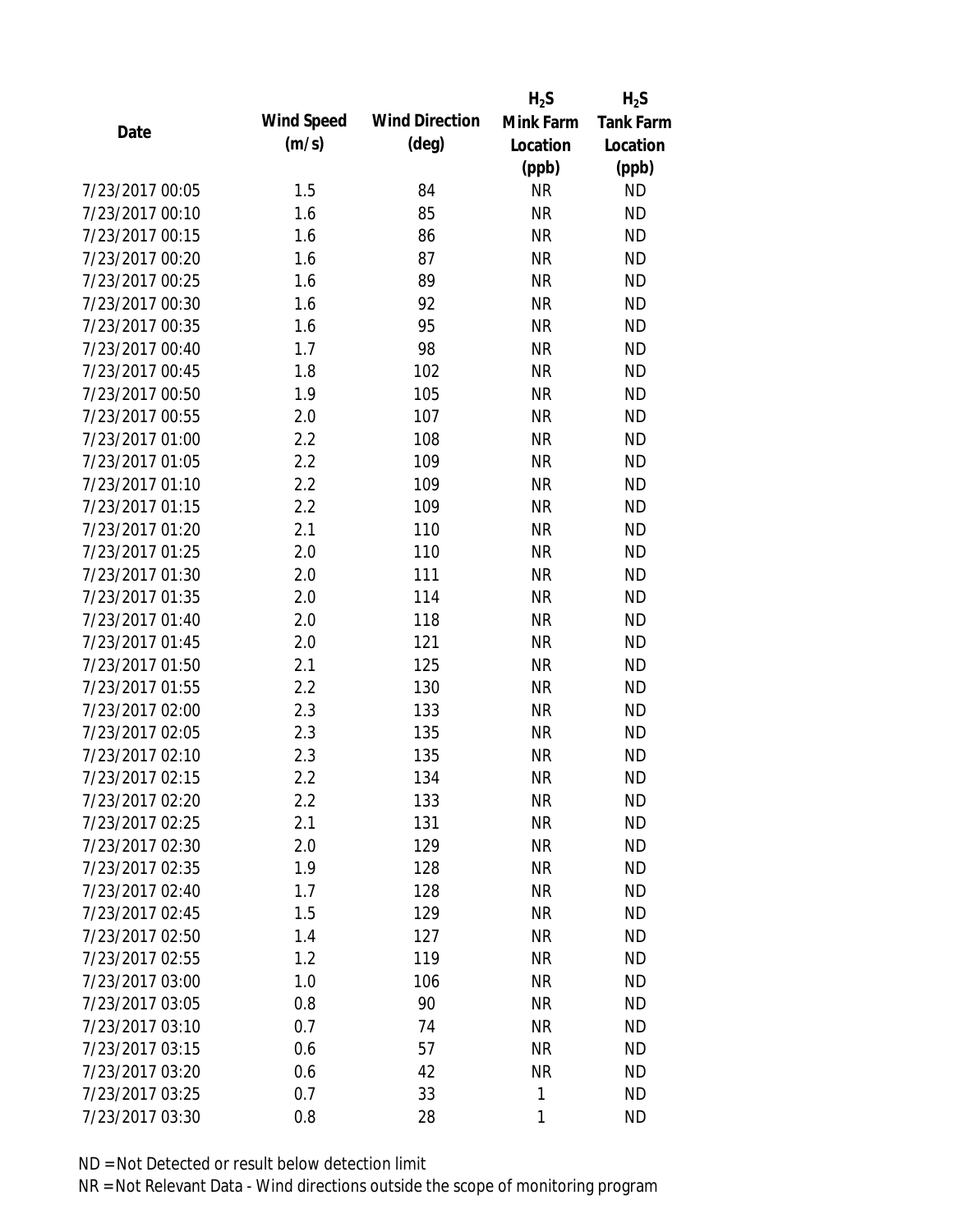|                 |            |                       | $H_2S$    | $H_2S$           |
|-----------------|------------|-----------------------|-----------|------------------|
| Date            | Wind Speed | <b>Wind Direction</b> | Mink Farm | <b>Tank Farm</b> |
|                 | (m/s)      | $(\text{deg})$        | Location  | Location         |
|                 |            |                       | (ppb)     | (ppb)            |
| 7/23/2017 00:05 | 1.5        | 84                    | <b>NR</b> | <b>ND</b>        |
| 7/23/2017 00:10 | 1.6        | 85                    | <b>NR</b> | <b>ND</b>        |
| 7/23/2017 00:15 | 1.6        | 86                    | <b>NR</b> | <b>ND</b>        |
| 7/23/2017 00:20 | 1.6        | 87                    | <b>NR</b> | <b>ND</b>        |
| 7/23/2017 00:25 | 1.6        | 89                    | <b>NR</b> | <b>ND</b>        |
| 7/23/2017 00:30 | 1.6        | 92                    | <b>NR</b> | <b>ND</b>        |
| 7/23/2017 00:35 | 1.6        | 95                    | <b>NR</b> | <b>ND</b>        |
| 7/23/2017 00:40 | 1.7        | 98                    | <b>NR</b> | <b>ND</b>        |
| 7/23/2017 00:45 | 1.8        | 102                   | <b>NR</b> | <b>ND</b>        |
| 7/23/2017 00:50 | 1.9        | 105                   | <b>NR</b> | <b>ND</b>        |
| 7/23/2017 00:55 | 2.0        | 107                   | <b>NR</b> | <b>ND</b>        |
| 7/23/2017 01:00 | 2.2        | 108                   | <b>NR</b> | <b>ND</b>        |
| 7/23/2017 01:05 | 2.2        | 109                   | <b>NR</b> | <b>ND</b>        |
| 7/23/2017 01:10 | 2.2        | 109                   | <b>NR</b> | <b>ND</b>        |
| 7/23/2017 01:15 | 2.2        | 109                   | <b>NR</b> | <b>ND</b>        |
| 7/23/2017 01:20 | 2.1        | 110                   | <b>NR</b> | <b>ND</b>        |
| 7/23/2017 01:25 | 2.0        | 110                   | <b>NR</b> | <b>ND</b>        |
| 7/23/2017 01:30 | 2.0        | 111                   | <b>NR</b> | <b>ND</b>        |
| 7/23/2017 01:35 | 2.0        | 114                   | <b>NR</b> | <b>ND</b>        |
| 7/23/2017 01:40 | 2.0        | 118                   | <b>NR</b> | <b>ND</b>        |
| 7/23/2017 01:45 | 2.0        | 121                   | <b>NR</b> | <b>ND</b>        |
| 7/23/2017 01:50 | 2.1        | 125                   | <b>NR</b> | <b>ND</b>        |
| 7/23/2017 01:55 | 2.2        | 130                   | <b>NR</b> | <b>ND</b>        |
| 7/23/2017 02:00 | 2.3        | 133                   | <b>NR</b> | <b>ND</b>        |
| 7/23/2017 02:05 | 2.3        | 135                   | <b>NR</b> | <b>ND</b>        |
| 7/23/2017 02:10 | 2.3        | 135                   | <b>NR</b> | <b>ND</b>        |
| 7/23/2017 02:15 | 2.2        | 134                   | <b>NR</b> | <b>ND</b>        |
| 7/23/2017 02:20 | 2.2        | 133                   | NR        | <b>ND</b>        |
| 7/23/2017 02:25 | 2.1        | 131                   | <b>NR</b> | <b>ND</b>        |
| 7/23/2017 02:30 | 2.0        | 129                   | <b>NR</b> | <b>ND</b>        |
| 7/23/2017 02:35 | 1.9        | 128                   | <b>NR</b> | <b>ND</b>        |
| 7/23/2017 02:40 | 1.7        | 128                   | <b>NR</b> | <b>ND</b>        |
| 7/23/2017 02:45 | 1.5        | 129                   | <b>NR</b> | <b>ND</b>        |
| 7/23/2017 02:50 | 1.4        | 127                   | <b>NR</b> | <b>ND</b>        |
| 7/23/2017 02:55 | 1.2        | 119                   | <b>NR</b> | <b>ND</b>        |
| 7/23/2017 03:00 | 1.0        | 106                   | <b>NR</b> | <b>ND</b>        |
| 7/23/2017 03:05 | 0.8        | 90                    | <b>NR</b> | <b>ND</b>        |
| 7/23/2017 03:10 | 0.7        | 74                    | <b>NR</b> | <b>ND</b>        |
| 7/23/2017 03:15 | 0.6        | 57                    | <b>NR</b> | <b>ND</b>        |
| 7/23/2017 03:20 | 0.6        | 42                    | <b>NR</b> | <b>ND</b>        |
| 7/23/2017 03:25 | 0.7        | 33                    | 1         | <b>ND</b>        |
|                 |            |                       |           |                  |
| 7/23/2017 03:30 | 0.8        | 28                    | 1         | <b>ND</b>        |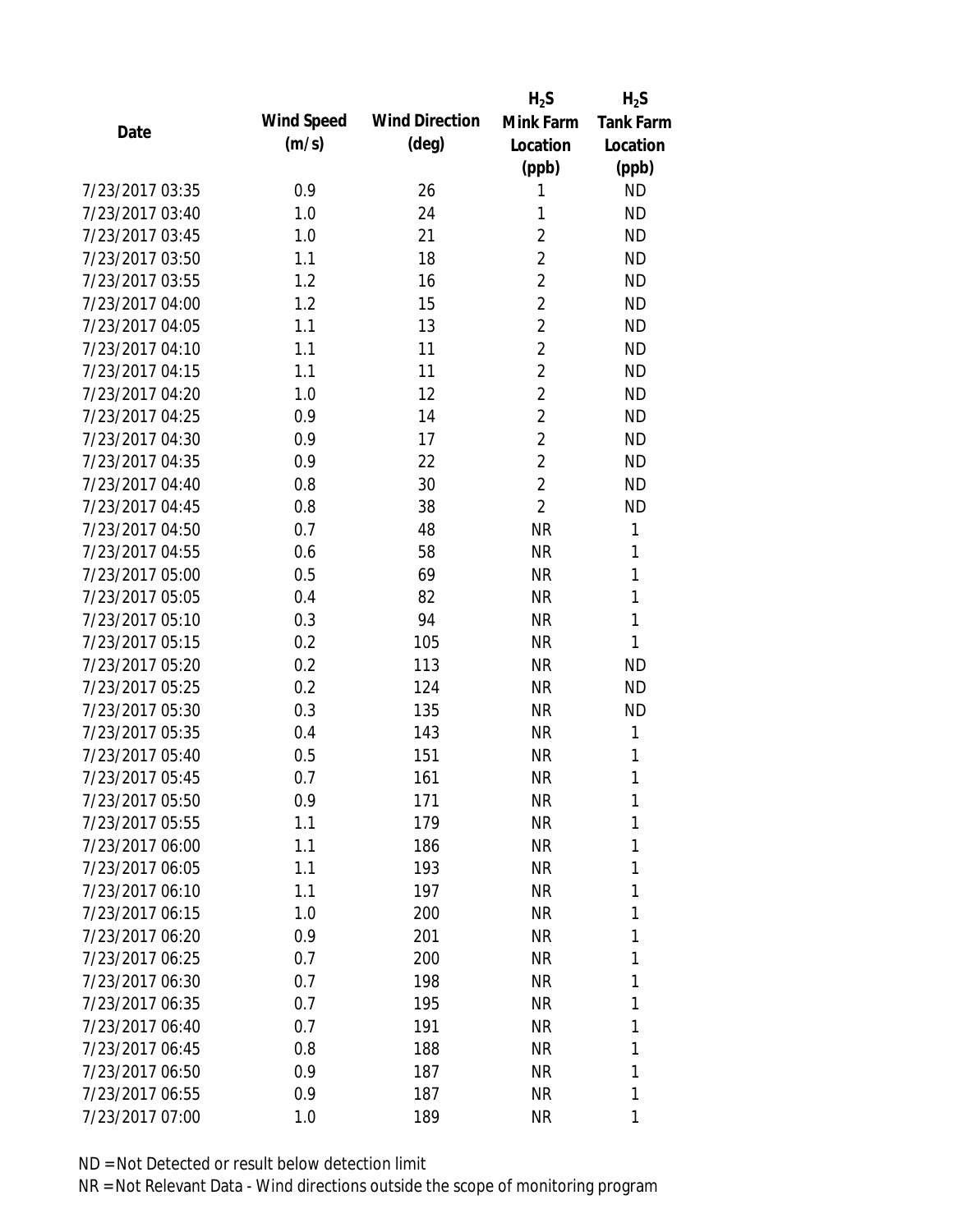|                 |            |                       | $H_2S$         | $H_2S$           |
|-----------------|------------|-----------------------|----------------|------------------|
| Date            | Wind Speed | <b>Wind Direction</b> | Mink Farm      | <b>Tank Farm</b> |
|                 | (m/s)      | $(\text{deg})$        | Location       | Location         |
|                 |            |                       | (ppb)          | (ppb)            |
| 7/23/2017 03:35 | 0.9        | 26                    | 1              | <b>ND</b>        |
| 7/23/2017 03:40 | 1.0        | 24                    | 1              | <b>ND</b>        |
| 7/23/2017 03:45 | 1.0        | 21                    | $\overline{2}$ | <b>ND</b>        |
| 7/23/2017 03:50 | 1.1        | 18                    | $\overline{2}$ | <b>ND</b>        |
| 7/23/2017 03:55 | 1.2        | 16                    | $\overline{2}$ | <b>ND</b>        |
| 7/23/2017 04:00 | 1.2        | 15                    | $\overline{2}$ | <b>ND</b>        |
| 7/23/2017 04:05 | 1.1        | 13                    | $\overline{2}$ | <b>ND</b>        |
| 7/23/2017 04:10 | 1.1        | 11                    | $\overline{2}$ | <b>ND</b>        |
| 7/23/2017 04:15 | 1.1        | 11                    | $\overline{2}$ | <b>ND</b>        |
| 7/23/2017 04:20 | 1.0        | 12                    | $\overline{2}$ | <b>ND</b>        |
| 7/23/2017 04:25 | 0.9        | 14                    | $\overline{2}$ | <b>ND</b>        |
| 7/23/2017 04:30 | 0.9        | 17                    | $\overline{2}$ | <b>ND</b>        |
| 7/23/2017 04:35 | 0.9        | 22                    | $\overline{2}$ | <b>ND</b>        |
| 7/23/2017 04:40 | 0.8        | 30                    | $\overline{2}$ | <b>ND</b>        |
| 7/23/2017 04:45 | 0.8        | 38                    | $\overline{2}$ | <b>ND</b>        |
| 7/23/2017 04:50 | 0.7        | 48                    | <b>NR</b>      | 1                |
| 7/23/2017 04:55 | 0.6        | 58                    | <b>NR</b>      | 1                |
| 7/23/2017 05:00 | 0.5        | 69                    | <b>NR</b>      | 1                |
| 7/23/2017 05:05 | 0.4        | 82                    | <b>NR</b>      | $\mathbf{1}$     |
| 7/23/2017 05:10 | 0.3        | 94                    | <b>NR</b>      | $\mathbf{1}$     |
| 7/23/2017 05:15 | 0.2        | 105                   | <b>NR</b>      | 1                |
| 7/23/2017 05:20 | 0.2        | 113                   | <b>NR</b>      | <b>ND</b>        |
| 7/23/2017 05:25 | 0.2        | 124                   | <b>NR</b>      | <b>ND</b>        |
| 7/23/2017 05:30 | 0.3        | 135                   | <b>NR</b>      | <b>ND</b>        |
| 7/23/2017 05:35 | 0.4        | 143                   | <b>NR</b>      | 1                |
| 7/23/2017 05:40 | 0.5        | 151                   | <b>NR</b>      | 1                |
| 7/23/2017 05:45 | 0.7        | 161                   | <b>NR</b>      | 1                |
| 7/23/2017 05:50 | 0.9        | 171                   | <b>NR</b>      | 1                |
| 7/23/2017 05:55 | 1.1        | 179                   | <b>NR</b>      | 1                |
| 7/23/2017 06:00 | 1.1        | 186                   | <b>NR</b>      | 1                |
| 7/23/2017 06:05 | 1.1        | 193                   | <b>NR</b>      | 1                |
| 7/23/2017 06:10 | 1.1        | 197                   | <b>NR</b>      | 1                |
| 7/23/2017 06:15 | 1.0        | 200                   | <b>NR</b>      | 1                |
| 7/23/2017 06:20 | 0.9        | 201                   | <b>NR</b>      | 1                |
| 7/23/2017 06:25 | 0.7        | 200                   | <b>NR</b>      | 1                |
| 7/23/2017 06:30 | 0.7        | 198                   | <b>NR</b>      | 1                |
| 7/23/2017 06:35 | 0.7        | 195                   | <b>NR</b>      | 1                |
| 7/23/2017 06:40 | 0.7        | 191                   | <b>NR</b>      | 1                |
| 7/23/2017 06:45 | 0.8        | 188                   | <b>NR</b>      | 1                |
| 7/23/2017 06:50 | 0.9        | 187                   | <b>NR</b>      | 1                |
| 7/23/2017 06:55 | 0.9        | 187                   | <b>NR</b>      | 1                |
|                 |            |                       |                |                  |
| 7/23/2017 07:00 | 1.0        | 189                   | <b>NR</b>      | 1                |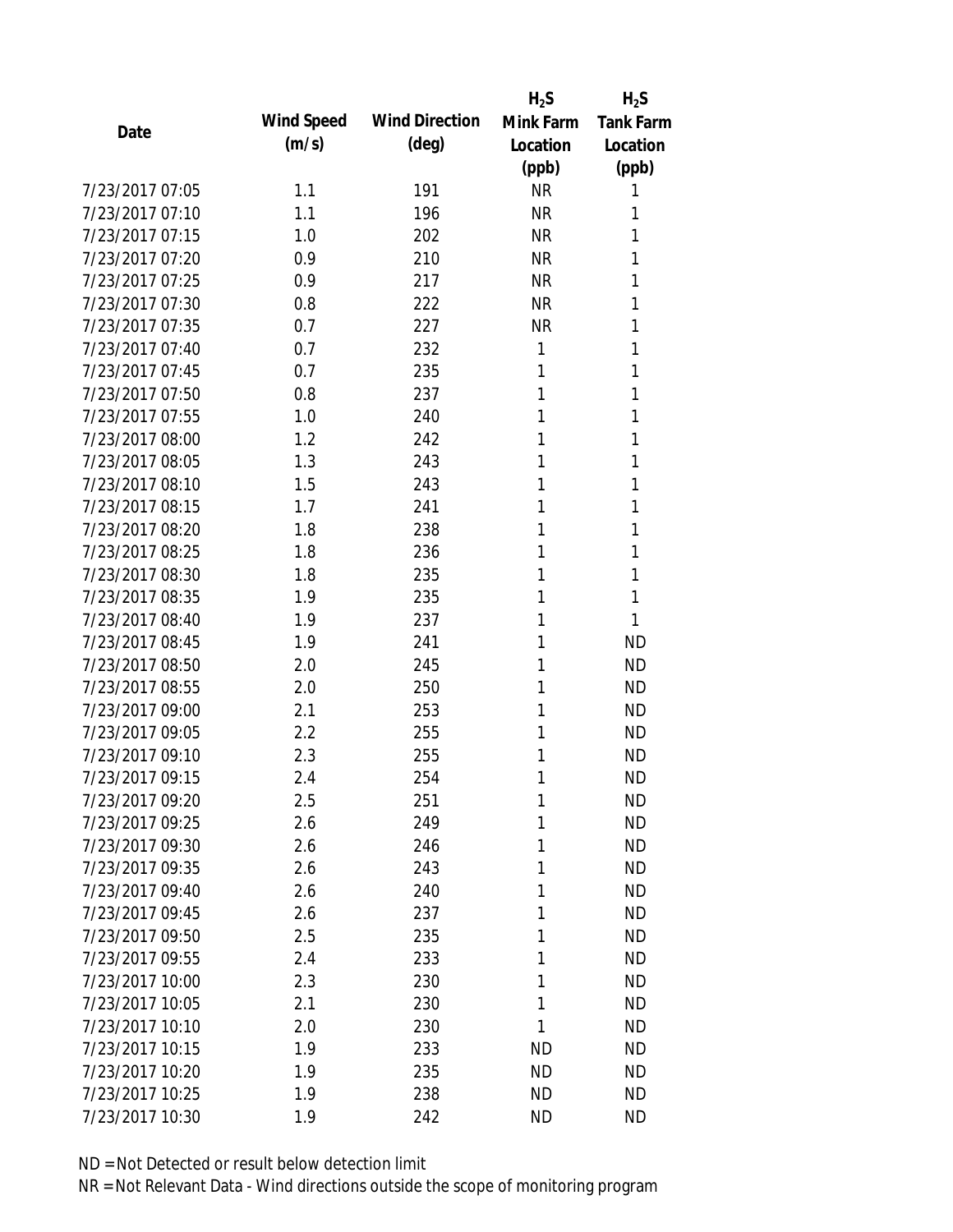|                 |            |                       | $H_2S$    | $H_2S$           |
|-----------------|------------|-----------------------|-----------|------------------|
| Date            | Wind Speed | <b>Wind Direction</b> | Mink Farm | <b>Tank Farm</b> |
|                 | (m/s)      | $(\text{deg})$        | Location  | Location         |
|                 |            |                       | (ppb)     | (ppb)            |
| 7/23/2017 07:05 | 1.1        | 191                   | <b>NR</b> | 1                |
| 7/23/2017 07:10 | 1.1        | 196                   | <b>NR</b> | 1                |
| 7/23/2017 07:15 | 1.0        | 202                   | <b>NR</b> | 1                |
| 7/23/2017 07:20 | 0.9        | 210                   | <b>NR</b> | 1                |
| 7/23/2017 07:25 | 0.9        | 217                   | <b>NR</b> | 1                |
| 7/23/2017 07:30 | 0.8        | 222                   | <b>NR</b> | 1                |
| 7/23/2017 07:35 | 0.7        | 227                   | <b>NR</b> | 1                |
| 7/23/2017 07:40 | 0.7        | 232                   | 1         | 1                |
| 7/23/2017 07:45 | 0.7        | 235                   | 1         | 1                |
| 7/23/2017 07:50 | 0.8        | 237                   | 1         | 1                |
| 7/23/2017 07:55 | 1.0        | 240                   | 1         | 1                |
| 7/23/2017 08:00 | 1.2        | 242                   | 1         | 1                |
| 7/23/2017 08:05 | 1.3        | 243                   | 1         | 1                |
| 7/23/2017 08:10 | 1.5        | 243                   | 1         | 1                |
| 7/23/2017 08:15 | 1.7        | 241                   | 1         | 1                |
| 7/23/2017 08:20 | 1.8        | 238                   | 1         | 1                |
| 7/23/2017 08:25 | 1.8        | 236                   | 1         | 1                |
| 7/23/2017 08:30 | 1.8        | 235                   | 1         | 1                |
| 7/23/2017 08:35 | 1.9        | 235                   | 1         | 1                |
| 7/23/2017 08:40 | 1.9        | 237                   | 1         | 1                |
| 7/23/2017 08:45 | 1.9        | 241                   | 1         | <b>ND</b>        |
| 7/23/2017 08:50 | 2.0        | 245                   | 1         | <b>ND</b>        |
| 7/23/2017 08:55 | 2.0        | 250                   | 1         | <b>ND</b>        |
| 7/23/2017 09:00 | 2.1        | 253                   | 1         | <b>ND</b>        |
| 7/23/2017 09:05 | 2.2        | 255                   | 1         | <b>ND</b>        |
| 7/23/2017 09:10 | 2.3        | 255                   | 1         | <b>ND</b>        |
| 7/23/2017 09:15 | 2.4        | 254                   | 1         | <b>ND</b>        |
| 7/23/2017 09:20 | 2.5        | 251                   | 1         | <b>ND</b>        |
| 7/23/2017 09:25 | 2.6        | 249                   | 1         | <b>ND</b>        |
| 7/23/2017 09:30 | 2.6        | 246                   | 1         | <b>ND</b>        |
| 7/23/2017 09:35 | 2.6        | 243                   | 1         | <b>ND</b>        |
| 7/23/2017 09:40 | 2.6        | 240                   | 1         | <b>ND</b>        |
| 7/23/2017 09:45 | 2.6        | 237                   | 1         | <b>ND</b>        |
| 7/23/2017 09:50 | 2.5        | 235                   | 1         | <b>ND</b>        |
| 7/23/2017 09:55 | 2.4        | 233                   | 1         | <b>ND</b>        |
| 7/23/2017 10:00 | 2.3        | 230                   | 1         | <b>ND</b>        |
| 7/23/2017 10:05 | 2.1        | 230                   | 1         | <b>ND</b>        |
| 7/23/2017 10:10 | 2.0        | 230                   | 1         | <b>ND</b>        |
| 7/23/2017 10:15 | 1.9        | 233                   | <b>ND</b> | <b>ND</b>        |
| 7/23/2017 10:20 | 1.9        | 235                   | <b>ND</b> | <b>ND</b>        |
| 7/23/2017 10:25 | 1.9        | 238                   | <b>ND</b> | <b>ND</b>        |
| 7/23/2017 10:30 | 1.9        | 242                   | <b>ND</b> | <b>ND</b>        |
|                 |            |                       |           |                  |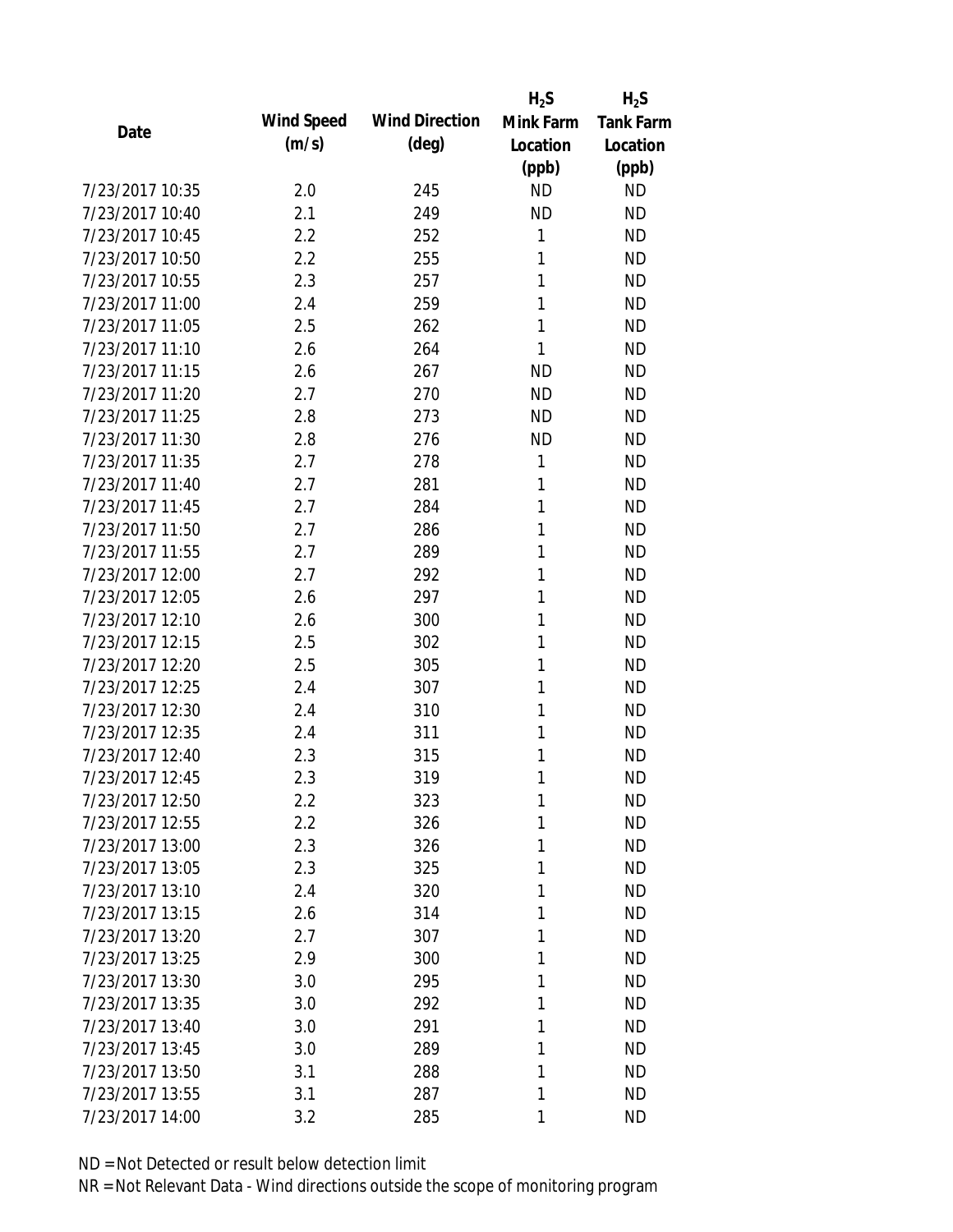|                 |            |                       | $H_2S$    | $H_2S$           |
|-----------------|------------|-----------------------|-----------|------------------|
| Date            | Wind Speed | <b>Wind Direction</b> | Mink Farm | <b>Tank Farm</b> |
|                 | (m/s)      | $(\text{deg})$        | Location  | Location         |
|                 |            |                       | (ppb)     | (ppb)            |
| 7/23/2017 10:35 | 2.0        | 245                   | <b>ND</b> | <b>ND</b>        |
| 7/23/2017 10:40 | 2.1        | 249                   | <b>ND</b> | <b>ND</b>        |
| 7/23/2017 10:45 | 2.2        | 252                   | 1         | <b>ND</b>        |
| 7/23/2017 10:50 | 2.2        | 255                   | 1         | <b>ND</b>        |
| 7/23/2017 10:55 | 2.3        | 257                   | 1         | <b>ND</b>        |
| 7/23/2017 11:00 | 2.4        | 259                   | 1         | <b>ND</b>        |
| 7/23/2017 11:05 | 2.5        | 262                   | 1         | <b>ND</b>        |
| 7/23/2017 11:10 | 2.6        | 264                   | 1         | <b>ND</b>        |
| 7/23/2017 11:15 | 2.6        | 267                   | <b>ND</b> | <b>ND</b>        |
| 7/23/2017 11:20 | 2.7        | 270                   | <b>ND</b> | <b>ND</b>        |
| 7/23/2017 11:25 | 2.8        | 273                   | <b>ND</b> | <b>ND</b>        |
| 7/23/2017 11:30 | 2.8        | 276                   | <b>ND</b> | <b>ND</b>        |
| 7/23/2017 11:35 | 2.7        | 278                   | 1         | <b>ND</b>        |
| 7/23/2017 11:40 | 2.7        | 281                   | 1         | <b>ND</b>        |
| 7/23/2017 11:45 | 2.7        | 284                   | 1         | <b>ND</b>        |
| 7/23/2017 11:50 | 2.7        | 286                   | 1         | <b>ND</b>        |
| 7/23/2017 11:55 | 2.7        | 289                   | 1         | <b>ND</b>        |
| 7/23/2017 12:00 | 2.7        | 292                   | 1         | <b>ND</b>        |
| 7/23/2017 12:05 | 2.6        | 297                   | 1         | <b>ND</b>        |
| 7/23/2017 12:10 | 2.6        | 300                   | 1         | <b>ND</b>        |
| 7/23/2017 12:15 | 2.5        | 302                   | 1         | <b>ND</b>        |
| 7/23/2017 12:20 | 2.5        | 305                   | 1         | <b>ND</b>        |
| 7/23/2017 12:25 | 2.4        | 307                   | 1         | <b>ND</b>        |
| 7/23/2017 12:30 | 2.4        | 310                   | 1         | <b>ND</b>        |
| 7/23/2017 12:35 | 2.4        | 311                   | 1         | <b>ND</b>        |
| 7/23/2017 12:40 | 2.3        | 315                   | 1         | <b>ND</b>        |
| 7/23/2017 12:45 | 2.3        | 319                   | 1         | <b>ND</b>        |
| 7/23/2017 12:50 | 2.2        | 323                   | 1         | <b>ND</b>        |
| 7/23/2017 12:55 | 2.2        | 326                   | 1         | <b>ND</b>        |
| 7/23/2017 13:00 | 2.3        | 326                   | 1         | <b>ND</b>        |
| 7/23/2017 13:05 | 2.3        | 325                   | 1         | <b>ND</b>        |
| 7/23/2017 13:10 | 2.4        | 320                   | 1         | <b>ND</b>        |
| 7/23/2017 13:15 | 2.6        | 314                   | 1         | <b>ND</b>        |
| 7/23/2017 13:20 | 2.7        | 307                   | 1         | <b>ND</b>        |
| 7/23/2017 13:25 | 2.9        | 300                   | 1         | <b>ND</b>        |
| 7/23/2017 13:30 | 3.0        | 295                   | 1         | <b>ND</b>        |
| 7/23/2017 13:35 | 3.0        | 292                   | 1         | <b>ND</b>        |
| 7/23/2017 13:40 | 3.0        | 291                   | 1         | <b>ND</b>        |
| 7/23/2017 13:45 | 3.0        | 289                   | 1         | <b>ND</b>        |
| 7/23/2017 13:50 | 3.1        | 288                   | 1         | <b>ND</b>        |
| 7/23/2017 13:55 | 3.1        | 287                   | 1         | <b>ND</b>        |
| 7/23/2017 14:00 | 3.2        | 285                   | 1         | <b>ND</b>        |
|                 |            |                       |           |                  |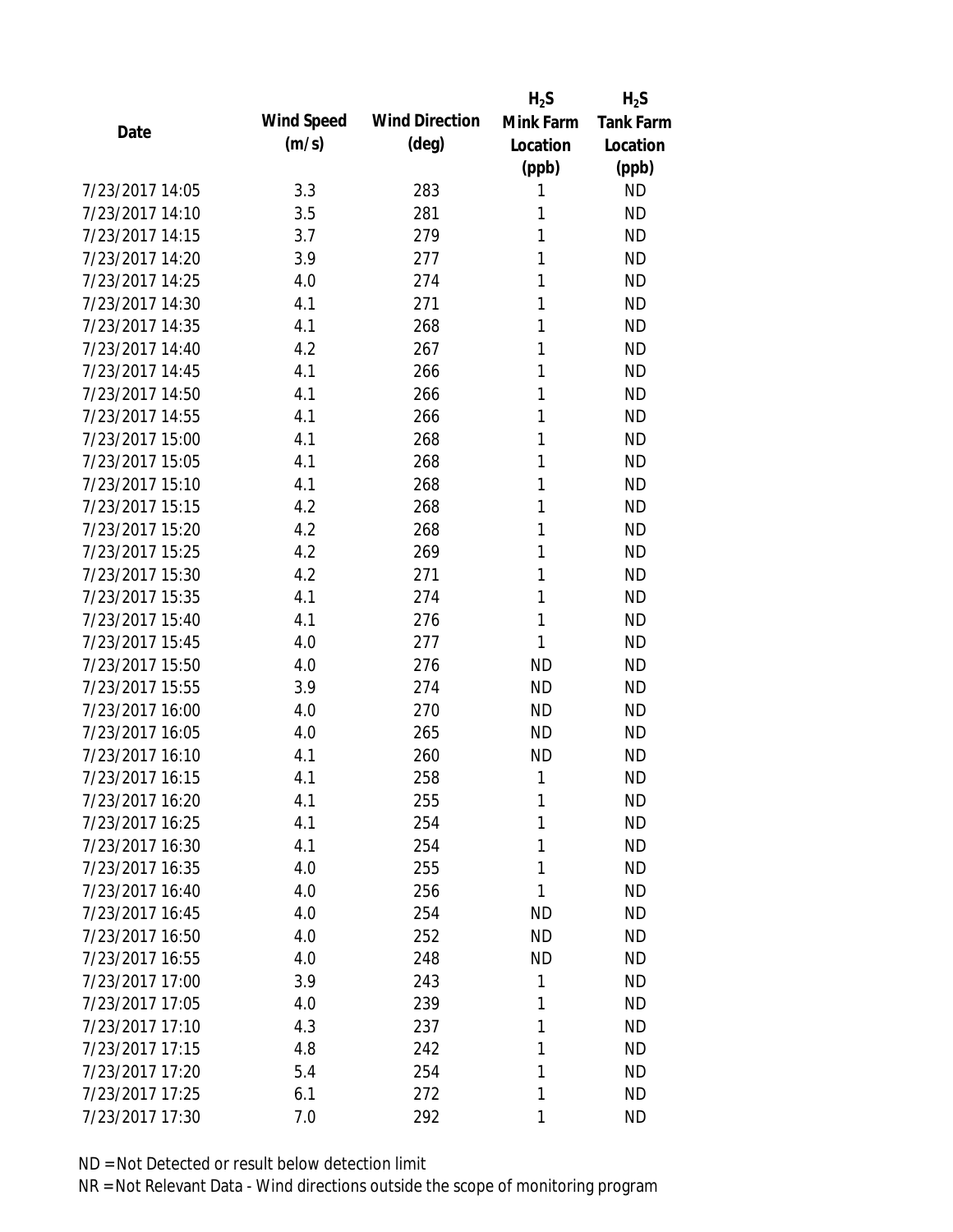|                 |            |                       | $H_2S$    | $H_2S$           |
|-----------------|------------|-----------------------|-----------|------------------|
| Date            | Wind Speed | <b>Wind Direction</b> | Mink Farm | <b>Tank Farm</b> |
|                 | (m/s)      | $(\text{deg})$        | Location  | Location         |
|                 |            |                       | (ppb)     | (ppb)            |
| 7/23/2017 14:05 | 3.3        | 283                   | 1         | <b>ND</b>        |
| 7/23/2017 14:10 | 3.5        | 281                   | 1         | <b>ND</b>        |
| 7/23/2017 14:15 | 3.7        | 279                   | 1         | <b>ND</b>        |
| 7/23/2017 14:20 | 3.9        | 277                   | 1         | <b>ND</b>        |
| 7/23/2017 14:25 | 4.0        | 274                   | 1         | <b>ND</b>        |
| 7/23/2017 14:30 | 4.1        | 271                   | 1         | <b>ND</b>        |
| 7/23/2017 14:35 | 4.1        | 268                   | 1         | <b>ND</b>        |
| 7/23/2017 14:40 | 4.2        | 267                   | 1         | <b>ND</b>        |
| 7/23/2017 14:45 | 4.1        | 266                   | 1         | <b>ND</b>        |
| 7/23/2017 14:50 | 4.1        | 266                   | 1         | <b>ND</b>        |
| 7/23/2017 14:55 | 4.1        | 266                   | 1         | <b>ND</b>        |
| 7/23/2017 15:00 | 4.1        | 268                   | 1         | <b>ND</b>        |
| 7/23/2017 15:05 | 4.1        | 268                   | 1         | <b>ND</b>        |
| 7/23/2017 15:10 | 4.1        | 268                   | 1         | <b>ND</b>        |
| 7/23/2017 15:15 | 4.2        | 268                   | 1         | <b>ND</b>        |
| 7/23/2017 15:20 | 4.2        | 268                   | 1         | <b>ND</b>        |
| 7/23/2017 15:25 | 4.2        | 269                   | 1         | <b>ND</b>        |
| 7/23/2017 15:30 | 4.2        | 271                   | 1         | <b>ND</b>        |
| 7/23/2017 15:35 | 4.1        | 274                   | 1         | <b>ND</b>        |
| 7/23/2017 15:40 | 4.1        | 276                   | 1         | <b>ND</b>        |
| 7/23/2017 15:45 | 4.0        | 277                   | 1         | <b>ND</b>        |
| 7/23/2017 15:50 | 4.0        | 276                   | <b>ND</b> | <b>ND</b>        |
| 7/23/2017 15:55 | 3.9        | 274                   | <b>ND</b> | <b>ND</b>        |
| 7/23/2017 16:00 | 4.0        | 270                   | <b>ND</b> | <b>ND</b>        |
| 7/23/2017 16:05 | 4.0        | 265                   | <b>ND</b> | <b>ND</b>        |
| 7/23/2017 16:10 | 4.1        | 260                   | <b>ND</b> | <b>ND</b>        |
| 7/23/2017 16:15 | 4.1        | 258                   | 1         | <b>ND</b>        |
| 7/23/2017 16:20 | 4.1        | 255                   | 1         | <b>ND</b>        |
| 7/23/2017 16:25 | 4.1        | 254                   | 1         | <b>ND</b>        |
| 7/23/2017 16:30 | 4.1        | 254                   | 1         | <b>ND</b>        |
| 7/23/2017 16:35 | 4.0        | 255                   | 1         | <b>ND</b>        |
| 7/23/2017 16:40 | 4.0        | 256                   | 1         | <b>ND</b>        |
| 7/23/2017 16:45 | 4.0        | 254                   | ND        | <b>ND</b>        |
| 7/23/2017 16:50 | 4.0        | 252                   | <b>ND</b> | <b>ND</b>        |
| 7/23/2017 16:55 | 4.0        | 248                   | <b>ND</b> | <b>ND</b>        |
| 7/23/2017 17:00 | 3.9        | 243                   | 1         | <b>ND</b>        |
| 7/23/2017 17:05 | 4.0        | 239                   | 1         | <b>ND</b>        |
| 7/23/2017 17:10 | 4.3        | 237                   | 1         | <b>ND</b>        |
| 7/23/2017 17:15 | 4.8        | 242                   | 1         | <b>ND</b>        |
| 7/23/2017 17:20 | 5.4        | 254                   | 1         | <b>ND</b>        |
| 7/23/2017 17:25 | 6.1        | 272                   | 1         | <b>ND</b>        |
| 7/23/2017 17:30 | 7.0        | 292                   | 1         | <b>ND</b>        |
|                 |            |                       |           |                  |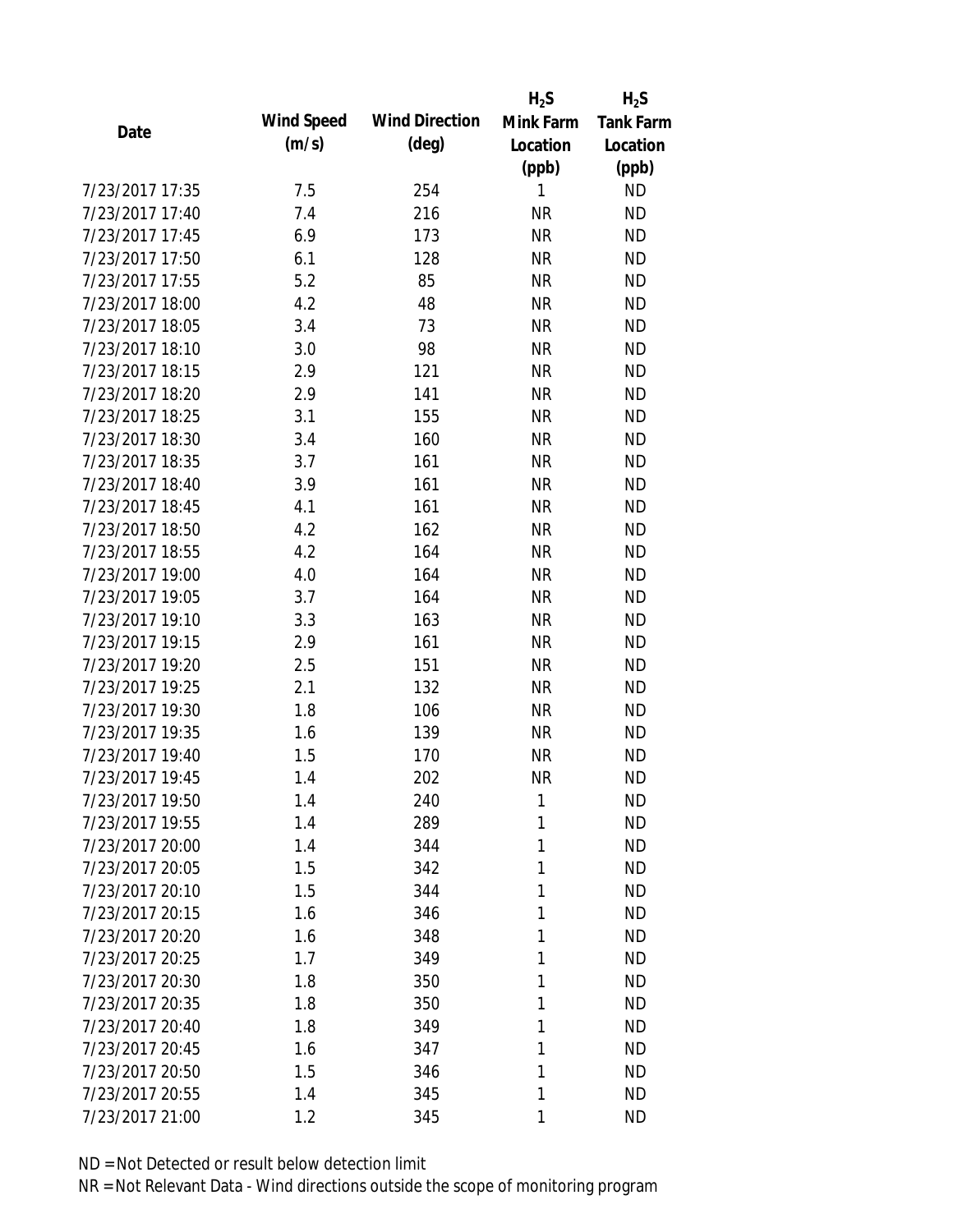|                 |            |                       | $H_2S$    | $H_2S$           |
|-----------------|------------|-----------------------|-----------|------------------|
| Date            | Wind Speed | <b>Wind Direction</b> | Mink Farm | <b>Tank Farm</b> |
|                 | (m/s)      | $(\text{deg})$        | Location  | Location         |
|                 |            |                       | (ppb)     | (ppb)            |
| 7/23/2017 17:35 | 7.5        | 254                   | 1         | <b>ND</b>        |
| 7/23/2017 17:40 | 7.4        | 216                   | <b>NR</b> | <b>ND</b>        |
| 7/23/2017 17:45 | 6.9        | 173                   | <b>NR</b> | <b>ND</b>        |
| 7/23/2017 17:50 | 6.1        | 128                   | <b>NR</b> | <b>ND</b>        |
| 7/23/2017 17:55 | 5.2        | 85                    | <b>NR</b> | <b>ND</b>        |
| 7/23/2017 18:00 | 4.2        | 48                    | <b>NR</b> | <b>ND</b>        |
| 7/23/2017 18:05 | 3.4        | 73                    | <b>NR</b> | <b>ND</b>        |
| 7/23/2017 18:10 | 3.0        | 98                    | <b>NR</b> | <b>ND</b>        |
| 7/23/2017 18:15 | 2.9        | 121                   | <b>NR</b> | <b>ND</b>        |
| 7/23/2017 18:20 | 2.9        | 141                   | <b>NR</b> | <b>ND</b>        |
| 7/23/2017 18:25 | 3.1        | 155                   | <b>NR</b> | <b>ND</b>        |
| 7/23/2017 18:30 | 3.4        | 160                   | <b>NR</b> | <b>ND</b>        |
| 7/23/2017 18:35 | 3.7        | 161                   | <b>NR</b> | <b>ND</b>        |
| 7/23/2017 18:40 | 3.9        | 161                   | <b>NR</b> | <b>ND</b>        |
| 7/23/2017 18:45 | 4.1        | 161                   | <b>NR</b> | <b>ND</b>        |
| 7/23/2017 18:50 | 4.2        | 162                   | <b>NR</b> | <b>ND</b>        |
| 7/23/2017 18:55 | 4.2        | 164                   | <b>NR</b> | <b>ND</b>        |
| 7/23/2017 19:00 | 4.0        | 164                   | <b>NR</b> | <b>ND</b>        |
| 7/23/2017 19:05 | 3.7        | 164                   | <b>NR</b> | <b>ND</b>        |
| 7/23/2017 19:10 | 3.3        | 163                   | <b>NR</b> | <b>ND</b>        |
| 7/23/2017 19:15 | 2.9        | 161                   | <b>NR</b> | <b>ND</b>        |
| 7/23/2017 19:20 | 2.5        | 151                   | <b>NR</b> | <b>ND</b>        |
| 7/23/2017 19:25 | 2.1        | 132                   | <b>NR</b> | <b>ND</b>        |
| 7/23/2017 19:30 | 1.8        | 106                   | <b>NR</b> | <b>ND</b>        |
| 7/23/2017 19:35 | 1.6        | 139                   | <b>NR</b> | <b>ND</b>        |
| 7/23/2017 19:40 | 1.5        | 170                   | <b>NR</b> | <b>ND</b>        |
| 7/23/2017 19:45 | 1.4        | 202                   | <b>NR</b> | <b>ND</b>        |
| 7/23/2017 19:50 | 1.4        | 240                   | 1         | <b>ND</b>        |
| 7/23/2017 19:55 | 1.4        | 289                   | 1         | <b>ND</b>        |
| 7/23/2017 20:00 | 1.4        | 344                   | 1         | <b>ND</b>        |
| 7/23/2017 20:05 | 1.5        | 342                   | 1         | <b>ND</b>        |
| 7/23/2017 20:10 | 1.5        | 344                   | 1         | <b>ND</b>        |
| 7/23/2017 20:15 | 1.6        | 346                   | 1         | <b>ND</b>        |
| 7/23/2017 20:20 | 1.6        | 348                   | 1         | <b>ND</b>        |
| 7/23/2017 20:25 | 1.7        | 349                   | 1         | <b>ND</b>        |
| 7/23/2017 20:30 | 1.8        | 350                   | 1         | <b>ND</b>        |
| 7/23/2017 20:35 | 1.8        | 350                   | 1         | <b>ND</b>        |
| 7/23/2017 20:40 | 1.8        | 349                   | 1         | <b>ND</b>        |
| 7/23/2017 20:45 | 1.6        | 347                   | 1         | <b>ND</b>        |
| 7/23/2017 20:50 | 1.5        | 346                   | 1         | <b>ND</b>        |
| 7/23/2017 20:55 | 1.4        | 345                   | 1         | <b>ND</b>        |
| 7/23/2017 21:00 | 1.2        | 345                   | 1         | <b>ND</b>        |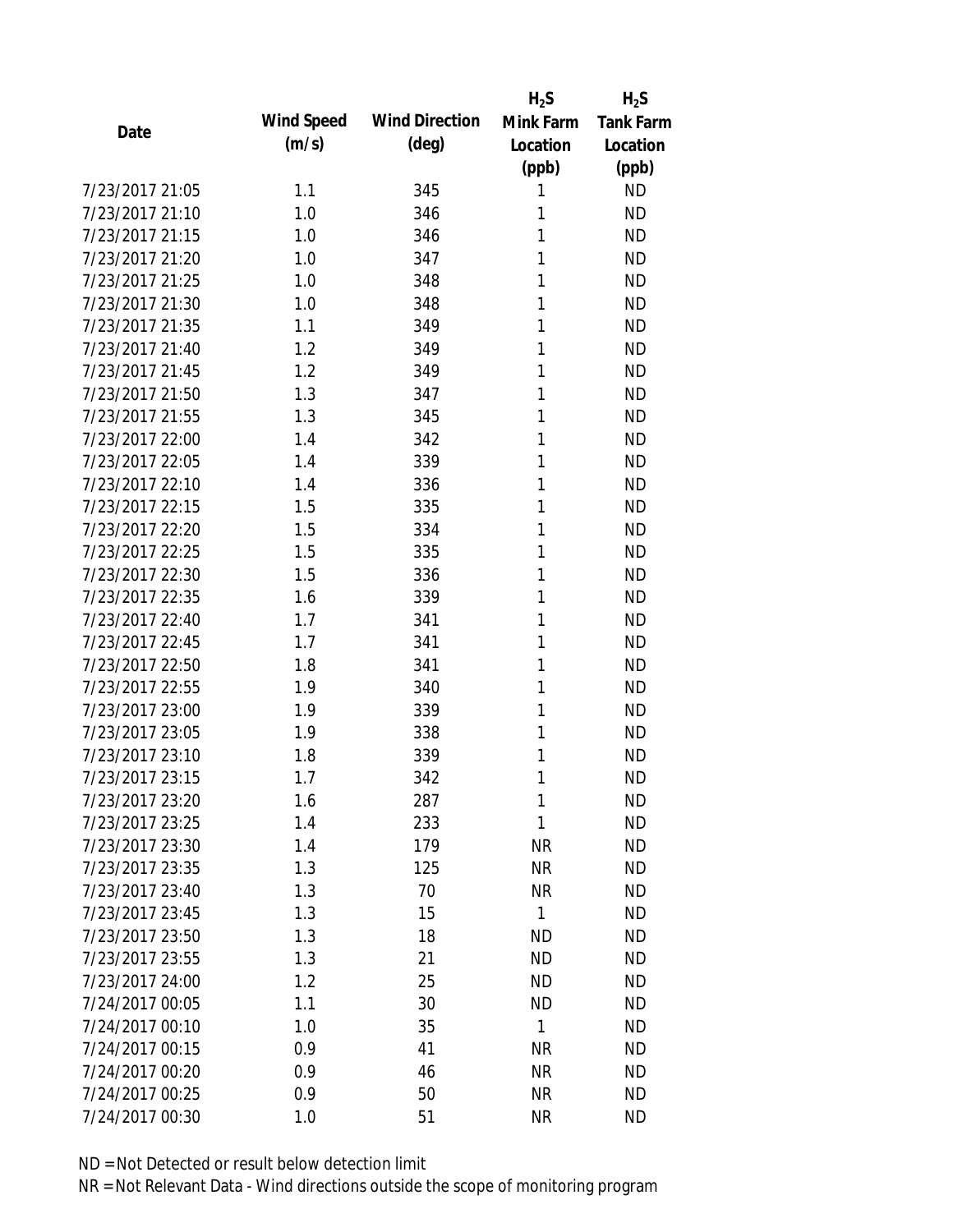|                 |            |                       | $H_2S$       | $H_2S$           |
|-----------------|------------|-----------------------|--------------|------------------|
| Date            | Wind Speed | <b>Wind Direction</b> | Mink Farm    | <b>Tank Farm</b> |
|                 | (m/s)      | $(\text{deg})$        | Location     | Location         |
|                 |            |                       | (ppb)        | (ppb)            |
| 7/23/2017 21:05 | 1.1        | 345                   | 1            | <b>ND</b>        |
| 7/23/2017 21:10 | 1.0        | 346                   | 1            | <b>ND</b>        |
| 7/23/2017 21:15 | 1.0        | 346                   | 1            | <b>ND</b>        |
| 7/23/2017 21:20 | 1.0        | 347                   | 1            | <b>ND</b>        |
| 7/23/2017 21:25 | 1.0        | 348                   | 1            | <b>ND</b>        |
| 7/23/2017 21:30 | 1.0        | 348                   | 1            | <b>ND</b>        |
| 7/23/2017 21:35 | 1.1        | 349                   | 1            | <b>ND</b>        |
| 7/23/2017 21:40 | 1.2        | 349                   | 1            | <b>ND</b>        |
| 7/23/2017 21:45 | 1.2        | 349                   | 1            | <b>ND</b>        |
| 7/23/2017 21:50 | 1.3        | 347                   | 1            | <b>ND</b>        |
| 7/23/2017 21:55 | 1.3        | 345                   | 1            | <b>ND</b>        |
| 7/23/2017 22:00 | 1.4        | 342                   | 1            | <b>ND</b>        |
| 7/23/2017 22:05 | 1.4        | 339                   | 1            | <b>ND</b>        |
| 7/23/2017 22:10 | 1.4        | 336                   | 1            | <b>ND</b>        |
| 7/23/2017 22:15 | 1.5        | 335                   | 1            | <b>ND</b>        |
| 7/23/2017 22:20 | 1.5        | 334                   | 1            | <b>ND</b>        |
| 7/23/2017 22:25 | 1.5        | 335                   | 1            | <b>ND</b>        |
| 7/23/2017 22:30 | 1.5        | 336                   | 1            | <b>ND</b>        |
| 7/23/2017 22:35 | 1.6        | 339                   | 1            | <b>ND</b>        |
| 7/23/2017 22:40 | 1.7        | 341                   | 1            | <b>ND</b>        |
| 7/23/2017 22:45 | 1.7        | 341                   | 1            | <b>ND</b>        |
| 7/23/2017 22:50 | 1.8        | 341                   | 1            | <b>ND</b>        |
| 7/23/2017 22:55 | 1.9        | 340                   | 1            | <b>ND</b>        |
| 7/23/2017 23:00 | 1.9        | 339                   | 1            | <b>ND</b>        |
| 7/23/2017 23:05 | 1.9        | 338                   | 1            | <b>ND</b>        |
| 7/23/2017 23:10 | 1.8        | 339                   | 1            | <b>ND</b>        |
| 7/23/2017 23:15 | 1.7        | 342                   | 1            | <b>ND</b>        |
| 7/23/2017 23:20 | 1.6        | 287                   | 1            | <b>ND</b>        |
| 7/23/2017 23:25 | 1.4        | 233                   | 1            | <b>ND</b>        |
| 7/23/2017 23:30 | 1.4        | 179                   | <b>NR</b>    | <b>ND</b>        |
| 7/23/2017 23:35 | 1.3        | 125                   | <b>NR</b>    | <b>ND</b>        |
| 7/23/2017 23:40 | 1.3        | 70                    | <b>NR</b>    | <b>ND</b>        |
| 7/23/2017 23:45 | 1.3        | 15                    | $\mathbf{1}$ | <b>ND</b>        |
| 7/23/2017 23:50 | 1.3        | 18                    | <b>ND</b>    | <b>ND</b>        |
| 7/23/2017 23:55 | 1.3        | 21                    | <b>ND</b>    | <b>ND</b>        |
| 7/23/2017 24:00 | 1.2        | 25                    | <b>ND</b>    | <b>ND</b>        |
| 7/24/2017 00:05 | 1.1        | 30                    | <b>ND</b>    | <b>ND</b>        |
| 7/24/2017 00:10 | 1.0        | 35                    | $\mathbf{1}$ | <b>ND</b>        |
| 7/24/2017 00:15 | 0.9        | 41                    | <b>NR</b>    | <b>ND</b>        |
| 7/24/2017 00:20 | 0.9        | 46                    | <b>NR</b>    | <b>ND</b>        |
| 7/24/2017 00:25 | 0.9        | 50                    | <b>NR</b>    | <b>ND</b>        |
| 7/24/2017 00:30 | 1.0        | 51                    | <b>NR</b>    | <b>ND</b>        |
|                 |            |                       |              |                  |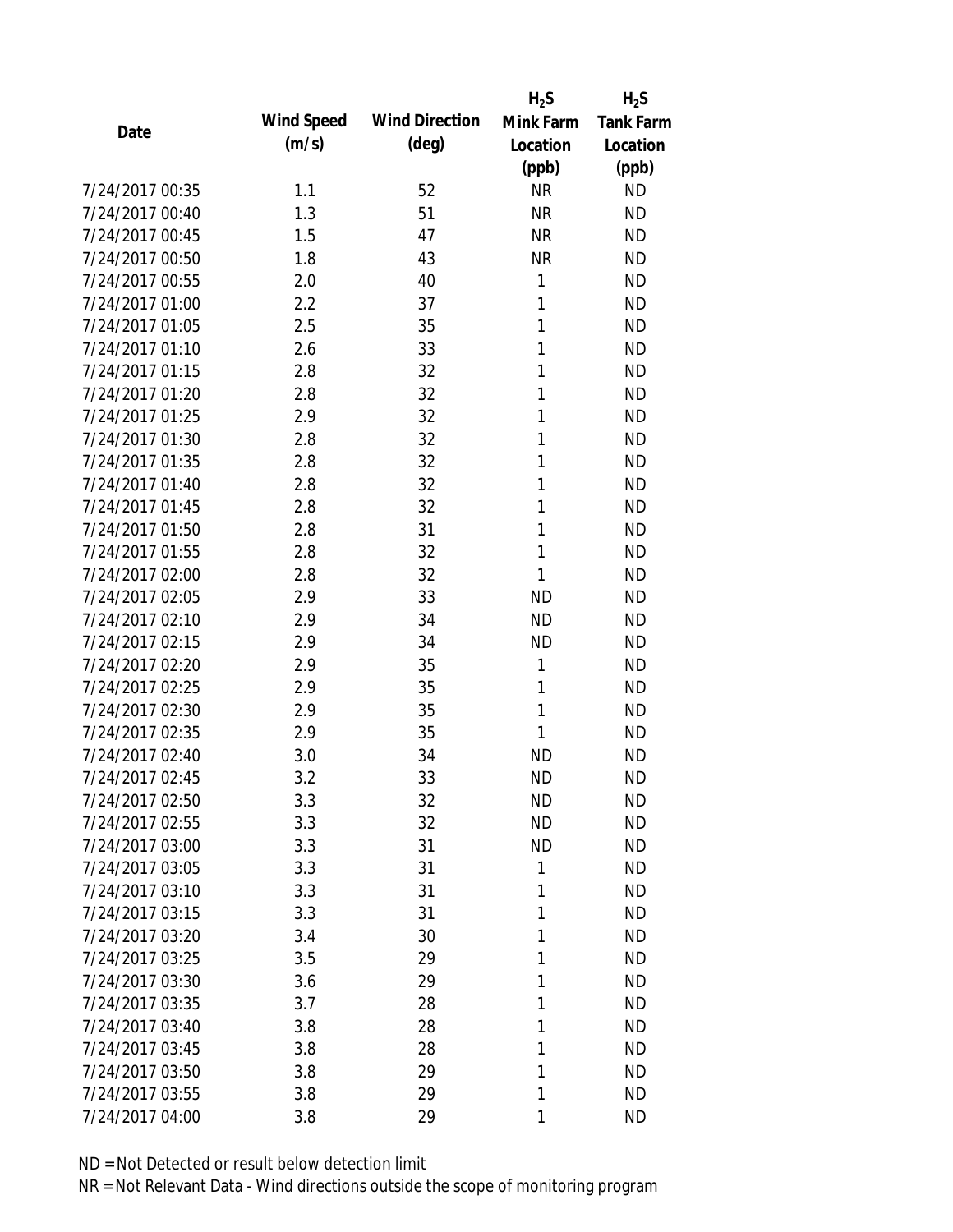|                 |            |                       | $H_2S$    | $H_2S$           |
|-----------------|------------|-----------------------|-----------|------------------|
| Date            | Wind Speed | <b>Wind Direction</b> | Mink Farm | <b>Tank Farm</b> |
|                 | (m/s)      | $(\text{deg})$        | Location  | Location         |
|                 |            |                       | (ppb)     | (ppb)            |
| 7/24/2017 00:35 | 1.1        | 52                    | <b>NR</b> | <b>ND</b>        |
| 7/24/2017 00:40 | 1.3        | 51                    | <b>NR</b> | <b>ND</b>        |
| 7/24/2017 00:45 | 1.5        | 47                    | <b>NR</b> | <b>ND</b>        |
| 7/24/2017 00:50 | 1.8        | 43                    | <b>NR</b> | <b>ND</b>        |
| 7/24/2017 00:55 | 2.0        | 40                    | 1         | <b>ND</b>        |
| 7/24/2017 01:00 | 2.2        | 37                    | 1         | <b>ND</b>        |
| 7/24/2017 01:05 | 2.5        | 35                    | 1         | <b>ND</b>        |
| 7/24/2017 01:10 | 2.6        | 33                    | 1         | <b>ND</b>        |
| 7/24/2017 01:15 | 2.8        | 32                    | 1         | <b>ND</b>        |
| 7/24/2017 01:20 | 2.8        | 32                    | 1         | <b>ND</b>        |
| 7/24/2017 01:25 | 2.9        | 32                    | 1         | <b>ND</b>        |
| 7/24/2017 01:30 | 2.8        | 32                    | 1         | <b>ND</b>        |
| 7/24/2017 01:35 | 2.8        | 32                    | 1         | <b>ND</b>        |
| 7/24/2017 01:40 | 2.8        | 32                    | 1         | <b>ND</b>        |
| 7/24/2017 01:45 | 2.8        | 32                    | 1         | <b>ND</b>        |
| 7/24/2017 01:50 | 2.8        | 31                    | 1         | <b>ND</b>        |
| 7/24/2017 01:55 | 2.8        | 32                    | 1         | <b>ND</b>        |
| 7/24/2017 02:00 | 2.8        | 32                    | 1         | <b>ND</b>        |
| 7/24/2017 02:05 | 2.9        | 33                    | <b>ND</b> | <b>ND</b>        |
| 7/24/2017 02:10 | 2.9        | 34                    | <b>ND</b> | <b>ND</b>        |
| 7/24/2017 02:15 | 2.9        | 34                    | <b>ND</b> | <b>ND</b>        |
| 7/24/2017 02:20 | 2.9        | 35                    | 1         | <b>ND</b>        |
| 7/24/2017 02:25 | 2.9        | 35                    | 1         | <b>ND</b>        |
| 7/24/2017 02:30 | 2.9        | 35                    | 1         | <b>ND</b>        |
| 7/24/2017 02:35 | 2.9        | 35                    | 1         | <b>ND</b>        |
| 7/24/2017 02:40 | 3.0        | 34                    | <b>ND</b> | <b>ND</b>        |
| 7/24/2017 02:45 | 3.2        | 33                    | <b>ND</b> | <b>ND</b>        |
| 7/24/2017 02:50 | 3.3        | 32                    | <b>ND</b> | <b>ND</b>        |
| 7/24/2017 02:55 | 3.3        | 32                    | <b>ND</b> | <b>ND</b>        |
| 7/24/2017 03:00 | 3.3        | 31                    | <b>ND</b> | <b>ND</b>        |
| 7/24/2017 03:05 | 3.3        | 31                    | 1         | <b>ND</b>        |
| 7/24/2017 03:10 | 3.3        | 31                    | 1         | <b>ND</b>        |
| 7/24/2017 03:15 | 3.3        | 31                    | 1         | <b>ND</b>        |
| 7/24/2017 03:20 | 3.4        | 30                    | 1         | <b>ND</b>        |
| 7/24/2017 03:25 | 3.5        | 29                    | 1         | <b>ND</b>        |
| 7/24/2017 03:30 | 3.6        | 29                    | 1         | <b>ND</b>        |
| 7/24/2017 03:35 | 3.7        | 28                    | 1         | <b>ND</b>        |
| 7/24/2017 03:40 | 3.8        | 28                    | 1         | <b>ND</b>        |
| 7/24/2017 03:45 | 3.8        | 28                    | 1         | <b>ND</b>        |
| 7/24/2017 03:50 | 3.8        | 29                    | 1         | <b>ND</b>        |
| 7/24/2017 03:55 | 3.8        | 29                    | 1         | <b>ND</b>        |
| 7/24/2017 04:00 | 3.8        | 29                    | 1         | <b>ND</b>        |
|                 |            |                       |           |                  |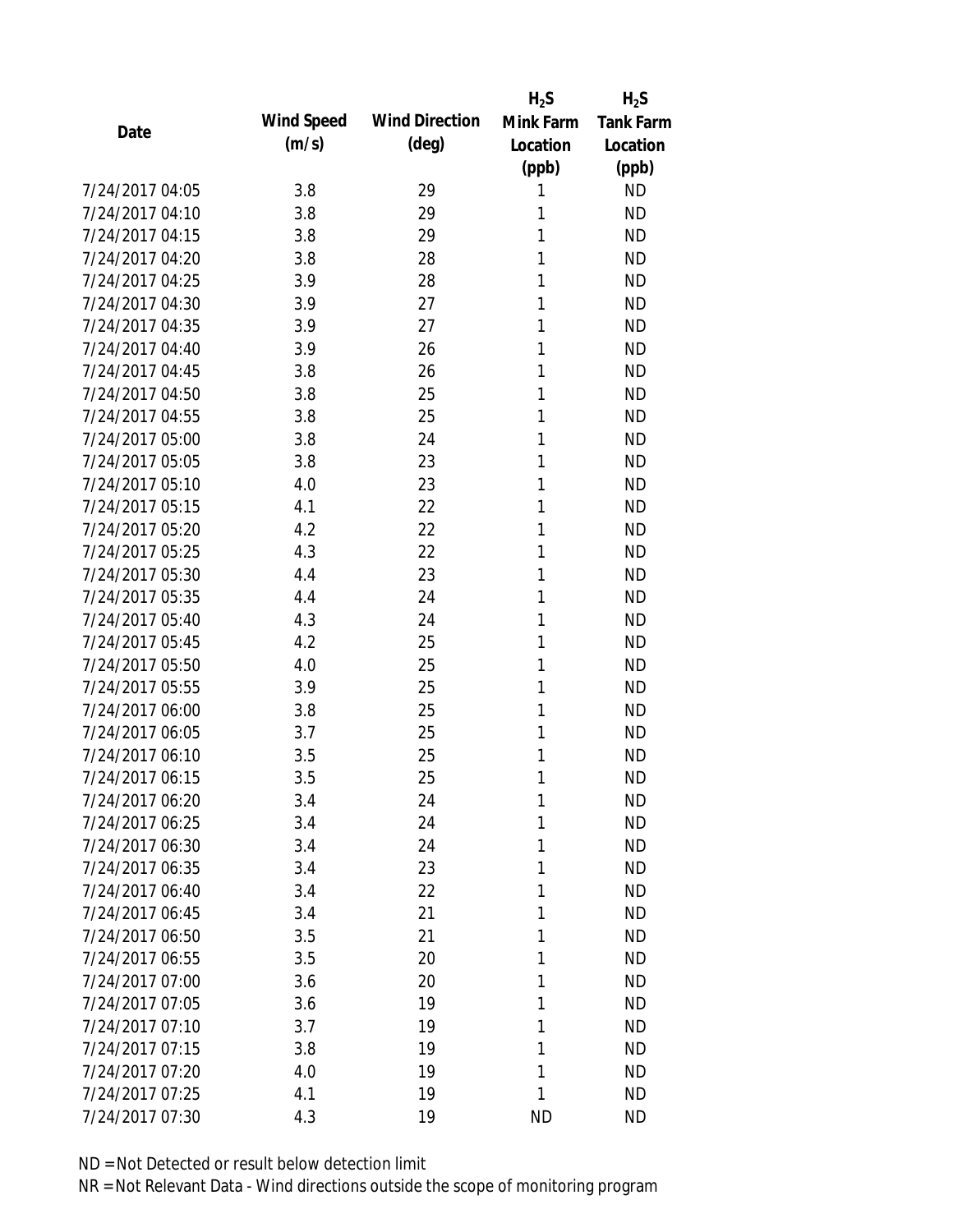|                 |            |                       | $H_2S$    | $H_2S$           |
|-----------------|------------|-----------------------|-----------|------------------|
| Date            | Wind Speed | <b>Wind Direction</b> | Mink Farm | <b>Tank Farm</b> |
|                 | (m/s)      | $(\text{deg})$        | Location  | Location         |
|                 |            |                       | (ppb)     | (ppb)            |
| 7/24/2017 04:05 | 3.8        | 29                    | 1         | <b>ND</b>        |
| 7/24/2017 04:10 | 3.8        | 29                    | 1         | <b>ND</b>        |
| 7/24/2017 04:15 | 3.8        | 29                    | 1         | <b>ND</b>        |
| 7/24/2017 04:20 | 3.8        | 28                    | 1         | <b>ND</b>        |
| 7/24/2017 04:25 | 3.9        | 28                    | 1         | <b>ND</b>        |
| 7/24/2017 04:30 | 3.9        | 27                    | 1         | <b>ND</b>        |
| 7/24/2017 04:35 | 3.9        | 27                    | 1         | <b>ND</b>        |
| 7/24/2017 04:40 | 3.9        | 26                    | 1         | <b>ND</b>        |
| 7/24/2017 04:45 | 3.8        | 26                    | 1         | <b>ND</b>        |
| 7/24/2017 04:50 | 3.8        | 25                    | 1         | <b>ND</b>        |
| 7/24/2017 04:55 | 3.8        | 25                    | 1         | <b>ND</b>        |
| 7/24/2017 05:00 | 3.8        | 24                    | 1         | <b>ND</b>        |
| 7/24/2017 05:05 | 3.8        | 23                    | 1         | <b>ND</b>        |
| 7/24/2017 05:10 | 4.0        | 23                    | 1         | <b>ND</b>        |
| 7/24/2017 05:15 | 4.1        | 22                    | 1         | <b>ND</b>        |
| 7/24/2017 05:20 | 4.2        | 22                    | 1         | <b>ND</b>        |
| 7/24/2017 05:25 | 4.3        | 22                    | 1         | <b>ND</b>        |
| 7/24/2017 05:30 | 4.4        | 23                    | 1         | <b>ND</b>        |
| 7/24/2017 05:35 | 4.4        | 24                    | 1         | <b>ND</b>        |
| 7/24/2017 05:40 | 4.3        | 24                    | 1         | <b>ND</b>        |
| 7/24/2017 05:45 | 4.2        | 25                    | 1         | <b>ND</b>        |
| 7/24/2017 05:50 | 4.0        | 25                    | 1         | <b>ND</b>        |
| 7/24/2017 05:55 | 3.9        | 25                    | 1         | <b>ND</b>        |
| 7/24/2017 06:00 | 3.8        | 25                    | 1         | <b>ND</b>        |
| 7/24/2017 06:05 | 3.7        | 25                    | 1         | <b>ND</b>        |
| 7/24/2017 06:10 | 3.5        | 25                    | 1         | <b>ND</b>        |
| 7/24/2017 06:15 | 3.5        | 25                    | 1         | <b>ND</b>        |
| 7/24/2017 06:20 | 3.4        | 24                    | 1         | <b>ND</b>        |
| 7/24/2017 06:25 | 3.4        | 24                    | 1         | <b>ND</b>        |
| 7/24/2017 06:30 | 3.4        | 24                    | 1         | <b>ND</b>        |
| 7/24/2017 06:35 | 3.4        | 23                    | 1         | <b>ND</b>        |
| 7/24/2017 06:40 | 3.4        | 22                    | 1         | <b>ND</b>        |
| 7/24/2017 06:45 | 3.4        | 21                    | 1         | <b>ND</b>        |
| 7/24/2017 06:50 | 3.5        | 21                    | 1         | <b>ND</b>        |
| 7/24/2017 06:55 | 3.5        | 20                    | 1         | <b>ND</b>        |
| 7/24/2017 07:00 | 3.6        | 20                    | 1         | <b>ND</b>        |
| 7/24/2017 07:05 | 3.6        | 19                    | 1         | <b>ND</b>        |
| 7/24/2017 07:10 | 3.7        | 19                    | 1         | <b>ND</b>        |
| 7/24/2017 07:15 | 3.8        | 19                    | 1         | <b>ND</b>        |
| 7/24/2017 07:20 | 4.0        | 19                    | 1         | <b>ND</b>        |
| 7/24/2017 07:25 | 4.1        | 19                    | 1         | <b>ND</b>        |
| 7/24/2017 07:30 | 4.3        | 19                    | <b>ND</b> | <b>ND</b>        |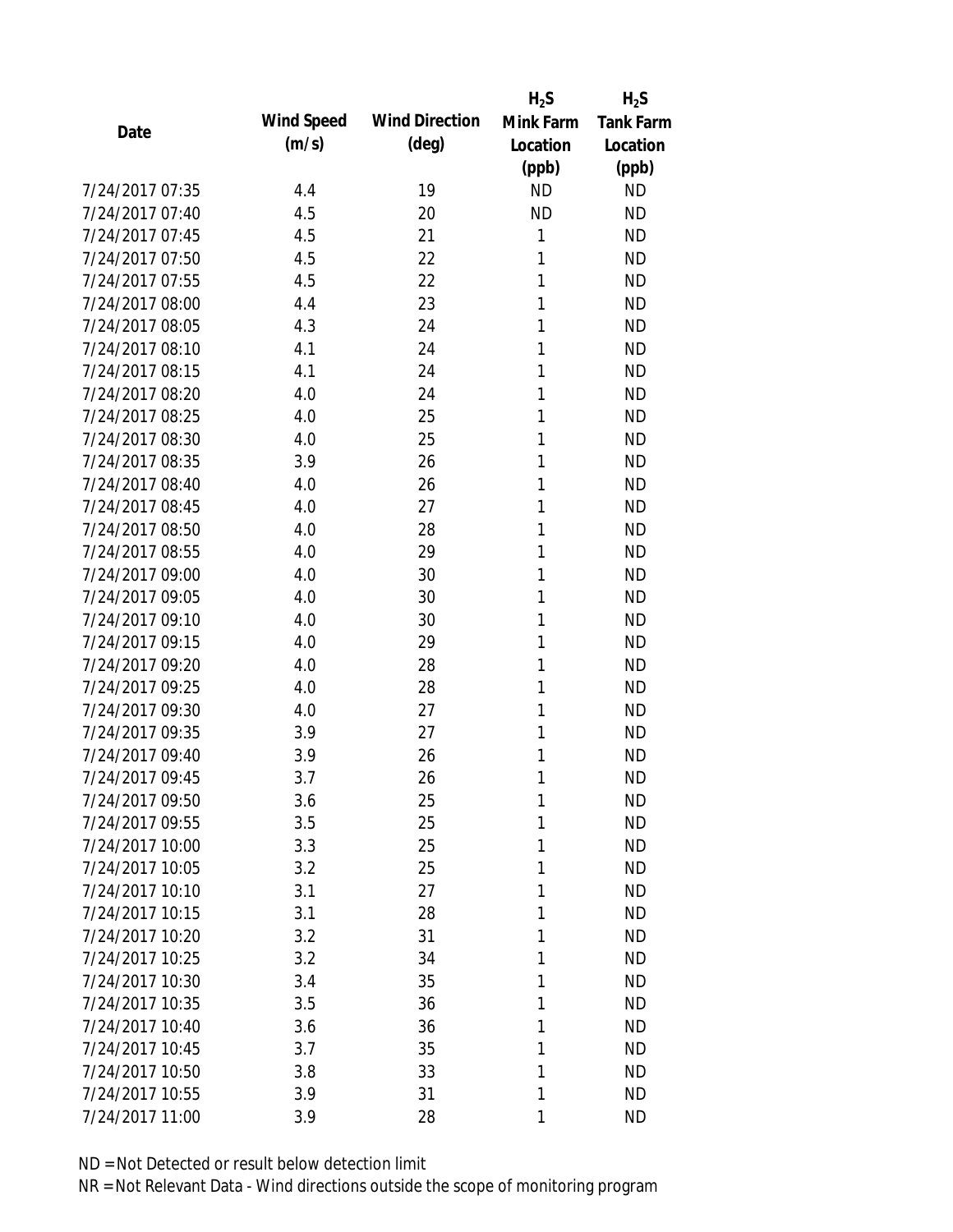|                 |            |                       | $H_2S$    | $H_2S$           |
|-----------------|------------|-----------------------|-----------|------------------|
| Date            | Wind Speed | <b>Wind Direction</b> | Mink Farm | <b>Tank Farm</b> |
|                 | (m/s)      | $(\text{deg})$        | Location  | Location         |
|                 |            |                       | (ppb)     | (ppb)            |
| 7/24/2017 07:35 | 4.4        | 19                    | <b>ND</b> | <b>ND</b>        |
| 7/24/2017 07:40 | 4.5        | 20                    | <b>ND</b> | <b>ND</b>        |
| 7/24/2017 07:45 | 4.5        | 21                    | 1         | <b>ND</b>        |
| 7/24/2017 07:50 | 4.5        | 22                    | 1         | <b>ND</b>        |
| 7/24/2017 07:55 | 4.5        | 22                    | 1         | <b>ND</b>        |
| 7/24/2017 08:00 | 4.4        | 23                    | 1         | <b>ND</b>        |
| 7/24/2017 08:05 | 4.3        | 24                    | 1         | <b>ND</b>        |
| 7/24/2017 08:10 | 4.1        | 24                    | 1         | <b>ND</b>        |
| 7/24/2017 08:15 | 4.1        | 24                    | 1         | <b>ND</b>        |
| 7/24/2017 08:20 | 4.0        | 24                    | 1         | <b>ND</b>        |
| 7/24/2017 08:25 | 4.0        | 25                    | 1         | <b>ND</b>        |
| 7/24/2017 08:30 | 4.0        | 25                    | 1         | <b>ND</b>        |
| 7/24/2017 08:35 | 3.9        | 26                    | 1         | <b>ND</b>        |
| 7/24/2017 08:40 | 4.0        | 26                    | 1         | <b>ND</b>        |
| 7/24/2017 08:45 | 4.0        | 27                    | 1         | <b>ND</b>        |
| 7/24/2017 08:50 | 4.0        | 28                    | 1         | <b>ND</b>        |
| 7/24/2017 08:55 | 4.0        | 29                    | 1         | <b>ND</b>        |
| 7/24/2017 09:00 | 4.0        | 30                    | 1         | <b>ND</b>        |
| 7/24/2017 09:05 | 4.0        | 30                    | 1         | <b>ND</b>        |
| 7/24/2017 09:10 | 4.0        | 30                    | 1         | <b>ND</b>        |
| 7/24/2017 09:15 | 4.0        | 29                    | 1         | <b>ND</b>        |
| 7/24/2017 09:20 | 4.0        | 28                    | 1         | <b>ND</b>        |
| 7/24/2017 09:25 | 4.0        | 28                    | 1         | <b>ND</b>        |
| 7/24/2017 09:30 | 4.0        | 27                    | 1         | <b>ND</b>        |
| 7/24/2017 09:35 | 3.9        | 27                    | 1         | <b>ND</b>        |
| 7/24/2017 09:40 | 3.9        | 26                    | 1         | <b>ND</b>        |
| 7/24/2017 09:45 | 3.7        | 26                    | 1         | <b>ND</b>        |
| 7/24/2017 09:50 | 3.6        | 25                    | 1         | <b>ND</b>        |
| 7/24/2017 09:55 | 3.5        | 25                    | 1         | <b>ND</b>        |
| 7/24/2017 10:00 | 3.3        | 25                    | 1         | <b>ND</b>        |
| 7/24/2017 10:05 | 3.2        | 25                    | 1         | <b>ND</b>        |
| 7/24/2017 10:10 | 3.1        | 27                    | 1         | <b>ND</b>        |
| 7/24/2017 10:15 | 3.1        | 28                    | 1         | <b>ND</b>        |
| 7/24/2017 10:20 | 3.2        | 31                    | 1         | <b>ND</b>        |
| 7/24/2017 10:25 | 3.2        | 34                    | 1         | <b>ND</b>        |
| 7/24/2017 10:30 | 3.4        | 35                    | 1         | <b>ND</b>        |
| 7/24/2017 10:35 | 3.5        | 36                    | 1         | <b>ND</b>        |
| 7/24/2017 10:40 | 3.6        | 36                    | 1         | <b>ND</b>        |
| 7/24/2017 10:45 | 3.7        | 35                    | 1         | <b>ND</b>        |
| 7/24/2017 10:50 | 3.8        | 33                    | 1         | <b>ND</b>        |
| 7/24/2017 10:55 | 3.9        | 31                    | 1         | <b>ND</b>        |
| 7/24/2017 11:00 | 3.9        | 28                    | 1         | <b>ND</b>        |
|                 |            |                       |           |                  |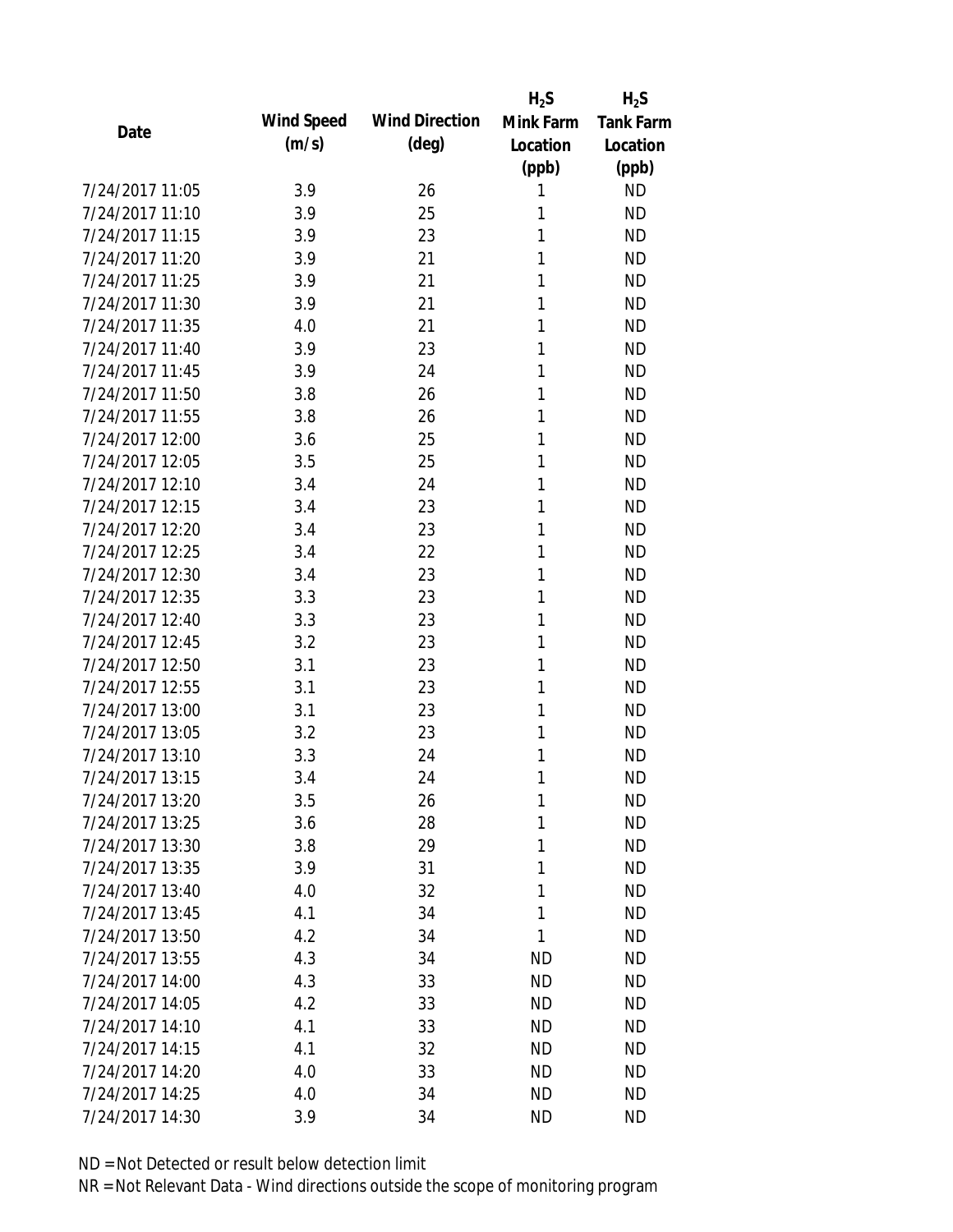|                 |            |                       | $H_2S$                 | $H_2S$           |
|-----------------|------------|-----------------------|------------------------|------------------|
| Date            | Wind Speed | <b>Wind Direction</b> | Mink Farm              | <b>Tank Farm</b> |
|                 | (m/s)      | $(\text{deg})$        | Location               | Location         |
|                 |            |                       | (ppb)                  | (ppb)            |
| 7/24/2017 11:05 | 3.9        | 26                    | 1                      | <b>ND</b>        |
| 7/24/2017 11:10 | 3.9        | 25                    | 1                      | <b>ND</b>        |
| 7/24/2017 11:15 | 3.9        | 23                    | 1                      | <b>ND</b>        |
| 7/24/2017 11:20 | 3.9        | 21                    | 1                      | <b>ND</b>        |
| 7/24/2017 11:25 | 3.9        | 21                    | 1                      | <b>ND</b>        |
| 7/24/2017 11:30 | 3.9        | 21                    | 1                      | <b>ND</b>        |
| 7/24/2017 11:35 | 4.0        | 21                    | 1                      | <b>ND</b>        |
| 7/24/2017 11:40 | 3.9        | 23                    | 1                      | <b>ND</b>        |
| 7/24/2017 11:45 | 3.9        | 24                    | 1                      | <b>ND</b>        |
| 7/24/2017 11:50 | 3.8        | 26                    | 1                      | <b>ND</b>        |
| 7/24/2017 11:55 | 3.8        | 26                    | 1                      | <b>ND</b>        |
| 7/24/2017 12:00 | 3.6        | 25                    | 1                      | <b>ND</b>        |
| 7/24/2017 12:05 | 3.5        | 25                    | 1                      | <b>ND</b>        |
| 7/24/2017 12:10 | 3.4        | 24                    | 1                      | <b>ND</b>        |
| 7/24/2017 12:15 | 3.4        | 23                    | 1                      | <b>ND</b>        |
| 7/24/2017 12:20 | 3.4        | 23                    | 1                      | <b>ND</b>        |
| 7/24/2017 12:25 | 3.4        | 22                    | 1                      | <b>ND</b>        |
| 7/24/2017 12:30 | 3.4        | 23                    | 1                      | <b>ND</b>        |
| 7/24/2017 12:35 | 3.3        | 23                    | 1                      | <b>ND</b>        |
| 7/24/2017 12:40 | 3.3        | 23                    | 1                      | <b>ND</b>        |
| 7/24/2017 12:45 | 3.2        | 23                    | 1                      | <b>ND</b>        |
| 7/24/2017 12:50 | 3.1        | 23                    | 1                      | <b>ND</b>        |
| 7/24/2017 12:55 | 3.1        | 23                    | 1                      | <b>ND</b>        |
| 7/24/2017 13:00 | 3.1        | 23                    | 1                      | <b>ND</b>        |
| 7/24/2017 13:05 | 3.2        | 23                    | 1                      | <b>ND</b>        |
| 7/24/2017 13:10 | 3.3        | 24                    | 1                      | <b>ND</b>        |
| 7/24/2017 13:15 | 3.4        | 24                    | 1                      | <b>ND</b>        |
| 7/24/2017 13:20 | 3.5        | 26                    | 1                      | <b>ND</b>        |
| 7/24/2017 13:25 | 3.6        | 28                    | 1                      | <b>ND</b>        |
| 7/24/2017 13:30 | 3.8        | 29                    | 1                      | <b>ND</b>        |
| 7/24/2017 13:35 | 3.9        | 31                    | 1                      | <b>ND</b>        |
| 7/24/2017 13:40 | 4.0        | 32                    | 1                      | <b>ND</b>        |
| 7/24/2017 13:45 | 4.1        | 34                    | 1                      | <b>ND</b>        |
| 7/24/2017 13:50 | 4.2        | 34                    | 1                      | <b>ND</b>        |
| 7/24/2017 13:55 | 4.3        | 34                    |                        | <b>ND</b>        |
| 7/24/2017 14:00 |            |                       | <b>ND</b><br><b>ND</b> | <b>ND</b>        |
|                 | 4.3        | 33                    |                        |                  |
| 7/24/2017 14:05 | 4.2        | 33                    | <b>ND</b>              | <b>ND</b>        |
| 7/24/2017 14:10 | 4.1        | 33                    | <b>ND</b>              | <b>ND</b>        |
| 7/24/2017 14:15 | 4.1        | 32                    | <b>ND</b>              | <b>ND</b>        |
| 7/24/2017 14:20 | 4.0        | 33                    | <b>ND</b>              | <b>ND</b>        |
| 7/24/2017 14:25 | 4.0        | 34                    | <b>ND</b>              | <b>ND</b>        |
| 7/24/2017 14:30 | 3.9        | 34                    | <b>ND</b>              | <b>ND</b>        |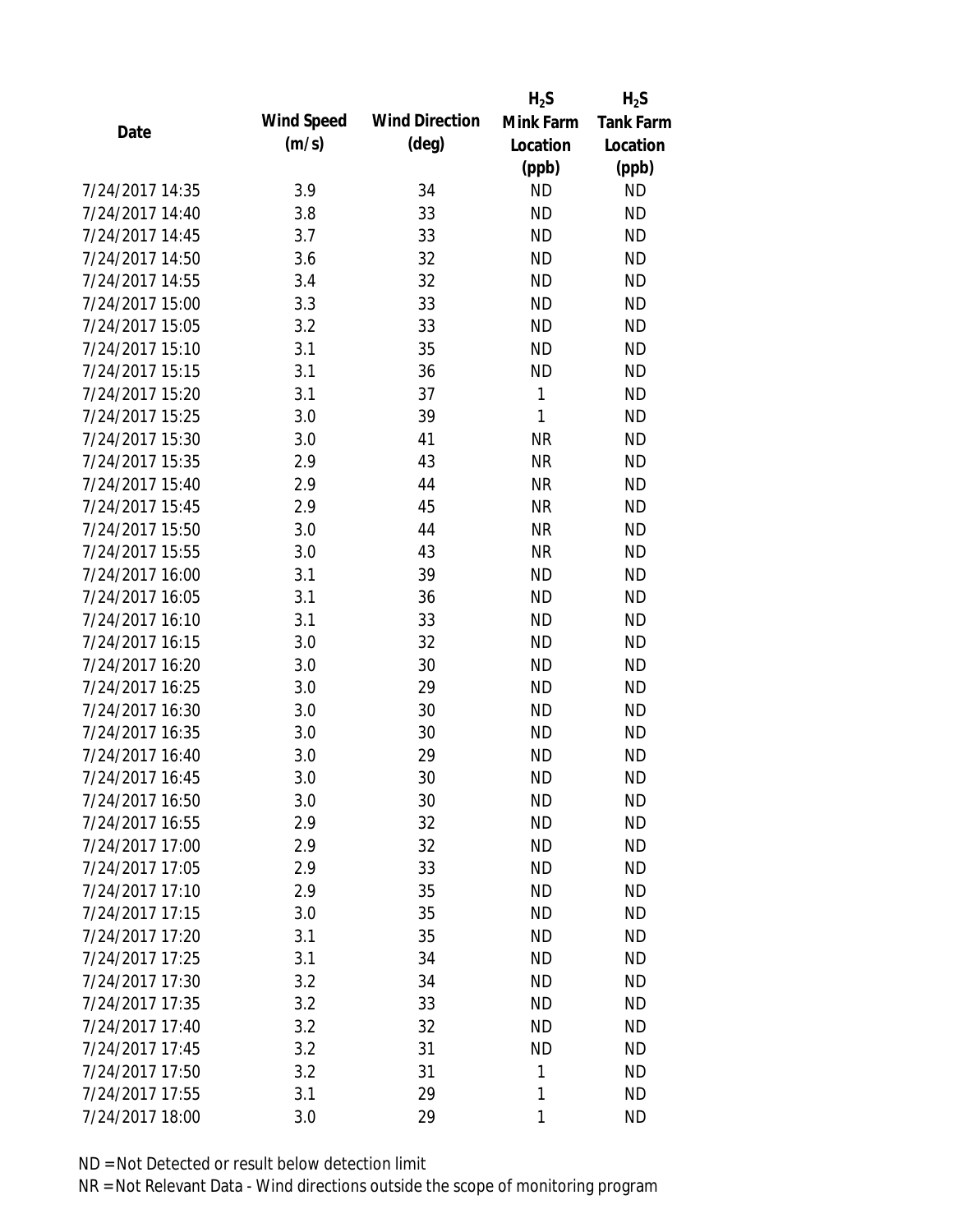|                 |                   |                       | $H_2S$       | $H_2S$           |
|-----------------|-------------------|-----------------------|--------------|------------------|
| Date            | <b>Wind Speed</b> | <b>Wind Direction</b> | Mink Farm    | <b>Tank Farm</b> |
|                 | (m/s)             | $(\text{deg})$        | Location     | Location         |
|                 |                   |                       | (ppb)        | (ppb)            |
| 7/24/2017 14:35 | 3.9               | 34                    | <b>ND</b>    | <b>ND</b>        |
| 7/24/2017 14:40 | 3.8               | 33                    | <b>ND</b>    | <b>ND</b>        |
| 7/24/2017 14:45 | 3.7               | 33                    | <b>ND</b>    | <b>ND</b>        |
| 7/24/2017 14:50 | 3.6               | 32                    | <b>ND</b>    | <b>ND</b>        |
| 7/24/2017 14:55 | 3.4               | 32                    | <b>ND</b>    | <b>ND</b>        |
| 7/24/2017 15:00 | 3.3               | 33                    | <b>ND</b>    | <b>ND</b>        |
| 7/24/2017 15:05 | 3.2               | 33                    | <b>ND</b>    | <b>ND</b>        |
| 7/24/2017 15:10 | 3.1               | 35                    | <b>ND</b>    | <b>ND</b>        |
| 7/24/2017 15:15 | 3.1               | 36                    | <b>ND</b>    | <b>ND</b>        |
| 7/24/2017 15:20 | 3.1               | 37                    | 1            | <b>ND</b>        |
| 7/24/2017 15:25 | 3.0               | 39                    | $\mathbf{1}$ | <b>ND</b>        |
| 7/24/2017 15:30 | 3.0               | 41                    | <b>NR</b>    | <b>ND</b>        |
| 7/24/2017 15:35 | 2.9               | 43                    | <b>NR</b>    | <b>ND</b>        |
| 7/24/2017 15:40 | 2.9               | 44                    | <b>NR</b>    | <b>ND</b>        |
| 7/24/2017 15:45 | 2.9               | 45                    | <b>NR</b>    | <b>ND</b>        |
| 7/24/2017 15:50 | 3.0               | 44                    | <b>NR</b>    | <b>ND</b>        |
| 7/24/2017 15:55 | 3.0               | 43                    | <b>NR</b>    | <b>ND</b>        |
| 7/24/2017 16:00 | 3.1               | 39                    | <b>ND</b>    | <b>ND</b>        |
| 7/24/2017 16:05 | 3.1               | 36                    | <b>ND</b>    | <b>ND</b>        |
| 7/24/2017 16:10 | 3.1               | 33                    | <b>ND</b>    | <b>ND</b>        |
| 7/24/2017 16:15 | 3.0               | 32                    | <b>ND</b>    | <b>ND</b>        |
| 7/24/2017 16:20 | 3.0               | 30                    | <b>ND</b>    | <b>ND</b>        |
| 7/24/2017 16:25 | 3.0               | 29                    | <b>ND</b>    | <b>ND</b>        |
| 7/24/2017 16:30 | 3.0               | 30                    | <b>ND</b>    | <b>ND</b>        |
| 7/24/2017 16:35 | 3.0               | 30                    | <b>ND</b>    | <b>ND</b>        |
| 7/24/2017 16:40 | 3.0               | 29                    | <b>ND</b>    | <b>ND</b>        |
| 7/24/2017 16:45 | 3.0               | 30                    | <b>ND</b>    | <b>ND</b>        |
| 7/24/2017 16:50 | 3.0               | 30                    | <b>ND</b>    | <b>ND</b>        |
| 7/24/2017 16:55 | 2.9               | 32                    | <b>ND</b>    | <b>ND</b>        |
| 7/24/2017 17:00 | 2.9               | 32                    | <b>ND</b>    | <b>ND</b>        |
| 7/24/2017 17:05 | 2.9               | 33                    | <b>ND</b>    | <b>ND</b>        |
| 7/24/2017 17:10 | 2.9               | 35                    | <b>ND</b>    | <b>ND</b>        |
| 7/24/2017 17:15 | 3.0               | 35                    | <b>ND</b>    | <b>ND</b>        |
| 7/24/2017 17:20 | 3.1               | 35                    | <b>ND</b>    | <b>ND</b>        |
| 7/24/2017 17:25 | 3.1               | 34                    | <b>ND</b>    | <b>ND</b>        |
| 7/24/2017 17:30 | 3.2               | 34                    | <b>ND</b>    | <b>ND</b>        |
| 7/24/2017 17:35 | 3.2               | 33                    | <b>ND</b>    | <b>ND</b>        |
| 7/24/2017 17:40 | 3.2               | 32                    | <b>ND</b>    | <b>ND</b>        |
| 7/24/2017 17:45 | 3.2               | 31                    | <b>ND</b>    | <b>ND</b>        |
| 7/24/2017 17:50 | 3.2               | 31                    | 1            | <b>ND</b>        |
| 7/24/2017 17:55 | 3.1               | 29                    | 1            | <b>ND</b>        |
| 7/24/2017 18:00 | 3.0               | 29                    | 1            | <b>ND</b>        |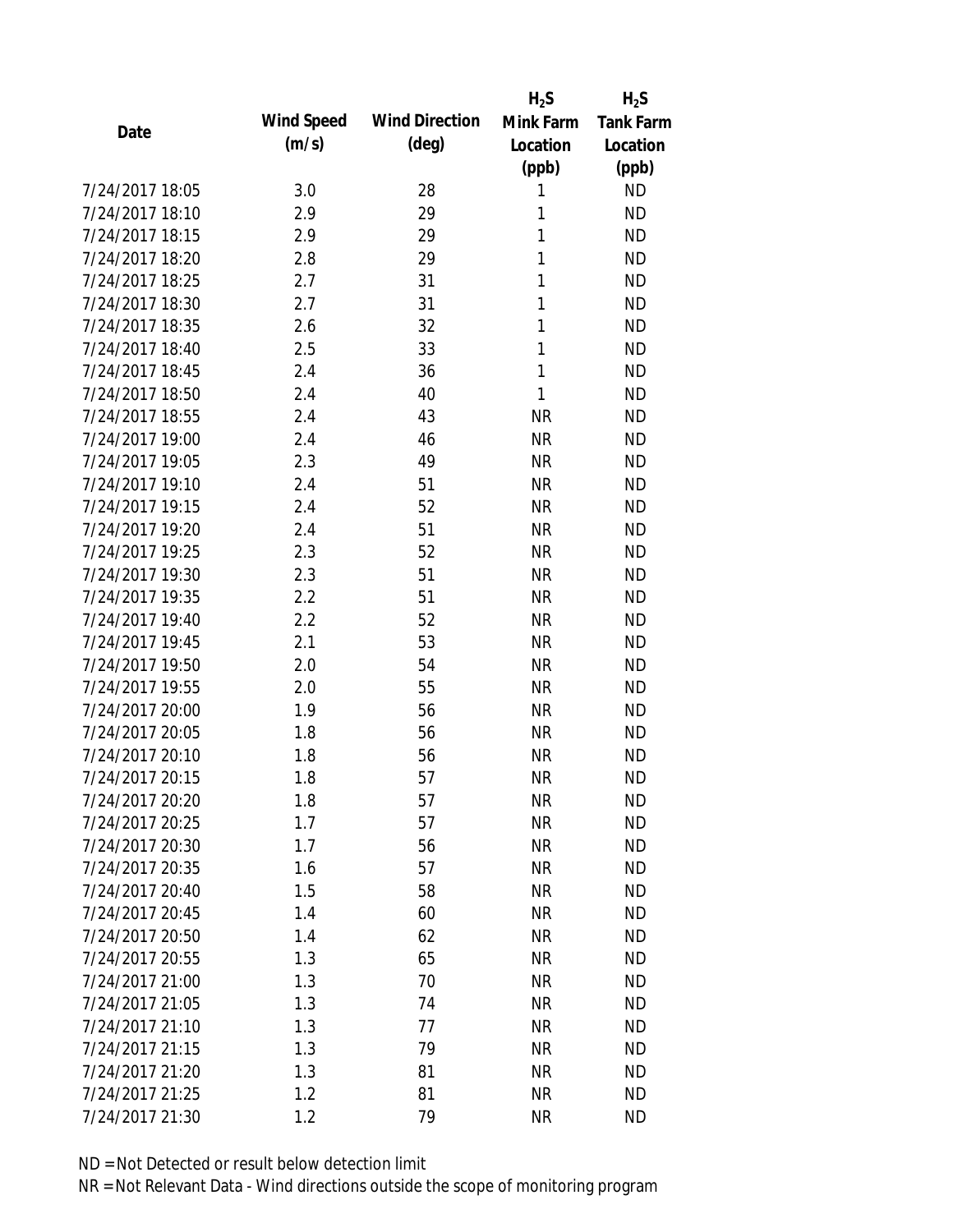|                 |            |                       | $H_2S$       | $H_2S$           |
|-----------------|------------|-----------------------|--------------|------------------|
| Date            | Wind Speed | <b>Wind Direction</b> | Mink Farm    | <b>Tank Farm</b> |
|                 | (m/s)      | $(\text{deg})$        | Location     | Location         |
|                 |            |                       | (ppb)        | (ppb)            |
| 7/24/2017 18:05 | 3.0        | 28                    | 1            | <b>ND</b>        |
| 7/24/2017 18:10 | 2.9        | 29                    | 1            | <b>ND</b>        |
| 7/24/2017 18:15 | 2.9        | 29                    | 1            | <b>ND</b>        |
| 7/24/2017 18:20 | 2.8        | 29                    | 1            | <b>ND</b>        |
| 7/24/2017 18:25 | 2.7        | 31                    | 1            | <b>ND</b>        |
| 7/24/2017 18:30 | 2.7        | 31                    | 1            | <b>ND</b>        |
| 7/24/2017 18:35 | 2.6        | 32                    | 1            | <b>ND</b>        |
| 7/24/2017 18:40 | 2.5        | 33                    | $\mathbf{1}$ | <b>ND</b>        |
| 7/24/2017 18:45 | 2.4        | 36                    | 1            | <b>ND</b>        |
| 7/24/2017 18:50 | 2.4        | 40                    | 1            | <b>ND</b>        |
| 7/24/2017 18:55 | 2.4        | 43                    | <b>NR</b>    | <b>ND</b>        |
| 7/24/2017 19:00 | 2.4        | 46                    | <b>NR</b>    | <b>ND</b>        |
| 7/24/2017 19:05 | 2.3        | 49                    | <b>NR</b>    | <b>ND</b>        |
| 7/24/2017 19:10 | 2.4        | 51                    | <b>NR</b>    | <b>ND</b>        |
| 7/24/2017 19:15 | 2.4        | 52                    | <b>NR</b>    | <b>ND</b>        |
| 7/24/2017 19:20 | 2.4        | 51                    | <b>NR</b>    | <b>ND</b>        |
| 7/24/2017 19:25 | 2.3        | 52                    | <b>NR</b>    | <b>ND</b>        |
| 7/24/2017 19:30 | 2.3        | 51                    | <b>NR</b>    | <b>ND</b>        |
| 7/24/2017 19:35 | 2.2        | 51                    | <b>NR</b>    | <b>ND</b>        |
| 7/24/2017 19:40 | 2.2        | 52                    | <b>NR</b>    | <b>ND</b>        |
| 7/24/2017 19:45 | 2.1        | 53                    | <b>NR</b>    | <b>ND</b>        |
| 7/24/2017 19:50 | 2.0        | 54                    | <b>NR</b>    | <b>ND</b>        |
| 7/24/2017 19:55 | 2.0        | 55                    | <b>NR</b>    | <b>ND</b>        |
| 7/24/2017 20:00 | 1.9        | 56                    | <b>NR</b>    | <b>ND</b>        |
| 7/24/2017 20:05 | 1.8        | 56                    | <b>NR</b>    | <b>ND</b>        |
| 7/24/2017 20:10 | 1.8        | 56                    | <b>NR</b>    | <b>ND</b>        |
| 7/24/2017 20:15 | 1.8        | 57                    | <b>NR</b>    | <b>ND</b>        |
| 7/24/2017 20:20 | 1.8        | 57                    | <b>NR</b>    | <b>ND</b>        |
| 7/24/2017 20:25 | 1.7        | 57                    | <b>NR</b>    | <b>ND</b>        |
| 7/24/2017 20:30 | 1.7        | 56                    | <b>NR</b>    | <b>ND</b>        |
| 7/24/2017 20:35 | 1.6        | 57                    | <b>NR</b>    | <b>ND</b>        |
| 7/24/2017 20:40 | 1.5        | 58                    | <b>NR</b>    | <b>ND</b>        |
| 7/24/2017 20:45 | 1.4        | 60                    | <b>NR</b>    | <b>ND</b>        |
| 7/24/2017 20:50 | 1.4        | 62                    | <b>NR</b>    | <b>ND</b>        |
| 7/24/2017 20:55 | 1.3        | 65                    | <b>NR</b>    | <b>ND</b>        |
| 7/24/2017 21:00 | 1.3        | 70                    | <b>NR</b>    | <b>ND</b>        |
| 7/24/2017 21:05 | 1.3        | 74                    | <b>NR</b>    | <b>ND</b>        |
| 7/24/2017 21:10 | 1.3        | 77                    | <b>NR</b>    | <b>ND</b>        |
| 7/24/2017 21:15 | 1.3        | 79                    | <b>NR</b>    | <b>ND</b>        |
| 7/24/2017 21:20 | 1.3        | 81                    | <b>NR</b>    | <b>ND</b>        |
| 7/24/2017 21:25 | 1.2        | 81                    | <b>NR</b>    | <b>ND</b>        |
| 7/24/2017 21:30 | 1.2        | 79                    | <b>NR</b>    | <b>ND</b>        |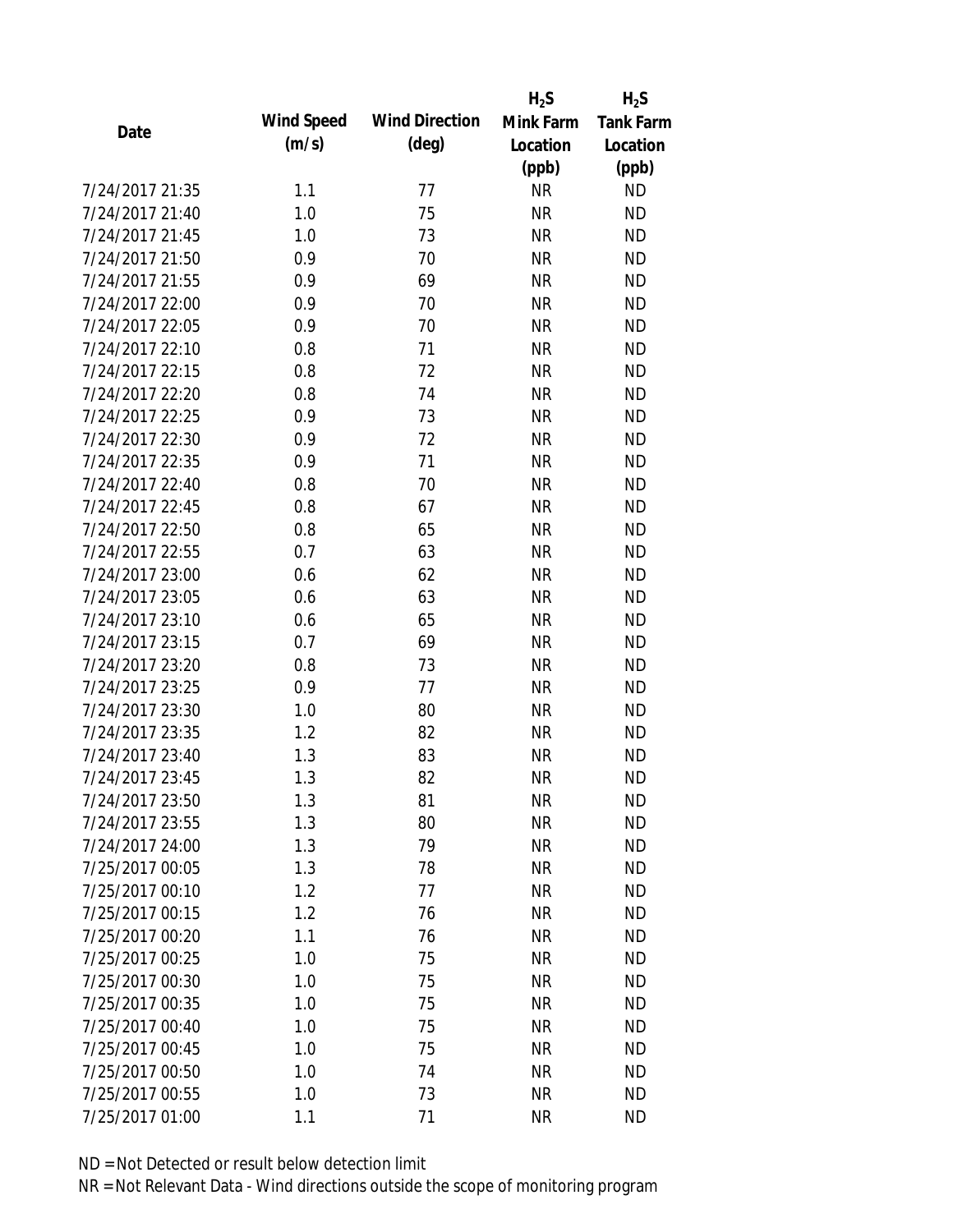|                 |            |                       | $H_2S$    | $H_2S$           |
|-----------------|------------|-----------------------|-----------|------------------|
| Date            | Wind Speed | <b>Wind Direction</b> | Mink Farm | <b>Tank Farm</b> |
|                 | (m/s)      | $(\text{deg})$        | Location  | Location         |
|                 |            |                       | (ppb)     | (ppb)            |
| 7/24/2017 21:35 | 1.1        | 77                    | <b>NR</b> | <b>ND</b>        |
| 7/24/2017 21:40 | 1.0        | 75                    | <b>NR</b> | <b>ND</b>        |
| 7/24/2017 21:45 | 1.0        | 73                    | <b>NR</b> | <b>ND</b>        |
| 7/24/2017 21:50 | 0.9        | 70                    | <b>NR</b> | <b>ND</b>        |
| 7/24/2017 21:55 | 0.9        | 69                    | <b>NR</b> | <b>ND</b>        |
| 7/24/2017 22:00 | 0.9        | 70                    | <b>NR</b> | <b>ND</b>        |
| 7/24/2017 22:05 | 0.9        | 70                    | <b>NR</b> | <b>ND</b>        |
| 7/24/2017 22:10 | 0.8        | 71                    | <b>NR</b> | <b>ND</b>        |
| 7/24/2017 22:15 | 0.8        | 72                    | <b>NR</b> | <b>ND</b>        |
| 7/24/2017 22:20 | 0.8        | 74                    | <b>NR</b> | <b>ND</b>        |
| 7/24/2017 22:25 | 0.9        | 73                    | <b>NR</b> | <b>ND</b>        |
| 7/24/2017 22:30 | 0.9        | 72                    | <b>NR</b> | <b>ND</b>        |
| 7/24/2017 22:35 | 0.9        | 71                    | <b>NR</b> | <b>ND</b>        |
| 7/24/2017 22:40 | 0.8        | 70                    | <b>NR</b> | <b>ND</b>        |
| 7/24/2017 22:45 | 0.8        | 67                    | <b>NR</b> | <b>ND</b>        |
| 7/24/2017 22:50 | 0.8        | 65                    | <b>NR</b> | <b>ND</b>        |
| 7/24/2017 22:55 | 0.7        | 63                    | <b>NR</b> | <b>ND</b>        |
| 7/24/2017 23:00 | 0.6        | 62                    | <b>NR</b> | <b>ND</b>        |
| 7/24/2017 23:05 | 0.6        | 63                    | <b>NR</b> | <b>ND</b>        |
| 7/24/2017 23:10 | 0.6        | 65                    | <b>NR</b> | <b>ND</b>        |
| 7/24/2017 23:15 | 0.7        | 69                    | <b>NR</b> | <b>ND</b>        |
| 7/24/2017 23:20 | 0.8        | 73                    | <b>NR</b> | <b>ND</b>        |
| 7/24/2017 23:25 | 0.9        | 77                    | <b>NR</b> | <b>ND</b>        |
| 7/24/2017 23:30 | 1.0        | 80                    | <b>NR</b> | <b>ND</b>        |
| 7/24/2017 23:35 | 1.2        | 82                    | <b>NR</b> | <b>ND</b>        |
| 7/24/2017 23:40 | 1.3        | 83                    | <b>NR</b> | <b>ND</b>        |
| 7/24/2017 23:45 | 1.3        | 82                    | <b>NR</b> | <b>ND</b>        |
| 7/24/2017 23:50 | 1.3        | 81                    | <b>NR</b> | <b>ND</b>        |
| 7/24/2017 23:55 | 1.3        | 80                    | <b>NR</b> | <b>ND</b>        |
| 7/24/2017 24:00 | 1.3        | 79                    | <b>NR</b> | <b>ND</b>        |
| 7/25/2017 00:05 | 1.3        | 78                    | <b>NR</b> | <b>ND</b>        |
| 7/25/2017 00:10 | 1.2        | 77                    | <b>NR</b> | <b>ND</b>        |
| 7/25/2017 00:15 | 1.2        | 76                    | <b>NR</b> | <b>ND</b>        |
| 7/25/2017 00:20 | 1.1        | 76                    | <b>NR</b> | <b>ND</b>        |
| 7/25/2017 00:25 | 1.0        | 75                    | <b>NR</b> | <b>ND</b>        |
| 7/25/2017 00:30 | 1.0        | 75                    | <b>NR</b> | <b>ND</b>        |
| 7/25/2017 00:35 | 1.0        | 75                    | <b>NR</b> | <b>ND</b>        |
| 7/25/2017 00:40 | 1.0        | 75                    | <b>NR</b> | <b>ND</b>        |
| 7/25/2017 00:45 | 1.0        | 75                    | <b>NR</b> | <b>ND</b>        |
| 7/25/2017 00:50 | 1.0        | 74                    | <b>NR</b> | <b>ND</b>        |
| 7/25/2017 00:55 | 1.0        | 73                    | <b>NR</b> | <b>ND</b>        |
| 7/25/2017 01:00 | 1.1        | 71                    | <b>NR</b> | <b>ND</b>        |
|                 |            |                       |           |                  |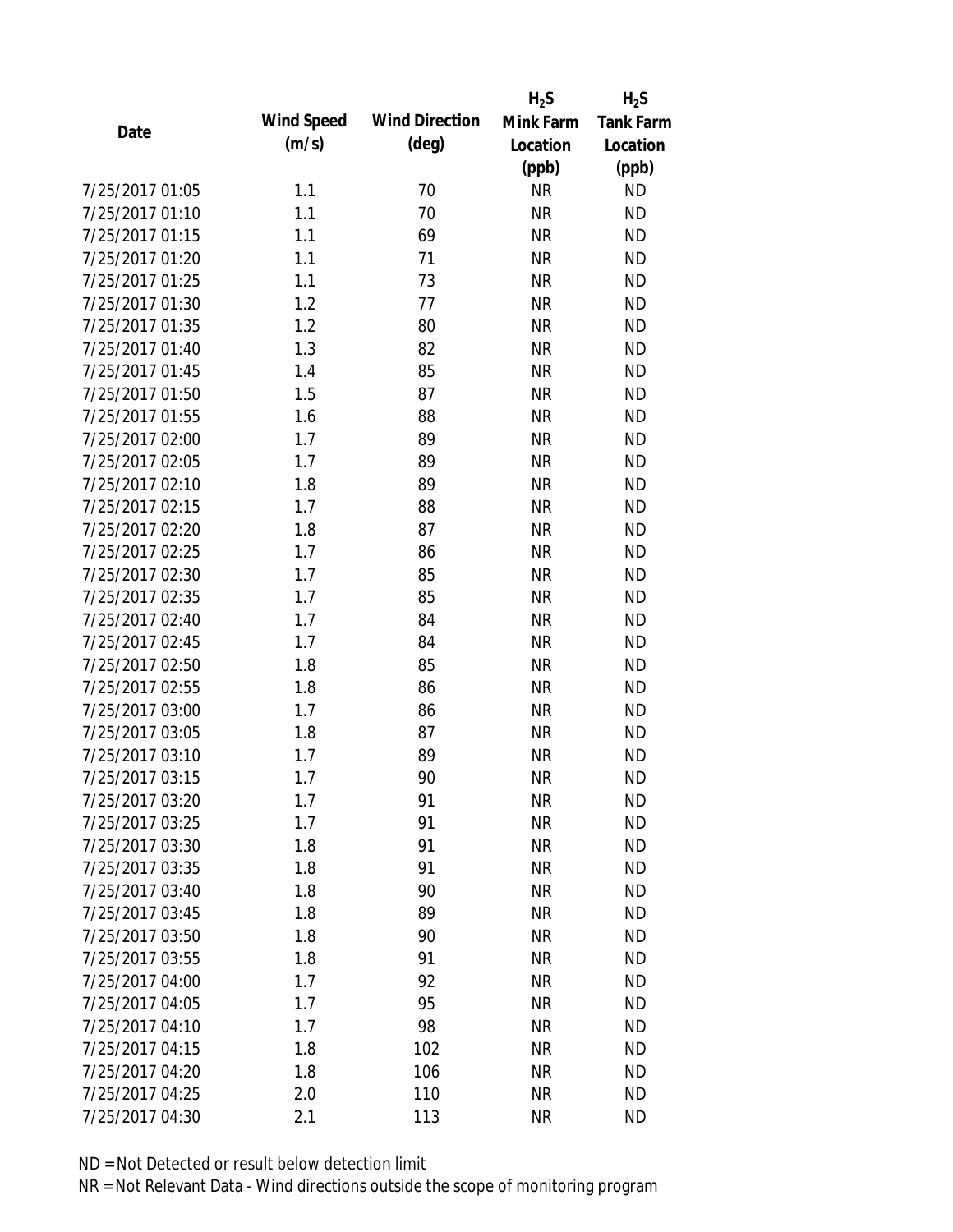|                 |            |                       | $H_2S$    | $H_2S$           |
|-----------------|------------|-----------------------|-----------|------------------|
| Date            | Wind Speed | <b>Wind Direction</b> | Mink Farm | <b>Tank Farm</b> |
|                 | (m/s)      | $(\text{deg})$        | Location  | Location         |
|                 |            |                       | (ppb)     | (ppb)            |
| 7/25/2017 01:05 | 1.1        | 70                    | <b>NR</b> | <b>ND</b>        |
| 7/25/2017 01:10 | 1.1        | 70                    | <b>NR</b> | <b>ND</b>        |
| 7/25/2017 01:15 | 1.1        | 69                    | <b>NR</b> | <b>ND</b>        |
| 7/25/2017 01:20 | 1.1        | 71                    | <b>NR</b> | <b>ND</b>        |
| 7/25/2017 01:25 | 1.1        | 73                    | <b>NR</b> | <b>ND</b>        |
| 7/25/2017 01:30 | 1.2        | 77                    | <b>NR</b> | <b>ND</b>        |
| 7/25/2017 01:35 | 1.2        | 80                    | <b>NR</b> | <b>ND</b>        |
| 7/25/2017 01:40 | 1.3        | 82                    | <b>NR</b> | <b>ND</b>        |
| 7/25/2017 01:45 | 1.4        | 85                    | <b>NR</b> | <b>ND</b>        |
| 7/25/2017 01:50 | 1.5        | 87                    | <b>NR</b> | <b>ND</b>        |
| 7/25/2017 01:55 | 1.6        | 88                    | <b>NR</b> | <b>ND</b>        |
| 7/25/2017 02:00 | 1.7        | 89                    | <b>NR</b> | <b>ND</b>        |
| 7/25/2017 02:05 | 1.7        | 89                    | <b>NR</b> | <b>ND</b>        |
| 7/25/2017 02:10 | 1.8        | 89                    | <b>NR</b> | <b>ND</b>        |
| 7/25/2017 02:15 | 1.7        | 88                    | <b>NR</b> | <b>ND</b>        |
| 7/25/2017 02:20 | 1.8        | 87                    | <b>NR</b> | <b>ND</b>        |
| 7/25/2017 02:25 | 1.7        | 86                    | <b>NR</b> | <b>ND</b>        |
| 7/25/2017 02:30 | 1.7        | 85                    | <b>NR</b> | <b>ND</b>        |
| 7/25/2017 02:35 | 1.7        | 85                    | <b>NR</b> | <b>ND</b>        |
| 7/25/2017 02:40 | 1.7        | 84                    | <b>NR</b> | <b>ND</b>        |
| 7/25/2017 02:45 | 1.7        | 84                    | <b>NR</b> | <b>ND</b>        |
| 7/25/2017 02:50 | 1.8        | 85                    | <b>NR</b> | <b>ND</b>        |
| 7/25/2017 02:55 | 1.8        | 86                    | <b>NR</b> | <b>ND</b>        |
| 7/25/2017 03:00 | 1.7        | 86                    | <b>NR</b> | <b>ND</b>        |
| 7/25/2017 03:05 | 1.8        | 87                    | <b>NR</b> | <b>ND</b>        |
| 7/25/2017 03:10 | 1.7        | 89                    | <b>NR</b> | <b>ND</b>        |
| 7/25/2017 03:15 | 1.7        | 90                    | <b>NR</b> | <b>ND</b>        |
| 7/25/2017 03:20 | 1.7        | 91                    | <b>NR</b> | <b>ND</b>        |
| 7/25/2017 03:25 | 1.7        | 91                    | <b>NR</b> | <b>ND</b>        |
| 7/25/2017 03:30 | 1.8        | 91                    | <b>NR</b> | <b>ND</b>        |
| 7/25/2017 03:35 | 1.8        | 91                    | <b>NR</b> | <b>ND</b>        |
| 7/25/2017 03:40 | 1.8        | 90                    | <b>NR</b> | <b>ND</b>        |
| 7/25/2017 03:45 | 1.8        | 89                    | <b>NR</b> | <b>ND</b>        |
| 7/25/2017 03:50 | 1.8        | 90                    | <b>NR</b> | <b>ND</b>        |
| 7/25/2017 03:55 | 1.8        | 91                    | <b>NR</b> | <b>ND</b>        |
| 7/25/2017 04:00 | 1.7        | 92                    | <b>NR</b> | <b>ND</b>        |
| 7/25/2017 04:05 | 1.7        | 95                    | <b>NR</b> | <b>ND</b>        |
| 7/25/2017 04:10 | 1.7        | 98                    | <b>NR</b> | <b>ND</b>        |
| 7/25/2017 04:15 | 1.8        | 102                   | <b>NR</b> | <b>ND</b>        |
| 7/25/2017 04:20 | 1.8        | 106                   | <b>NR</b> | <b>ND</b>        |
| 7/25/2017 04:25 | 2.0        | 110                   | <b>NR</b> | <b>ND</b>        |
| 7/25/2017 04:30 | 2.1        | 113                   | <b>NR</b> | <b>ND</b>        |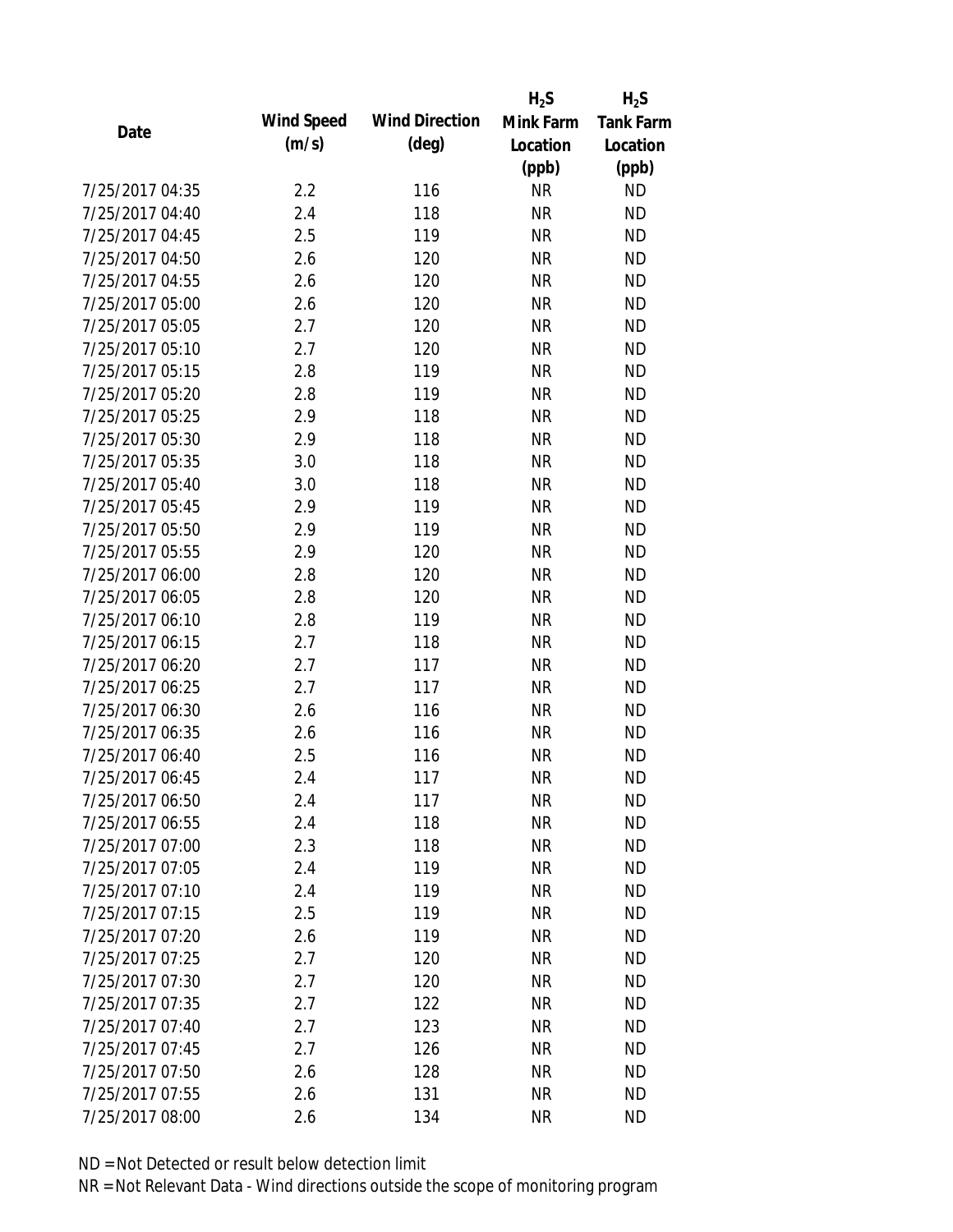|                 |            |                       | $H_2S$    | $H_2S$           |
|-----------------|------------|-----------------------|-----------|------------------|
| Date            | Wind Speed | <b>Wind Direction</b> | Mink Farm | <b>Tank Farm</b> |
|                 | (m/s)      | $(\text{deg})$        | Location  | Location         |
|                 |            |                       | (ppb)     | (ppb)            |
| 7/25/2017 04:35 | 2.2        | 116                   | <b>NR</b> | <b>ND</b>        |
| 7/25/2017 04:40 | 2.4        | 118                   | <b>NR</b> | <b>ND</b>        |
| 7/25/2017 04:45 | 2.5        | 119                   | <b>NR</b> | <b>ND</b>        |
| 7/25/2017 04:50 | 2.6        | 120                   | <b>NR</b> | <b>ND</b>        |
| 7/25/2017 04:55 | 2.6        | 120                   | <b>NR</b> | <b>ND</b>        |
| 7/25/2017 05:00 | 2.6        | 120                   | <b>NR</b> | <b>ND</b>        |
| 7/25/2017 05:05 | 2.7        | 120                   | <b>NR</b> | <b>ND</b>        |
| 7/25/2017 05:10 | 2.7        | 120                   | <b>NR</b> | <b>ND</b>        |
| 7/25/2017 05:15 | 2.8        | 119                   | <b>NR</b> | <b>ND</b>        |
| 7/25/2017 05:20 | 2.8        | 119                   | <b>NR</b> | <b>ND</b>        |
| 7/25/2017 05:25 | 2.9        | 118                   | <b>NR</b> | <b>ND</b>        |
| 7/25/2017 05:30 | 2.9        | 118                   | <b>NR</b> | <b>ND</b>        |
| 7/25/2017 05:35 | 3.0        | 118                   | <b>NR</b> | <b>ND</b>        |
| 7/25/2017 05:40 | 3.0        | 118                   | <b>NR</b> | <b>ND</b>        |
| 7/25/2017 05:45 | 2.9        | 119                   | <b>NR</b> | <b>ND</b>        |
| 7/25/2017 05:50 | 2.9        | 119                   | <b>NR</b> | <b>ND</b>        |
| 7/25/2017 05:55 | 2.9        | 120                   | <b>NR</b> | <b>ND</b>        |
| 7/25/2017 06:00 | 2.8        | 120                   | <b>NR</b> | <b>ND</b>        |
| 7/25/2017 06:05 | 2.8        | 120                   | <b>NR</b> | <b>ND</b>        |
| 7/25/2017 06:10 | 2.8        | 119                   | <b>NR</b> | <b>ND</b>        |
| 7/25/2017 06:15 | 2.7        | 118                   | <b>NR</b> | <b>ND</b>        |
| 7/25/2017 06:20 | 2.7        | 117                   | <b>NR</b> | <b>ND</b>        |
| 7/25/2017 06:25 | 2.7        | 117                   | <b>NR</b> | <b>ND</b>        |
| 7/25/2017 06:30 | 2.6        | 116                   | <b>NR</b> | <b>ND</b>        |
| 7/25/2017 06:35 | 2.6        | 116                   | <b>NR</b> | <b>ND</b>        |
| 7/25/2017 06:40 | 2.5        | 116                   | <b>NR</b> | <b>ND</b>        |
| 7/25/2017 06:45 | 2.4        | 117                   | <b>NR</b> | <b>ND</b>        |
| 7/25/2017 06:50 | 2.4        | 117                   | <b>NR</b> | <b>ND</b>        |
| 7/25/2017 06:55 | 2.4        | 118                   | <b>NR</b> | <b>ND</b>        |
| 7/25/2017 07:00 | 2.3        | 118                   | <b>NR</b> | <b>ND</b>        |
| 7/25/2017 07:05 | 2.4        | 119                   | <b>NR</b> | <b>ND</b>        |
| 7/25/2017 07:10 | 2.4        | 119                   | <b>NR</b> | <b>ND</b>        |
| 7/25/2017 07:15 | 2.5        | 119                   | <b>NR</b> | <b>ND</b>        |
| 7/25/2017 07:20 | 2.6        | 119                   | <b>NR</b> | <b>ND</b>        |
| 7/25/2017 07:25 | 2.7        | 120                   | <b>NR</b> | <b>ND</b>        |
| 7/25/2017 07:30 | 2.7        | 120                   | <b>NR</b> | <b>ND</b>        |
| 7/25/2017 07:35 | 2.7        | 122                   | <b>NR</b> | <b>ND</b>        |
| 7/25/2017 07:40 | 2.7        | 123                   | <b>NR</b> | <b>ND</b>        |
| 7/25/2017 07:45 | 2.7        | 126                   | <b>NR</b> | <b>ND</b>        |
| 7/25/2017 07:50 | 2.6        | 128                   | <b>NR</b> | <b>ND</b>        |
| 7/25/2017 07:55 | 2.6        | 131                   | <b>NR</b> | <b>ND</b>        |
| 7/25/2017 08:00 | 2.6        | 134                   | <b>NR</b> | <b>ND</b>        |
|                 |            |                       |           |                  |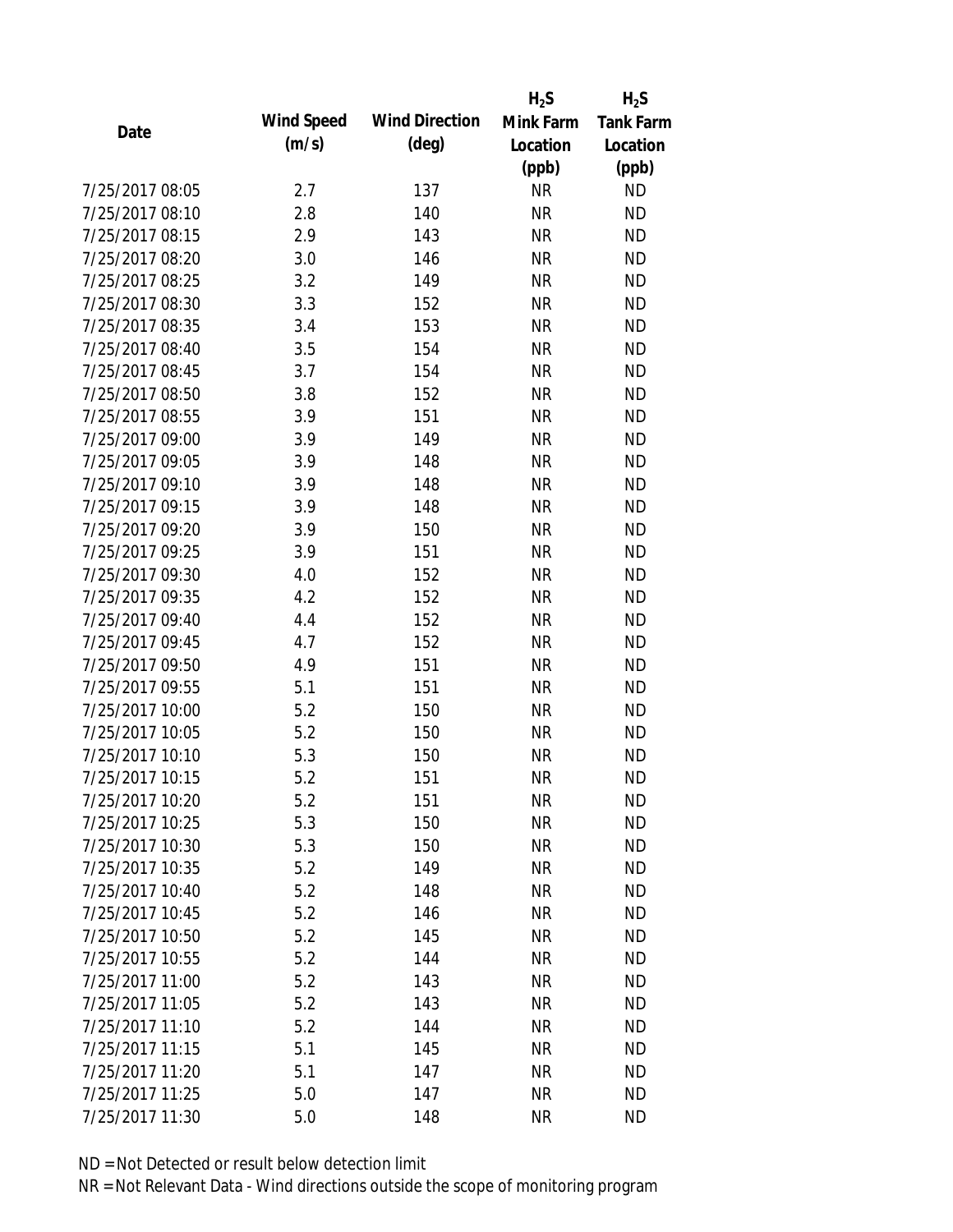|                 |            |                       | $H_2S$    | $H_2S$           |
|-----------------|------------|-----------------------|-----------|------------------|
| Date            | Wind Speed | <b>Wind Direction</b> | Mink Farm | <b>Tank Farm</b> |
|                 | (m/s)      | $(\text{deg})$        | Location  | Location         |
|                 |            |                       | (ppb)     | (ppb)            |
| 7/25/2017 08:05 | 2.7        | 137                   | <b>NR</b> | <b>ND</b>        |
| 7/25/2017 08:10 | 2.8        | 140                   | <b>NR</b> | <b>ND</b>        |
| 7/25/2017 08:15 | 2.9        | 143                   | <b>NR</b> | <b>ND</b>        |
| 7/25/2017 08:20 | 3.0        | 146                   | <b>NR</b> | <b>ND</b>        |
| 7/25/2017 08:25 | 3.2        | 149                   | <b>NR</b> | <b>ND</b>        |
| 7/25/2017 08:30 | 3.3        | 152                   | <b>NR</b> | <b>ND</b>        |
| 7/25/2017 08:35 | 3.4        | 153                   | <b>NR</b> | <b>ND</b>        |
| 7/25/2017 08:40 | 3.5        | 154                   | <b>NR</b> | <b>ND</b>        |
| 7/25/2017 08:45 | 3.7        | 154                   | <b>NR</b> | <b>ND</b>        |
| 7/25/2017 08:50 | 3.8        | 152                   | <b>NR</b> | <b>ND</b>        |
| 7/25/2017 08:55 | 3.9        | 151                   | <b>NR</b> | <b>ND</b>        |
| 7/25/2017 09:00 | 3.9        | 149                   | <b>NR</b> | <b>ND</b>        |
| 7/25/2017 09:05 | 3.9        | 148                   | <b>NR</b> | <b>ND</b>        |
| 7/25/2017 09:10 | 3.9        | 148                   | <b>NR</b> | <b>ND</b>        |
| 7/25/2017 09:15 | 3.9        | 148                   | <b>NR</b> | <b>ND</b>        |
| 7/25/2017 09:20 | 3.9        | 150                   | <b>NR</b> | <b>ND</b>        |
| 7/25/2017 09:25 | 3.9        | 151                   | <b>NR</b> | <b>ND</b>        |
| 7/25/2017 09:30 | 4.0        | 152                   | <b>NR</b> | <b>ND</b>        |
| 7/25/2017 09:35 | 4.2        | 152                   | <b>NR</b> | <b>ND</b>        |
| 7/25/2017 09:40 | 4.4        | 152                   | <b>NR</b> | <b>ND</b>        |
| 7/25/2017 09:45 | 4.7        | 152                   | <b>NR</b> | <b>ND</b>        |
| 7/25/2017 09:50 | 4.9        | 151                   | <b>NR</b> | <b>ND</b>        |
| 7/25/2017 09:55 | 5.1        | 151                   | <b>NR</b> | <b>ND</b>        |
| 7/25/2017 10:00 | 5.2        | 150                   | <b>NR</b> | <b>ND</b>        |
| 7/25/2017 10:05 | 5.2        | 150                   | <b>NR</b> | <b>ND</b>        |
| 7/25/2017 10:10 | 5.3        | 150                   | <b>NR</b> | <b>ND</b>        |
| 7/25/2017 10:15 | 5.2        | 151                   | <b>NR</b> | <b>ND</b>        |
| 7/25/2017 10:20 | 5.2        | 151                   | <b>NR</b> | <b>ND</b>        |
| 7/25/2017 10:25 | 5.3        | 150                   | <b>NR</b> | <b>ND</b>        |
| 7/25/2017 10:30 | 5.3        | 150                   | <b>NR</b> | <b>ND</b>        |
| 7/25/2017 10:35 | 5.2        | 149                   | <b>NR</b> | <b>ND</b>        |
| 7/25/2017 10:40 | 5.2        | 148                   | <b>NR</b> | <b>ND</b>        |
| 7/25/2017 10:45 | 5.2        | 146                   | <b>NR</b> | <b>ND</b>        |
| 7/25/2017 10:50 | 5.2        | 145                   | <b>NR</b> | <b>ND</b>        |
| 7/25/2017 10:55 | 5.2        | 144                   | <b>NR</b> | <b>ND</b>        |
| 7/25/2017 11:00 | 5.2        | 143                   | <b>NR</b> | <b>ND</b>        |
| 7/25/2017 11:05 | 5.2        | 143                   | <b>NR</b> | <b>ND</b>        |
| 7/25/2017 11:10 | 5.2        | 144                   | <b>NR</b> | <b>ND</b>        |
| 7/25/2017 11:15 | 5.1        | 145                   | <b>NR</b> | <b>ND</b>        |
| 7/25/2017 11:20 | 5.1        | 147                   | ΝR        | <b>ND</b>        |
| 7/25/2017 11:25 | 5.0        | 147                   | <b>NR</b> | <b>ND</b>        |
| 7/25/2017 11:30 | 5.0        | 148                   | <b>NR</b> | <b>ND</b>        |
|                 |            |                       |           |                  |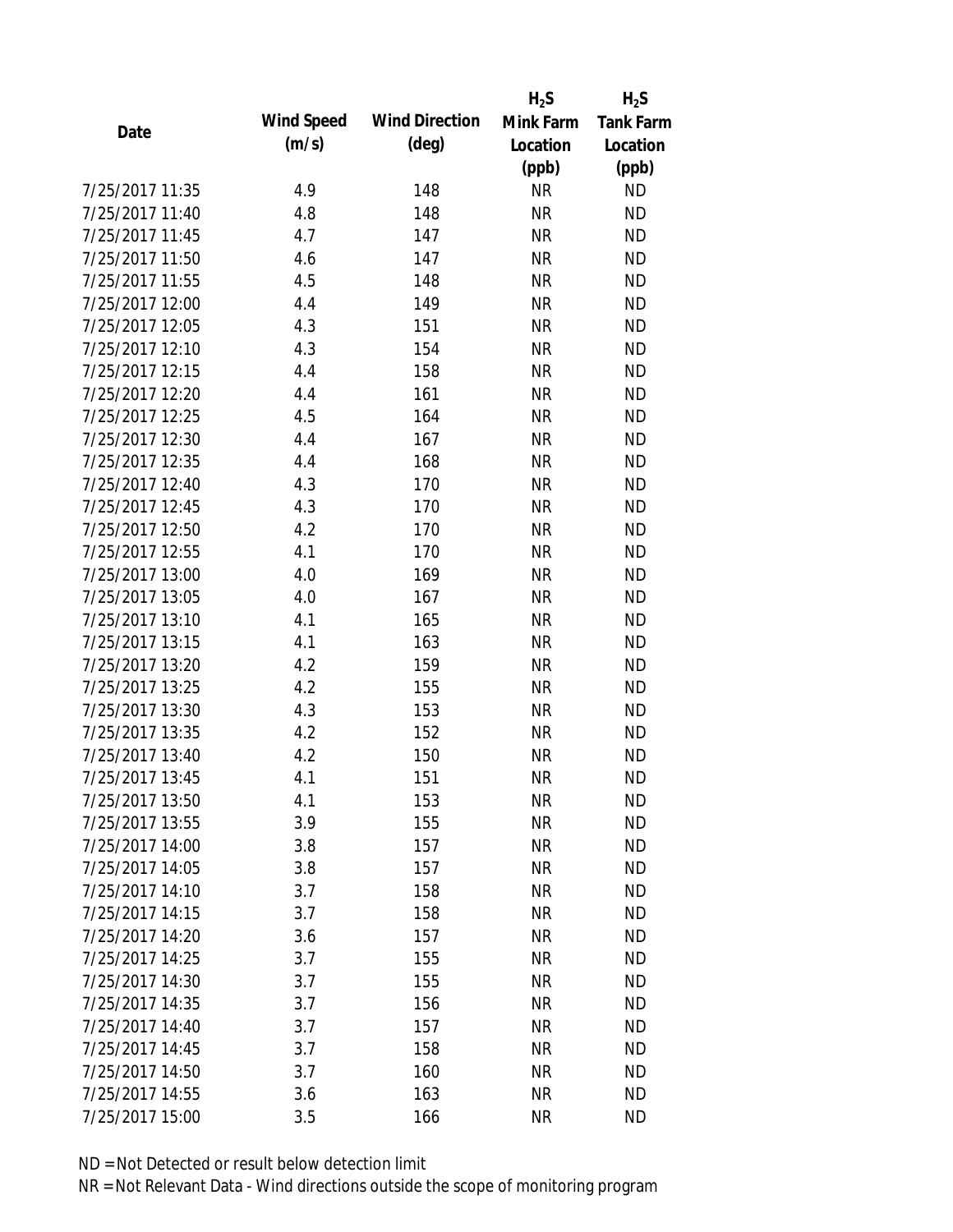|                 |            |                       | $H_2S$    | $H_2S$           |
|-----------------|------------|-----------------------|-----------|------------------|
| Date            | Wind Speed | <b>Wind Direction</b> | Mink Farm | <b>Tank Farm</b> |
|                 | (m/s)      | $(\text{deg})$        | Location  | Location         |
|                 |            |                       | (ppb)     | (ppb)            |
| 7/25/2017 11:35 | 4.9        | 148                   | <b>NR</b> | <b>ND</b>        |
| 7/25/2017 11:40 | 4.8        | 148                   | <b>NR</b> | <b>ND</b>        |
| 7/25/2017 11:45 | 4.7        | 147                   | <b>NR</b> | <b>ND</b>        |
| 7/25/2017 11:50 | 4.6        | 147                   | <b>NR</b> | <b>ND</b>        |
| 7/25/2017 11:55 | 4.5        | 148                   | <b>NR</b> | <b>ND</b>        |
| 7/25/2017 12:00 | 4.4        | 149                   | <b>NR</b> | <b>ND</b>        |
| 7/25/2017 12:05 | 4.3        | 151                   | <b>NR</b> | <b>ND</b>        |
| 7/25/2017 12:10 | 4.3        | 154                   | <b>NR</b> | <b>ND</b>        |
| 7/25/2017 12:15 | 4.4        | 158                   | <b>NR</b> | <b>ND</b>        |
| 7/25/2017 12:20 | 4.4        | 161                   | <b>NR</b> | <b>ND</b>        |
| 7/25/2017 12:25 | 4.5        | 164                   | <b>NR</b> | <b>ND</b>        |
| 7/25/2017 12:30 | 4.4        | 167                   | <b>NR</b> | <b>ND</b>        |
| 7/25/2017 12:35 | 4.4        | 168                   | <b>NR</b> | <b>ND</b>        |
| 7/25/2017 12:40 | 4.3        | 170                   | <b>NR</b> | <b>ND</b>        |
| 7/25/2017 12:45 | 4.3        | 170                   | <b>NR</b> | <b>ND</b>        |
| 7/25/2017 12:50 | 4.2        | 170                   | <b>NR</b> | <b>ND</b>        |
| 7/25/2017 12:55 | 4.1        | 170                   | <b>NR</b> | <b>ND</b>        |
| 7/25/2017 13:00 | 4.0        | 169                   | <b>NR</b> | <b>ND</b>        |
| 7/25/2017 13:05 | 4.0        | 167                   | <b>NR</b> | <b>ND</b>        |
| 7/25/2017 13:10 | 4.1        | 165                   | <b>NR</b> | <b>ND</b>        |
| 7/25/2017 13:15 | 4.1        | 163                   | <b>NR</b> | <b>ND</b>        |
| 7/25/2017 13:20 | 4.2        | 159                   | <b>NR</b> | <b>ND</b>        |
| 7/25/2017 13:25 | 4.2        | 155                   | <b>NR</b> | <b>ND</b>        |
| 7/25/2017 13:30 | 4.3        | 153                   | <b>NR</b> | <b>ND</b>        |
| 7/25/2017 13:35 | 4.2        | 152                   | <b>NR</b> | <b>ND</b>        |
| 7/25/2017 13:40 | 4.2        | 150                   | <b>NR</b> | <b>ND</b>        |
| 7/25/2017 13:45 | 4.1        | 151                   | <b>NR</b> | <b>ND</b>        |
| 7/25/2017 13:50 | 4.1        | 153                   | <b>NR</b> | <b>ND</b>        |
| 7/25/2017 13:55 | 3.9        | 155                   | <b>NR</b> | <b>ND</b>        |
| 7/25/2017 14:00 | 3.8        | 157                   | <b>NR</b> | <b>ND</b>        |
| 7/25/2017 14:05 | 3.8        | 157                   | <b>NR</b> | <b>ND</b>        |
| 7/25/2017 14:10 | 3.7        | 158                   | <b>NR</b> | <b>ND</b>        |
| 7/25/2017 14:15 | 3.7        | 158                   | <b>NR</b> | <b>ND</b>        |
| 7/25/2017 14:20 | 3.6        | 157                   | <b>NR</b> | <b>ND</b>        |
| 7/25/2017 14:25 | 3.7        | 155                   | <b>NR</b> | <b>ND</b>        |
| 7/25/2017 14:30 | 3.7        | 155                   | <b>NR</b> | <b>ND</b>        |
| 7/25/2017 14:35 | 3.7        | 156                   | <b>NR</b> | <b>ND</b>        |
| 7/25/2017 14:40 | 3.7        | 157                   | <b>NR</b> | <b>ND</b>        |
| 7/25/2017 14:45 | 3.7        | 158                   | <b>NR</b> | <b>ND</b>        |
| 7/25/2017 14:50 | 3.7        | 160                   | <b>NR</b> | <b>ND</b>        |
| 7/25/2017 14:55 | 3.6        | 163                   | <b>NR</b> | <b>ND</b>        |
| 7/25/2017 15:00 | 3.5        | 166                   | <b>NR</b> | <b>ND</b>        |
|                 |            |                       |           |                  |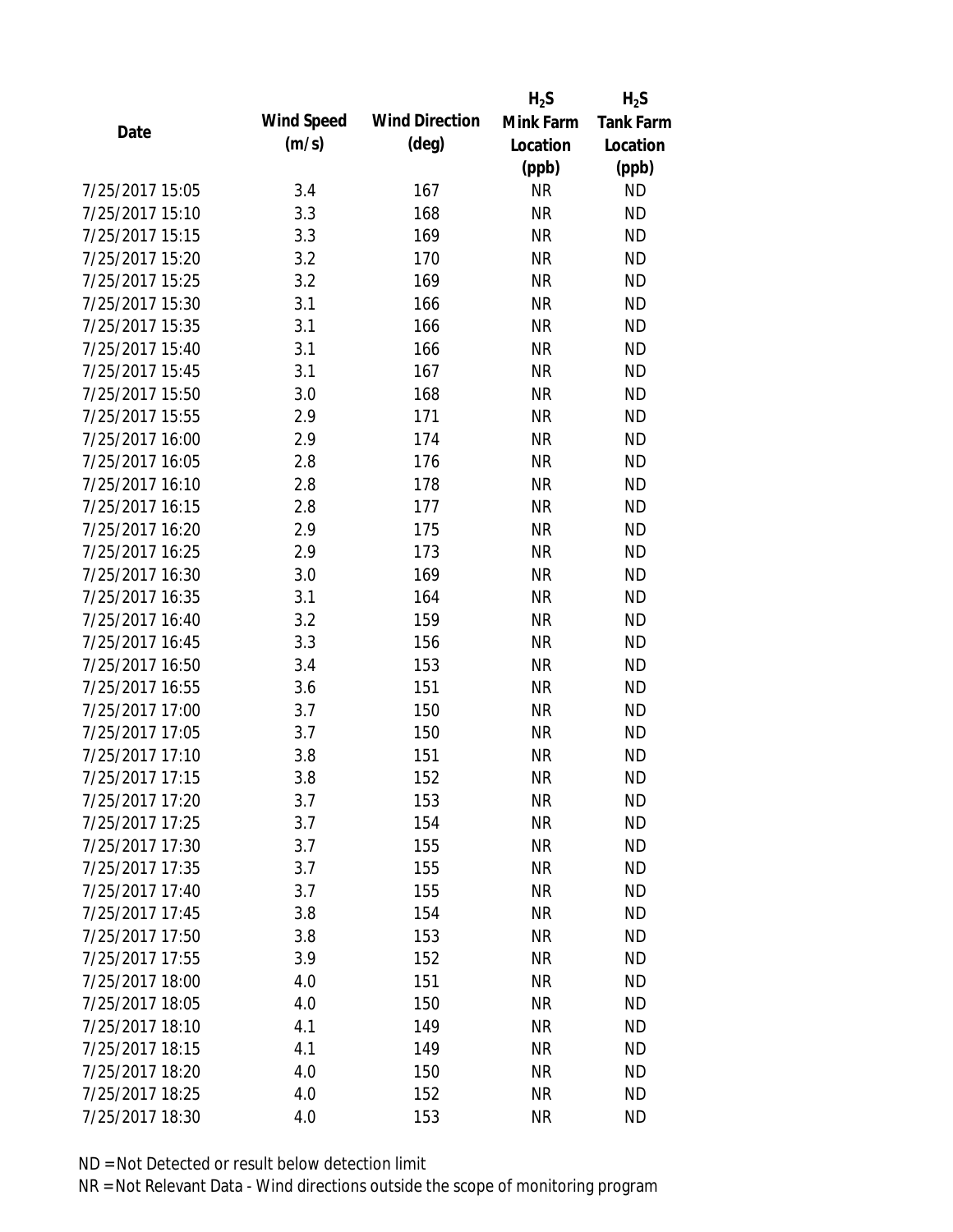|                 |            |                       | $H_2S$    | $H_2S$           |
|-----------------|------------|-----------------------|-----------|------------------|
| Date            | Wind Speed | <b>Wind Direction</b> | Mink Farm | <b>Tank Farm</b> |
|                 | (m/s)      | $(\text{deg})$        | Location  | Location         |
|                 |            |                       | (ppb)     | (ppb)            |
| 7/25/2017 15:05 | 3.4        | 167                   | <b>NR</b> | <b>ND</b>        |
| 7/25/2017 15:10 | 3.3        | 168                   | <b>NR</b> | <b>ND</b>        |
| 7/25/2017 15:15 | 3.3        | 169                   | <b>NR</b> | <b>ND</b>        |
| 7/25/2017 15:20 | 3.2        | 170                   | <b>NR</b> | <b>ND</b>        |
| 7/25/2017 15:25 | 3.2        | 169                   | <b>NR</b> | <b>ND</b>        |
| 7/25/2017 15:30 | 3.1        | 166                   | <b>NR</b> | <b>ND</b>        |
| 7/25/2017 15:35 | 3.1        | 166                   | <b>NR</b> | <b>ND</b>        |
| 7/25/2017 15:40 | 3.1        | 166                   | <b>NR</b> | <b>ND</b>        |
| 7/25/2017 15:45 | 3.1        | 167                   | <b>NR</b> | <b>ND</b>        |
| 7/25/2017 15:50 | 3.0        | 168                   | <b>NR</b> | <b>ND</b>        |
| 7/25/2017 15:55 | 2.9        | 171                   | <b>NR</b> | <b>ND</b>        |
| 7/25/2017 16:00 | 2.9        | 174                   | <b>NR</b> | <b>ND</b>        |
| 7/25/2017 16:05 | 2.8        | 176                   | <b>NR</b> | <b>ND</b>        |
| 7/25/2017 16:10 | 2.8        | 178                   | <b>NR</b> | <b>ND</b>        |
| 7/25/2017 16:15 | 2.8        | 177                   | <b>NR</b> | <b>ND</b>        |
| 7/25/2017 16:20 | 2.9        | 175                   | <b>NR</b> | <b>ND</b>        |
| 7/25/2017 16:25 | 2.9        | 173                   | <b>NR</b> | <b>ND</b>        |
| 7/25/2017 16:30 | 3.0        | 169                   | <b>NR</b> | <b>ND</b>        |
| 7/25/2017 16:35 | 3.1        | 164                   | <b>NR</b> | <b>ND</b>        |
| 7/25/2017 16:40 | 3.2        | 159                   | <b>NR</b> | <b>ND</b>        |
| 7/25/2017 16:45 | 3.3        | 156                   | <b>NR</b> | <b>ND</b>        |
| 7/25/2017 16:50 | 3.4        | 153                   | <b>NR</b> | <b>ND</b>        |
| 7/25/2017 16:55 | 3.6        | 151                   | <b>NR</b> | <b>ND</b>        |
| 7/25/2017 17:00 | 3.7        | 150                   | <b>NR</b> | <b>ND</b>        |
| 7/25/2017 17:05 | 3.7        | 150                   | <b>NR</b> | <b>ND</b>        |
| 7/25/2017 17:10 | 3.8        | 151                   | <b>NR</b> | <b>ND</b>        |
| 7/25/2017 17:15 | 3.8        | 152                   | <b>NR</b> | <b>ND</b>        |
| 7/25/2017 17:20 | 3.7        | 153                   | <b>NR</b> | <b>ND</b>        |
| 7/25/2017 17:25 | 3.7        | 154                   | <b>NR</b> | <b>ND</b>        |
| 7/25/2017 17:30 | 3.7        | 155                   | <b>NR</b> | <b>ND</b>        |
| 7/25/2017 17:35 | 3.7        | 155                   | <b>NR</b> | <b>ND</b>        |
| 7/25/2017 17:40 | 3.7        | 155                   | <b>NR</b> | <b>ND</b>        |
| 7/25/2017 17:45 | 3.8        | 154                   | <b>NR</b> | <b>ND</b>        |
| 7/25/2017 17:50 | 3.8        | 153                   | <b>NR</b> | <b>ND</b>        |
| 7/25/2017 17:55 | 3.9        | 152                   | <b>NR</b> | <b>ND</b>        |
| 7/25/2017 18:00 | 4.0        | 151                   | <b>NR</b> | <b>ND</b>        |
| 7/25/2017 18:05 | 4.0        | 150                   | <b>NR</b> | <b>ND</b>        |
| 7/25/2017 18:10 | 4.1        | 149                   | <b>NR</b> | <b>ND</b>        |
| 7/25/2017 18:15 | 4.1        | 149                   | <b>NR</b> | <b>ND</b>        |
| 7/25/2017 18:20 | 4.0        | 150                   | <b>NR</b> | <b>ND</b>        |
| 7/25/2017 18:25 | 4.0        | 152                   | <b>NR</b> | <b>ND</b>        |
| 7/25/2017 18:30 | 4.0        | 153                   | <b>NR</b> | <b>ND</b>        |
|                 |            |                       |           |                  |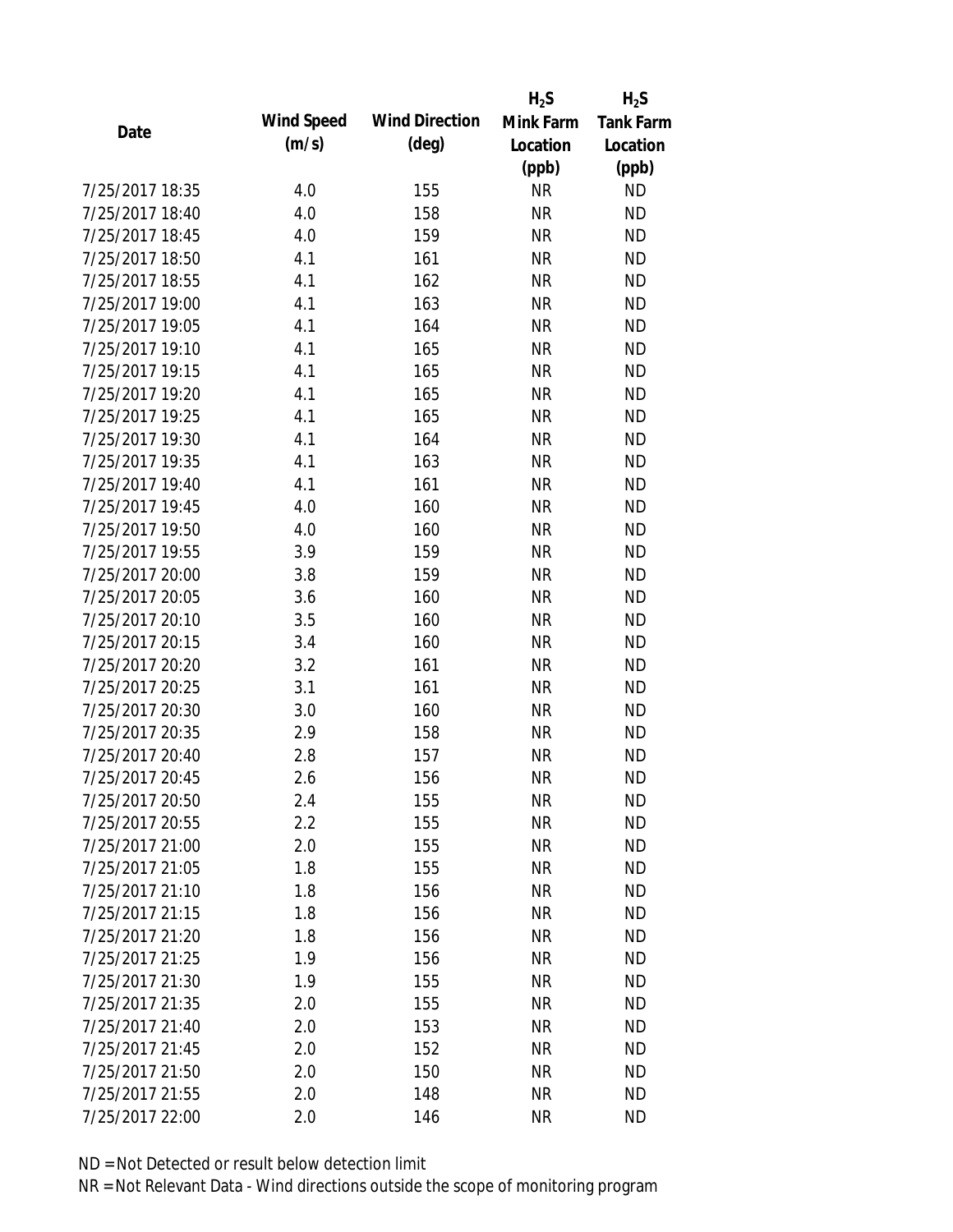|                 |            |                       | $H_2S$    | $H_2S$           |
|-----------------|------------|-----------------------|-----------|------------------|
| Date            | Wind Speed | <b>Wind Direction</b> | Mink Farm | <b>Tank Farm</b> |
|                 | (m/s)      | $(\text{deg})$        | Location  | Location         |
|                 |            |                       | (ppb)     | (ppb)            |
| 7/25/2017 18:35 | 4.0        | 155                   | <b>NR</b> | <b>ND</b>        |
| 7/25/2017 18:40 | 4.0        | 158                   | <b>NR</b> | <b>ND</b>        |
| 7/25/2017 18:45 | 4.0        | 159                   | <b>NR</b> | <b>ND</b>        |
| 7/25/2017 18:50 | 4.1        | 161                   | <b>NR</b> | <b>ND</b>        |
| 7/25/2017 18:55 | 4.1        | 162                   | <b>NR</b> | <b>ND</b>        |
| 7/25/2017 19:00 | 4.1        | 163                   | <b>NR</b> | <b>ND</b>        |
| 7/25/2017 19:05 | 4.1        | 164                   | <b>NR</b> | <b>ND</b>        |
| 7/25/2017 19:10 | 4.1        | 165                   | <b>NR</b> | <b>ND</b>        |
| 7/25/2017 19:15 | 4.1        | 165                   | <b>NR</b> | <b>ND</b>        |
| 7/25/2017 19:20 | 4.1        | 165                   | <b>NR</b> | <b>ND</b>        |
| 7/25/2017 19:25 | 4.1        | 165                   | <b>NR</b> | <b>ND</b>        |
| 7/25/2017 19:30 | 4.1        | 164                   | <b>NR</b> | <b>ND</b>        |
| 7/25/2017 19:35 | 4.1        | 163                   | <b>NR</b> | <b>ND</b>        |
| 7/25/2017 19:40 | 4.1        | 161                   | <b>NR</b> | <b>ND</b>        |
| 7/25/2017 19:45 | 4.0        | 160                   | <b>NR</b> | <b>ND</b>        |
| 7/25/2017 19:50 | 4.0        | 160                   | <b>NR</b> | <b>ND</b>        |
| 7/25/2017 19:55 | 3.9        | 159                   | <b>NR</b> | <b>ND</b>        |
| 7/25/2017 20:00 | 3.8        | 159                   | <b>NR</b> | <b>ND</b>        |
| 7/25/2017 20:05 | 3.6        | 160                   | <b>NR</b> | <b>ND</b>        |
| 7/25/2017 20:10 | 3.5        | 160                   | <b>NR</b> | <b>ND</b>        |
| 7/25/2017 20:15 | 3.4        | 160                   | <b>NR</b> | <b>ND</b>        |
| 7/25/2017 20:20 | 3.2        | 161                   | <b>NR</b> | <b>ND</b>        |
| 7/25/2017 20:25 | 3.1        | 161                   | <b>NR</b> | <b>ND</b>        |
| 7/25/2017 20:30 | 3.0        | 160                   | <b>NR</b> | <b>ND</b>        |
| 7/25/2017 20:35 | 2.9        | 158                   | <b>NR</b> | <b>ND</b>        |
| 7/25/2017 20:40 | 2.8        | 157                   | <b>NR</b> | <b>ND</b>        |
| 7/25/2017 20:45 | 2.6        | 156                   | <b>NR</b> | <b>ND</b>        |
| 7/25/2017 20:50 | 2.4        | 155                   | <b>NR</b> | <b>ND</b>        |
| 7/25/2017 20:55 | 2.2        | 155                   | <b>NR</b> | <b>ND</b>        |
| 7/25/2017 21:00 | 2.0        | 155                   | <b>NR</b> | <b>ND</b>        |
| 7/25/2017 21:05 | 1.8        | 155                   | <b>NR</b> | <b>ND</b>        |
| 7/25/2017 21:10 | 1.8        | 156                   | <b>NR</b> | <b>ND</b>        |
| 7/25/2017 21:15 | 1.8        | 156                   | <b>NR</b> | <b>ND</b>        |
| 7/25/2017 21:20 | 1.8        | 156                   | <b>NR</b> | <b>ND</b>        |
| 7/25/2017 21:25 | 1.9        | 156                   | <b>NR</b> | <b>ND</b>        |
| 7/25/2017 21:30 | 1.9        | 155                   | <b>NR</b> | <b>ND</b>        |
| 7/25/2017 21:35 | 2.0        | 155                   | <b>NR</b> | <b>ND</b>        |
| 7/25/2017 21:40 | 2.0        | 153                   | <b>NR</b> | <b>ND</b>        |
| 7/25/2017 21:45 | 2.0        | 152                   | <b>NR</b> | <b>ND</b>        |
| 7/25/2017 21:50 | 2.0        | 150                   | ΝR        | <b>ND</b>        |
| 7/25/2017 21:55 | 2.0        | 148                   | <b>NR</b> | <b>ND</b>        |
| 7/25/2017 22:00 | 2.0        | 146                   | <b>NR</b> | <b>ND</b>        |
|                 |            |                       |           |                  |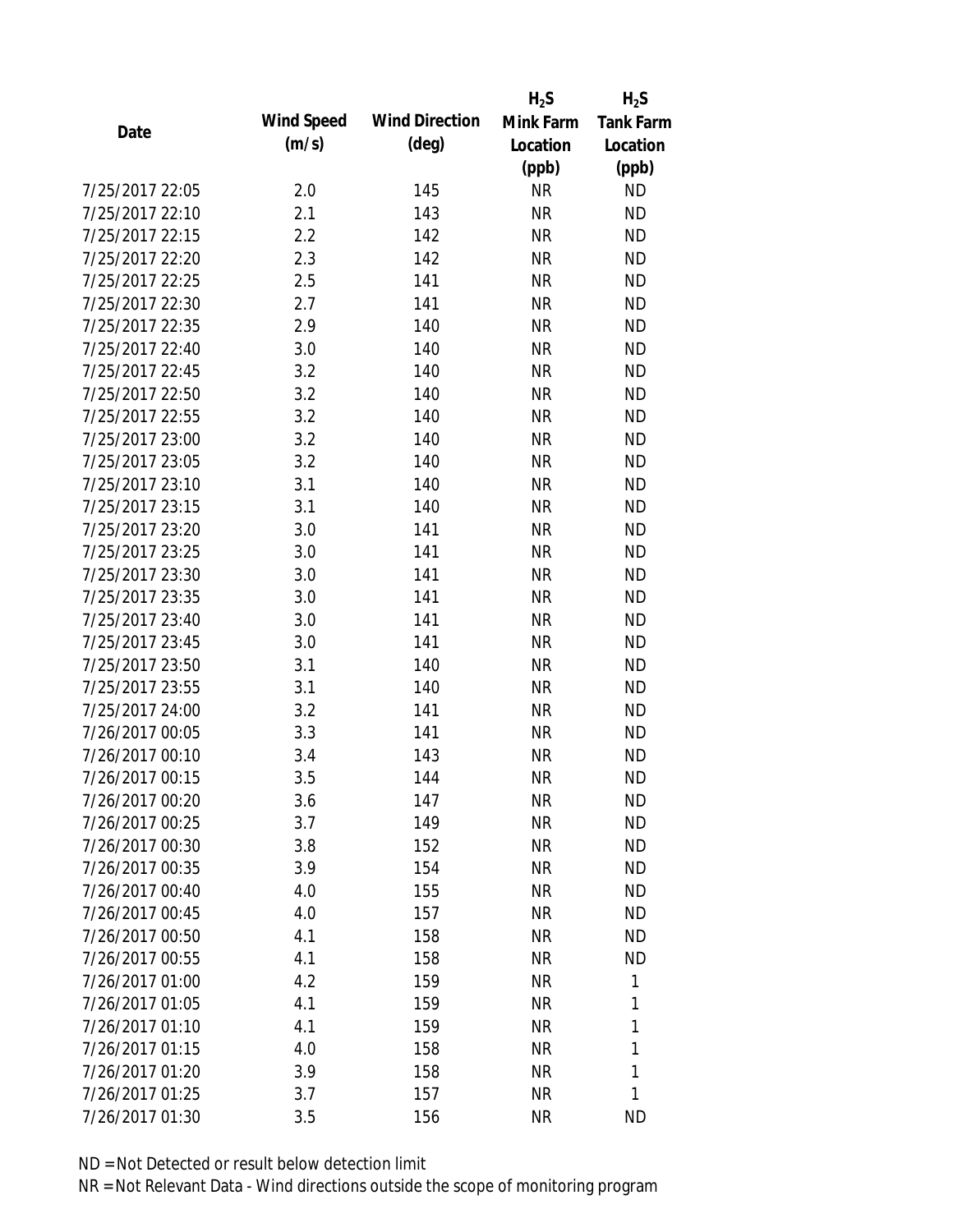|                 |                   |                       | $H_2S$    | $H_2S$           |
|-----------------|-------------------|-----------------------|-----------|------------------|
| Date            | <b>Wind Speed</b> | <b>Wind Direction</b> | Mink Farm | <b>Tank Farm</b> |
|                 | (m/s)             | $(\text{deg})$        | Location  | Location         |
|                 |                   |                       | (ppb)     | (ppb)            |
| 7/25/2017 22:05 | 2.0               | 145                   | <b>NR</b> | <b>ND</b>        |
| 7/25/2017 22:10 | 2.1               | 143                   | <b>NR</b> | <b>ND</b>        |
| 7/25/2017 22:15 | 2.2               | 142                   | <b>NR</b> | <b>ND</b>        |
| 7/25/2017 22:20 | 2.3               | 142                   | <b>NR</b> | <b>ND</b>        |
| 7/25/2017 22:25 | 2.5               | 141                   | <b>NR</b> | <b>ND</b>        |
| 7/25/2017 22:30 | 2.7               | 141                   | <b>NR</b> | <b>ND</b>        |
| 7/25/2017 22:35 | 2.9               | 140                   | <b>NR</b> | <b>ND</b>        |
| 7/25/2017 22:40 | 3.0               | 140                   | <b>NR</b> | <b>ND</b>        |
| 7/25/2017 22:45 | 3.2               | 140                   | <b>NR</b> | <b>ND</b>        |
| 7/25/2017 22:50 | 3.2               | 140                   | <b>NR</b> | <b>ND</b>        |
| 7/25/2017 22:55 | 3.2               | 140                   | <b>NR</b> | <b>ND</b>        |
| 7/25/2017 23:00 | 3.2               | 140                   | <b>NR</b> | <b>ND</b>        |
| 7/25/2017 23:05 | 3.2               | 140                   | <b>NR</b> | <b>ND</b>        |
| 7/25/2017 23:10 | 3.1               | 140                   | <b>NR</b> | <b>ND</b>        |
| 7/25/2017 23:15 | 3.1               | 140                   | <b>NR</b> | <b>ND</b>        |
| 7/25/2017 23:20 | 3.0               | 141                   | <b>NR</b> | <b>ND</b>        |
| 7/25/2017 23:25 | 3.0               | 141                   | <b>NR</b> | <b>ND</b>        |
| 7/25/2017 23:30 | 3.0               | 141                   | <b>NR</b> | <b>ND</b>        |
| 7/25/2017 23:35 | 3.0               | 141                   | <b>NR</b> | <b>ND</b>        |
| 7/25/2017 23:40 | 3.0               | 141                   | <b>NR</b> | <b>ND</b>        |
| 7/25/2017 23:45 | 3.0               | 141                   | <b>NR</b> | <b>ND</b>        |
| 7/25/2017 23:50 | 3.1               | 140                   | <b>NR</b> | <b>ND</b>        |
| 7/25/2017 23:55 | 3.1               | 140                   | <b>NR</b> | <b>ND</b>        |
| 7/25/2017 24:00 | 3.2               | 141                   | <b>NR</b> | <b>ND</b>        |
| 7/26/2017 00:05 | 3.3               | 141                   | <b>NR</b> | <b>ND</b>        |
| 7/26/2017 00:10 | 3.4               | 143                   | <b>NR</b> | <b>ND</b>        |
| 7/26/2017 00:15 | 3.5               | 144                   | <b>NR</b> | <b>ND</b>        |
| 7/26/2017 00:20 | 3.6               | 147                   | NR        | <b>ND</b>        |
| 7/26/2017 00:25 | 3.7               | 149                   | <b>NR</b> | <b>ND</b>        |
| 7/26/2017 00:30 | 3.8               | 152                   | <b>NR</b> | <b>ND</b>        |
| 7/26/2017 00:35 | 3.9               | 154                   | <b>NR</b> | <b>ND</b>        |
| 7/26/2017 00:40 | 4.0               | 155                   | <b>NR</b> | <b>ND</b>        |
| 7/26/2017 00:45 | 4.0               | 157                   | NR        | <b>ND</b>        |
| 7/26/2017 00:50 | 4.1               | 158                   | <b>NR</b> | <b>ND</b>        |
| 7/26/2017 00:55 | 4.1               | 158                   | <b>NR</b> | <b>ND</b>        |
| 7/26/2017 01:00 | 4.2               | 159                   | <b>NR</b> | 1                |
| 7/26/2017 01:05 | 4.1               | 159                   | <b>NR</b> | 1                |
| 7/26/2017 01:10 | 4.1               | 159                   | <b>NR</b> | 1                |
| 7/26/2017 01:15 | 4.0               | 158                   | <b>NR</b> | 1                |
| 7/26/2017 01:20 |                   | 158                   |           | 1                |
|                 | 3.9               |                       | NR        |                  |
| 7/26/2017 01:25 | 3.7               | 157                   | <b>NR</b> | 1                |
| 7/26/2017 01:30 | 3.5               | 156                   | <b>NR</b> | <b>ND</b>        |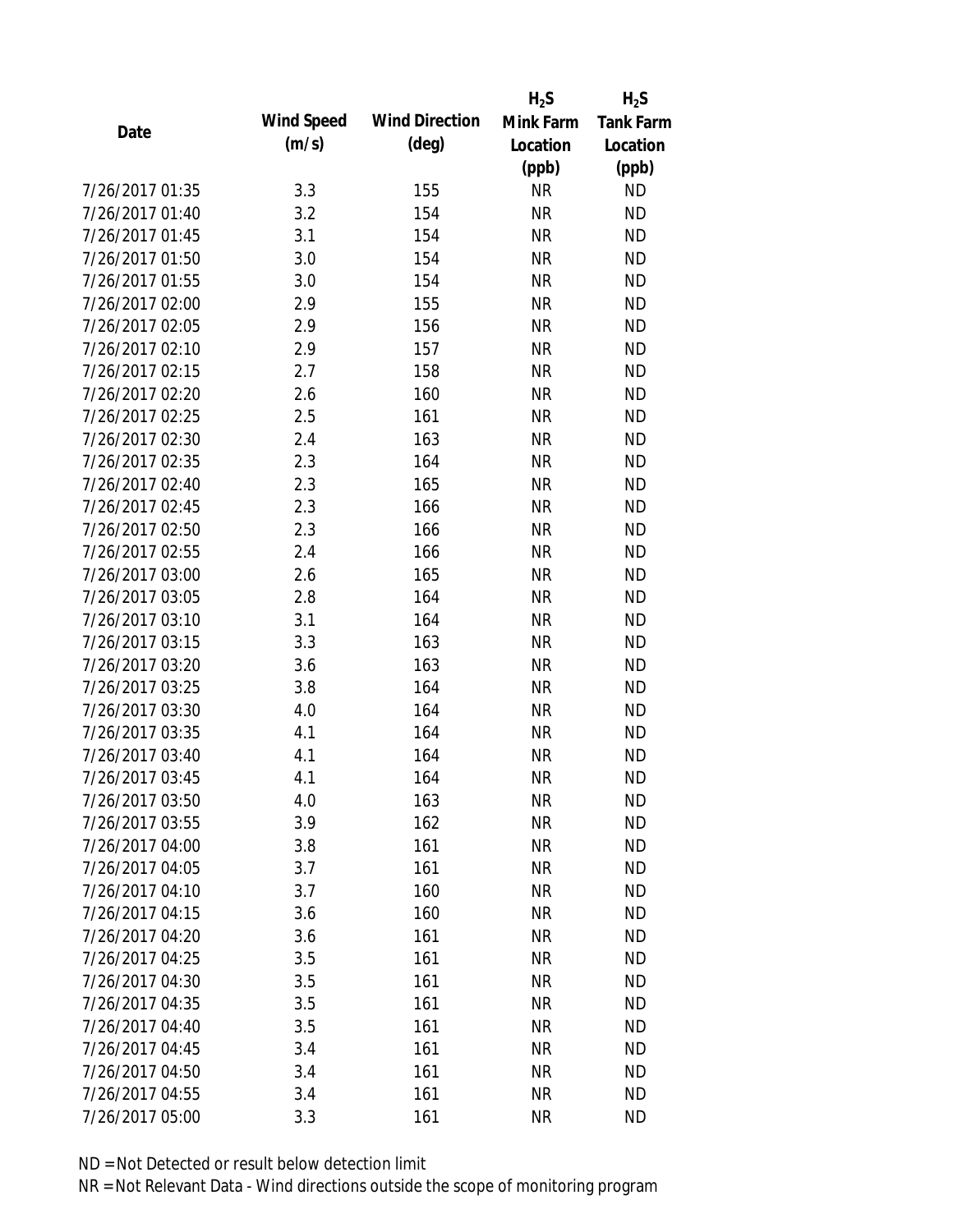|                 |            |                       | $H_2S$    | $H_2S$           |
|-----------------|------------|-----------------------|-----------|------------------|
| Date            | Wind Speed | <b>Wind Direction</b> | Mink Farm | <b>Tank Farm</b> |
|                 | (m/s)      | $(\text{deg})$        | Location  | Location         |
|                 |            |                       | (ppb)     | (ppb)            |
| 7/26/2017 01:35 | 3.3        | 155                   | <b>NR</b> | <b>ND</b>        |
| 7/26/2017 01:40 | 3.2        | 154                   | <b>NR</b> | <b>ND</b>        |
| 7/26/2017 01:45 | 3.1        | 154                   | <b>NR</b> | <b>ND</b>        |
| 7/26/2017 01:50 | 3.0        | 154                   | <b>NR</b> | <b>ND</b>        |
| 7/26/2017 01:55 | 3.0        | 154                   | <b>NR</b> | <b>ND</b>        |
| 7/26/2017 02:00 | 2.9        | 155                   | <b>NR</b> | <b>ND</b>        |
| 7/26/2017 02:05 | 2.9        | 156                   | <b>NR</b> | <b>ND</b>        |
| 7/26/2017 02:10 | 2.9        | 157                   | <b>NR</b> | <b>ND</b>        |
| 7/26/2017 02:15 | 2.7        | 158                   | <b>NR</b> | <b>ND</b>        |
| 7/26/2017 02:20 | 2.6        | 160                   | <b>NR</b> | <b>ND</b>        |
| 7/26/2017 02:25 | 2.5        | 161                   | <b>NR</b> | <b>ND</b>        |
| 7/26/2017 02:30 | 2.4        | 163                   | <b>NR</b> | <b>ND</b>        |
| 7/26/2017 02:35 | 2.3        | 164                   | <b>NR</b> | <b>ND</b>        |
| 7/26/2017 02:40 | 2.3        | 165                   | <b>NR</b> | <b>ND</b>        |
| 7/26/2017 02:45 | 2.3        | 166                   | <b>NR</b> | <b>ND</b>        |
| 7/26/2017 02:50 | 2.3        | 166                   | <b>NR</b> | <b>ND</b>        |
| 7/26/2017 02:55 | 2.4        | 166                   | <b>NR</b> | <b>ND</b>        |
| 7/26/2017 03:00 | 2.6        | 165                   | <b>NR</b> | <b>ND</b>        |
| 7/26/2017 03:05 | 2.8        | 164                   | <b>NR</b> | <b>ND</b>        |
| 7/26/2017 03:10 | 3.1        | 164                   | <b>NR</b> | <b>ND</b>        |
| 7/26/2017 03:15 | 3.3        | 163                   | <b>NR</b> | <b>ND</b>        |
| 7/26/2017 03:20 | 3.6        | 163                   | <b>NR</b> | <b>ND</b>        |
| 7/26/2017 03:25 | 3.8        | 164                   | <b>NR</b> | <b>ND</b>        |
| 7/26/2017 03:30 | 4.0        | 164                   | <b>NR</b> | <b>ND</b>        |
| 7/26/2017 03:35 | 4.1        | 164                   | <b>NR</b> | <b>ND</b>        |
| 7/26/2017 03:40 | 4.1        | 164                   | <b>NR</b> | <b>ND</b>        |
| 7/26/2017 03:45 | 4.1        | 164                   | <b>NR</b> | <b>ND</b>        |
| 7/26/2017 03:50 | 4.0        | 163                   | <b>NR</b> | <b>ND</b>        |
| 7/26/2017 03:55 | 3.9        | 162                   | <b>NR</b> | <b>ND</b>        |
| 7/26/2017 04:00 | 3.8        | 161                   | <b>NR</b> | <b>ND</b>        |
| 7/26/2017 04:05 | 3.7        | 161                   | <b>NR</b> | <b>ND</b>        |
| 7/26/2017 04:10 | 3.7        | 160                   | <b>NR</b> | <b>ND</b>        |
| 7/26/2017 04:15 | 3.6        | 160                   | <b>NR</b> | <b>ND</b>        |
| 7/26/2017 04:20 | 3.6        | 161                   | <b>NR</b> | <b>ND</b>        |
| 7/26/2017 04:25 | 3.5        | 161                   | <b>NR</b> | <b>ND</b>        |
| 7/26/2017 04:30 | 3.5        | 161                   | <b>NR</b> | <b>ND</b>        |
| 7/26/2017 04:35 | 3.5        | 161                   | <b>NR</b> | <b>ND</b>        |
| 7/26/2017 04:40 | 3.5        | 161                   | <b>NR</b> | <b>ND</b>        |
| 7/26/2017 04:45 | 3.4        | 161                   | <b>NR</b> | <b>ND</b>        |
| 7/26/2017 04:50 | 3.4        | 161                   | ΝR        | <b>ND</b>        |
| 7/26/2017 04:55 | 3.4        | 161                   | <b>NR</b> | <b>ND</b>        |
| 7/26/2017 05:00 | 3.3        | 161                   | <b>NR</b> | <b>ND</b>        |
|                 |            |                       |           |                  |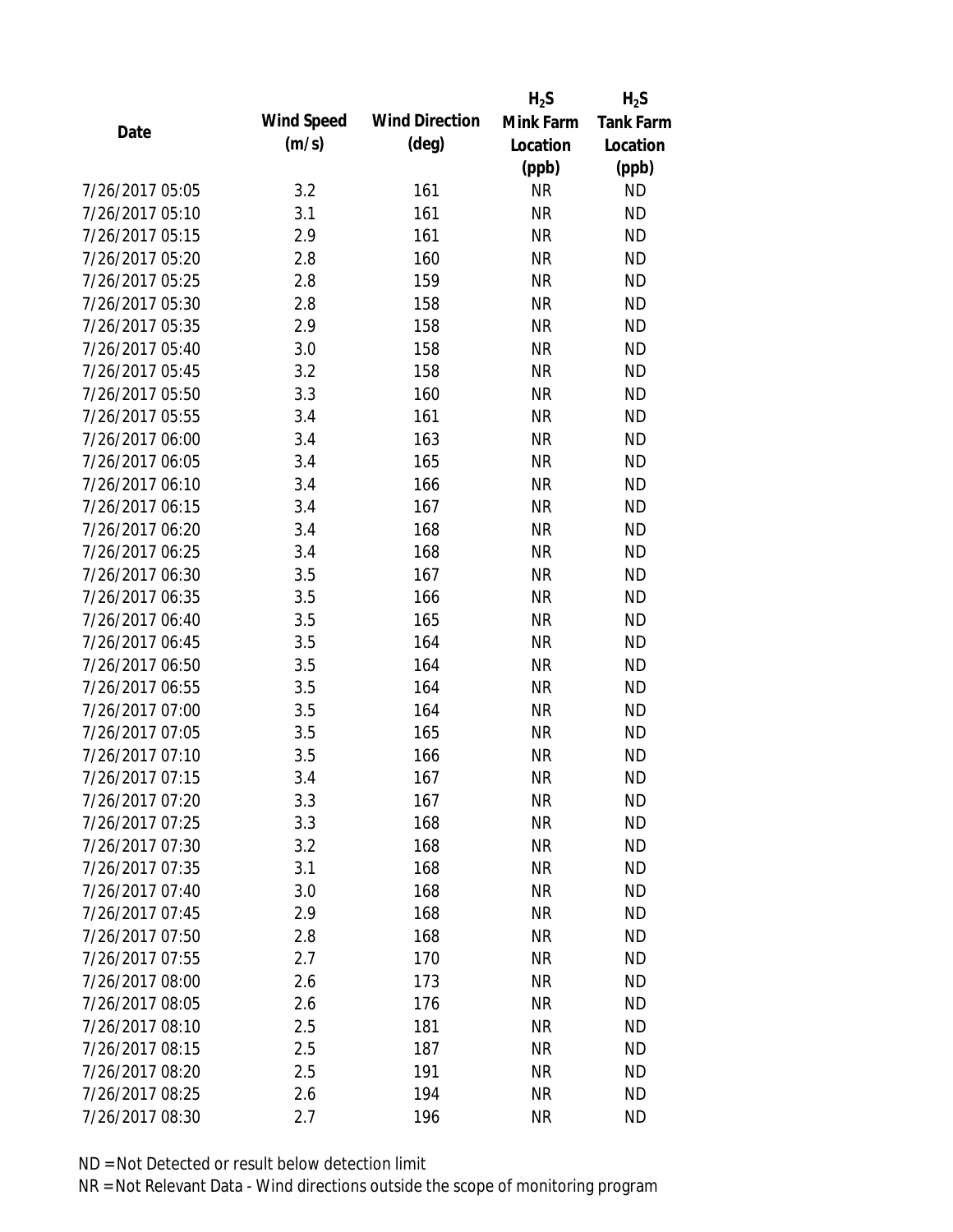|                 |            |                       | $H_2S$    | $H_2S$           |
|-----------------|------------|-----------------------|-----------|------------------|
| Date            | Wind Speed | <b>Wind Direction</b> | Mink Farm | <b>Tank Farm</b> |
|                 | (m/s)      | $(\text{deg})$        | Location  | Location         |
|                 |            |                       | (ppb)     | (ppb)            |
| 7/26/2017 05:05 | 3.2        | 161                   | <b>NR</b> | <b>ND</b>        |
| 7/26/2017 05:10 | 3.1        | 161                   | <b>NR</b> | <b>ND</b>        |
| 7/26/2017 05:15 | 2.9        | 161                   | <b>NR</b> | <b>ND</b>        |
| 7/26/2017 05:20 | 2.8        | 160                   | <b>NR</b> | <b>ND</b>        |
| 7/26/2017 05:25 | 2.8        | 159                   | <b>NR</b> | <b>ND</b>        |
| 7/26/2017 05:30 | 2.8        | 158                   | <b>NR</b> | <b>ND</b>        |
| 7/26/2017 05:35 | 2.9        | 158                   | <b>NR</b> | <b>ND</b>        |
| 7/26/2017 05:40 | 3.0        | 158                   | <b>NR</b> | <b>ND</b>        |
| 7/26/2017 05:45 | 3.2        | 158                   | <b>NR</b> | <b>ND</b>        |
| 7/26/2017 05:50 | 3.3        | 160                   | <b>NR</b> | <b>ND</b>        |
| 7/26/2017 05:55 | 3.4        | 161                   | <b>NR</b> | <b>ND</b>        |
| 7/26/2017 06:00 | 3.4        | 163                   | <b>NR</b> | <b>ND</b>        |
| 7/26/2017 06:05 | 3.4        | 165                   | <b>NR</b> | <b>ND</b>        |
| 7/26/2017 06:10 | 3.4        | 166                   | <b>NR</b> | <b>ND</b>        |
| 7/26/2017 06:15 | 3.4        | 167                   | <b>NR</b> | <b>ND</b>        |
| 7/26/2017 06:20 | 3.4        | 168                   | <b>NR</b> | <b>ND</b>        |
| 7/26/2017 06:25 | 3.4        | 168                   | <b>NR</b> | <b>ND</b>        |
| 7/26/2017 06:30 | 3.5        | 167                   | <b>NR</b> | <b>ND</b>        |
| 7/26/2017 06:35 | 3.5        | 166                   | <b>NR</b> | <b>ND</b>        |
| 7/26/2017 06:40 | 3.5        | 165                   | <b>NR</b> | <b>ND</b>        |
| 7/26/2017 06:45 | 3.5        | 164                   | <b>NR</b> | <b>ND</b>        |
| 7/26/2017 06:50 | 3.5        | 164                   | <b>NR</b> | <b>ND</b>        |
| 7/26/2017 06:55 | 3.5        | 164                   | <b>NR</b> | <b>ND</b>        |
| 7/26/2017 07:00 | 3.5        | 164                   | <b>NR</b> | <b>ND</b>        |
| 7/26/2017 07:05 | 3.5        | 165                   | <b>NR</b> | <b>ND</b>        |
| 7/26/2017 07:10 | 3.5        | 166                   | <b>NR</b> | <b>ND</b>        |
| 7/26/2017 07:15 | 3.4        | 167                   | <b>NR</b> | <b>ND</b>        |
| 7/26/2017 07:20 | 3.3        | 167                   | <b>NR</b> | <b>ND</b>        |
| 7/26/2017 07:25 | 3.3        | 168                   | <b>NR</b> | <b>ND</b>        |
| 7/26/2017 07:30 | 3.2        | 168                   | <b>NR</b> | <b>ND</b>        |
| 7/26/2017 07:35 | 3.1        | 168                   | <b>NR</b> | <b>ND</b>        |
| 7/26/2017 07:40 | 3.0        | 168                   | <b>NR</b> | <b>ND</b>        |
| 7/26/2017 07:45 | 2.9        | 168                   | <b>NR</b> | <b>ND</b>        |
| 7/26/2017 07:50 | 2.8        | 168                   | <b>NR</b> | <b>ND</b>        |
| 7/26/2017 07:55 | 2.7        | 170                   | <b>NR</b> | <b>ND</b>        |
| 7/26/2017 08:00 | 2.6        | 173                   | <b>NR</b> | <b>ND</b>        |
| 7/26/2017 08:05 | 2.6        | 176                   | <b>NR</b> | <b>ND</b>        |
| 7/26/2017 08:10 | 2.5        | 181                   | NR        | <b>ND</b>        |
| 7/26/2017 08:15 | 2.5        | 187                   | <b>NR</b> | <b>ND</b>        |
| 7/26/2017 08:20 | 2.5        | 191                   | ΝR        | <b>ND</b>        |
| 7/26/2017 08:25 | 2.6        | 194                   | <b>NR</b> | <b>ND</b>        |
| 7/26/2017 08:30 | 2.7        | 196                   | <b>NR</b> | <b>ND</b>        |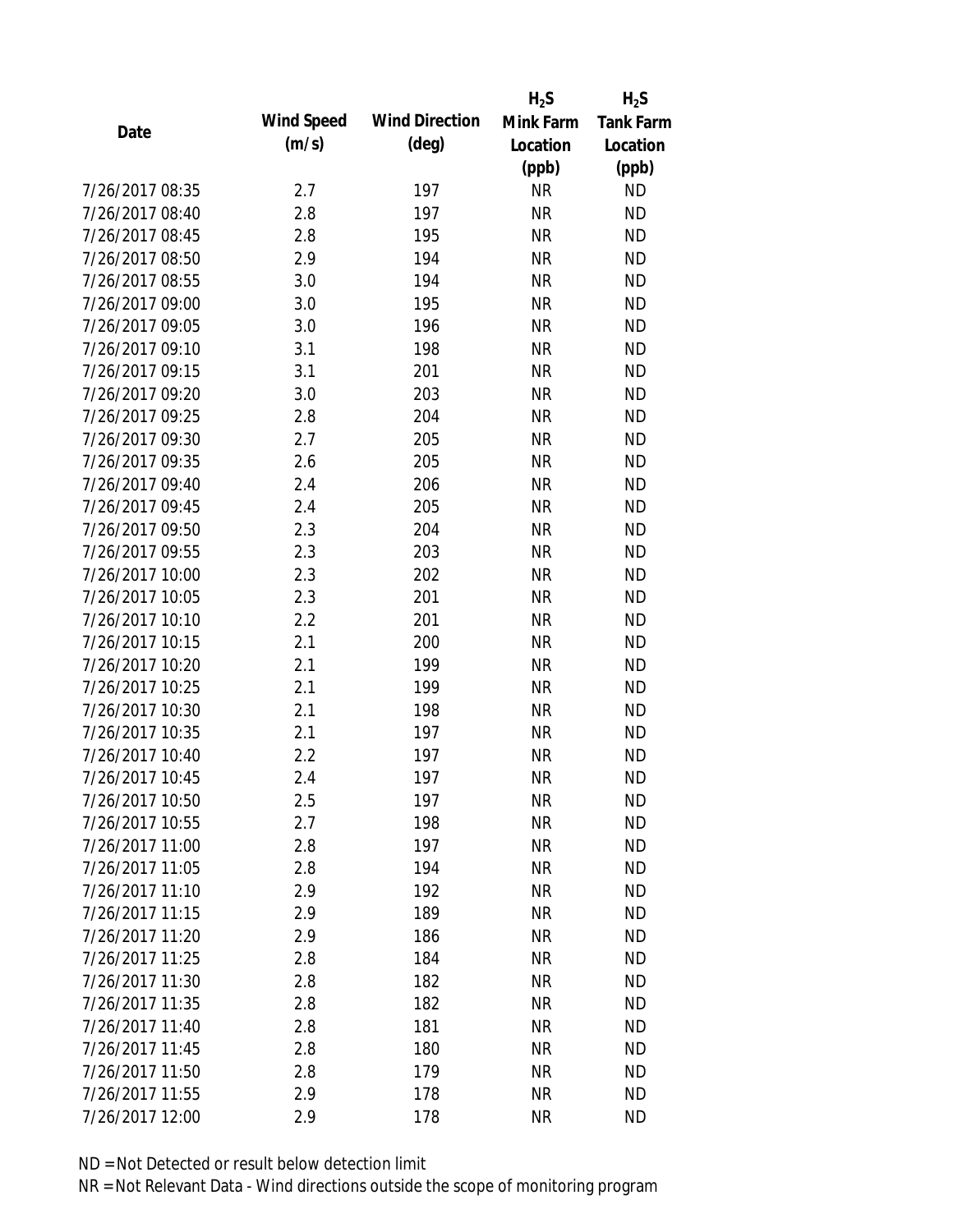|                 |            |                       | $H_2S$    | $H_2S$           |
|-----------------|------------|-----------------------|-----------|------------------|
| Date            | Wind Speed | <b>Wind Direction</b> | Mink Farm | <b>Tank Farm</b> |
|                 | (m/s)      | $(\text{deg})$        | Location  | Location         |
|                 |            |                       | (ppb)     | (ppb)            |
| 7/26/2017 08:35 | 2.7        | 197                   | <b>NR</b> | <b>ND</b>        |
| 7/26/2017 08:40 | 2.8        | 197                   | <b>NR</b> | <b>ND</b>        |
| 7/26/2017 08:45 | 2.8        | 195                   | <b>NR</b> | <b>ND</b>        |
| 7/26/2017 08:50 | 2.9        | 194                   | <b>NR</b> | <b>ND</b>        |
| 7/26/2017 08:55 | 3.0        | 194                   | <b>NR</b> | <b>ND</b>        |
| 7/26/2017 09:00 | 3.0        | 195                   | <b>NR</b> | <b>ND</b>        |
| 7/26/2017 09:05 | 3.0        | 196                   | <b>NR</b> | <b>ND</b>        |
| 7/26/2017 09:10 | 3.1        | 198                   | <b>NR</b> | <b>ND</b>        |
| 7/26/2017 09:15 | 3.1        | 201                   | <b>NR</b> | <b>ND</b>        |
| 7/26/2017 09:20 | 3.0        | 203                   | <b>NR</b> | <b>ND</b>        |
| 7/26/2017 09:25 | 2.8        | 204                   | <b>NR</b> | <b>ND</b>        |
| 7/26/2017 09:30 | 2.7        | 205                   | <b>NR</b> | <b>ND</b>        |
| 7/26/2017 09:35 | 2.6        | 205                   | <b>NR</b> | <b>ND</b>        |
| 7/26/2017 09:40 | 2.4        | 206                   | <b>NR</b> | <b>ND</b>        |
| 7/26/2017 09:45 | 2.4        | 205                   | <b>NR</b> | <b>ND</b>        |
| 7/26/2017 09:50 | 2.3        | 204                   | <b>NR</b> | <b>ND</b>        |
| 7/26/2017 09:55 | 2.3        | 203                   | <b>NR</b> | <b>ND</b>        |
| 7/26/2017 10:00 | 2.3        | 202                   | <b>NR</b> | <b>ND</b>        |
| 7/26/2017 10:05 | 2.3        | 201                   | <b>NR</b> | <b>ND</b>        |
| 7/26/2017 10:10 | 2.2        | 201                   | <b>NR</b> | <b>ND</b>        |
| 7/26/2017 10:15 | 2.1        | 200                   | <b>NR</b> | <b>ND</b>        |
| 7/26/2017 10:20 | 2.1        | 199                   | <b>NR</b> | <b>ND</b>        |
| 7/26/2017 10:25 | 2.1        | 199                   | <b>NR</b> | <b>ND</b>        |
| 7/26/2017 10:30 | 2.1        | 198                   | <b>NR</b> | <b>ND</b>        |
| 7/26/2017 10:35 | 2.1        | 197                   | <b>NR</b> | <b>ND</b>        |
| 7/26/2017 10:40 | 2.2        | 197                   | <b>NR</b> | <b>ND</b>        |
| 7/26/2017 10:45 | 2.4        | 197                   | <b>NR</b> | <b>ND</b>        |
| 7/26/2017 10:50 | 2.5        | 197                   | <b>NR</b> | <b>ND</b>        |
| 7/26/2017 10:55 | 2.7        | 198                   | <b>NR</b> | <b>ND</b>        |
| 7/26/2017 11:00 | 2.8        | 197                   | <b>NR</b> | <b>ND</b>        |
| 7/26/2017 11:05 | 2.8        | 194                   | <b>NR</b> | <b>ND</b>        |
| 7/26/2017 11:10 | 2.9        | 192                   | <b>NR</b> | <b>ND</b>        |
| 7/26/2017 11:15 | 2.9        | 189                   | <b>NR</b> | <b>ND</b>        |
| 7/26/2017 11:20 | 2.9        | 186                   | <b>NR</b> | <b>ND</b>        |
| 7/26/2017 11:25 | 2.8        | 184                   | <b>NR</b> | <b>ND</b>        |
| 7/26/2017 11:30 | 2.8        | 182                   | <b>NR</b> | <b>ND</b>        |
| 7/26/2017 11:35 | 2.8        | 182                   | <b>NR</b> | <b>ND</b>        |
| 7/26/2017 11:40 | 2.8        | 181                   | <b>NR</b> | <b>ND</b>        |
| 7/26/2017 11:45 | 2.8        | 180                   | <b>NR</b> | <b>ND</b>        |
| 7/26/2017 11:50 | 2.8        | 179                   | ΝR        | <b>ND</b>        |
| 7/26/2017 11:55 | 2.9        | 178                   | <b>NR</b> | <b>ND</b>        |
| 7/26/2017 12:00 | 2.9        | 178                   | <b>NR</b> | <b>ND</b>        |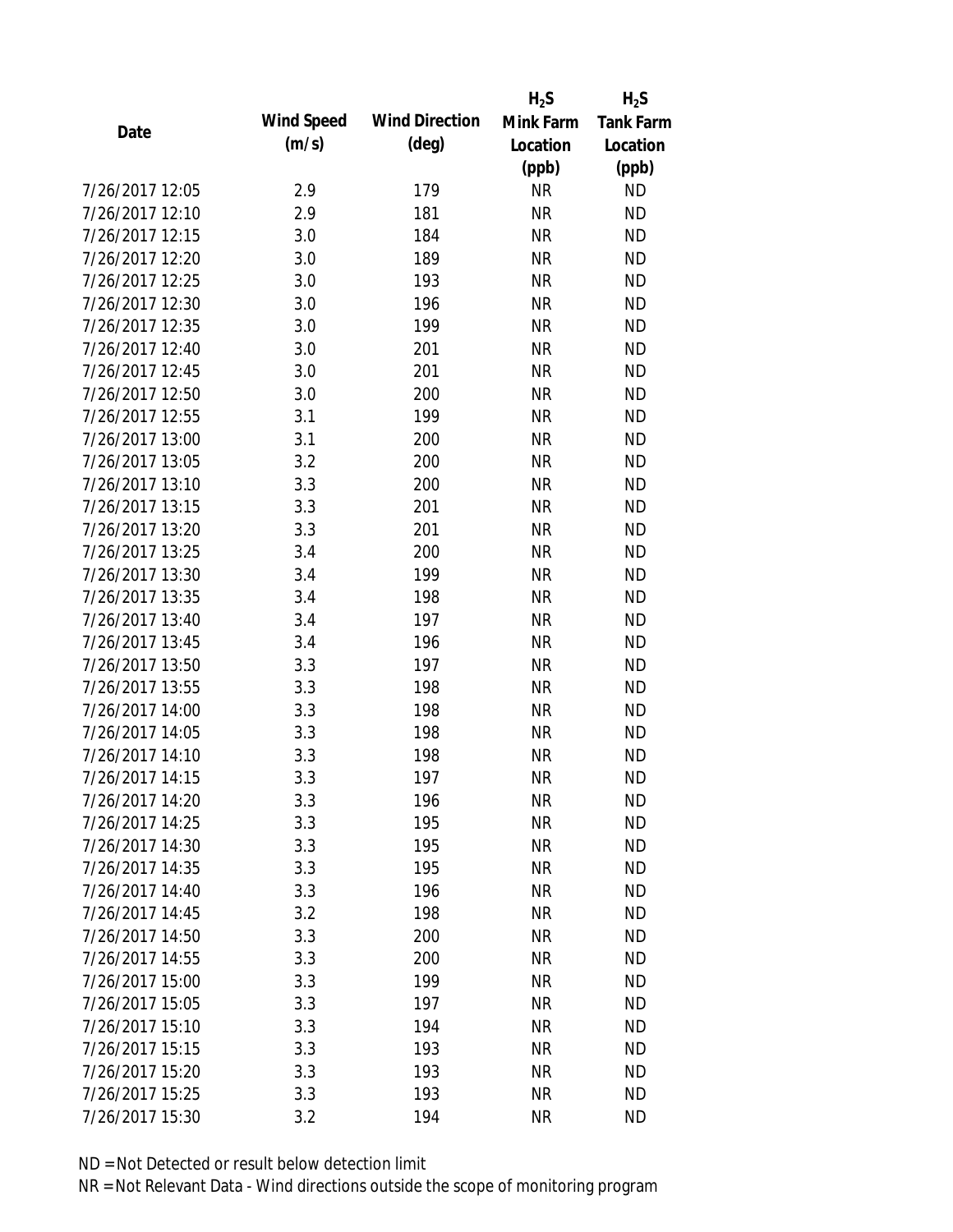|                 |            |                       | $H_2S$    | $H_2S$           |
|-----------------|------------|-----------------------|-----------|------------------|
| Date            | Wind Speed | <b>Wind Direction</b> | Mink Farm | <b>Tank Farm</b> |
|                 | (m/s)      | $(\text{deg})$        | Location  | Location         |
|                 |            |                       | (ppb)     | (ppb)            |
| 7/26/2017 12:05 | 2.9        | 179                   | <b>NR</b> | <b>ND</b>        |
| 7/26/2017 12:10 | 2.9        | 181                   | <b>NR</b> | <b>ND</b>        |
| 7/26/2017 12:15 | 3.0        | 184                   | <b>NR</b> | <b>ND</b>        |
| 7/26/2017 12:20 | 3.0        | 189                   | <b>NR</b> | <b>ND</b>        |
| 7/26/2017 12:25 | 3.0        | 193                   | <b>NR</b> | <b>ND</b>        |
| 7/26/2017 12:30 | 3.0        | 196                   | <b>NR</b> | <b>ND</b>        |
| 7/26/2017 12:35 | 3.0        | 199                   | <b>NR</b> | <b>ND</b>        |
| 7/26/2017 12:40 | 3.0        | 201                   | <b>NR</b> | <b>ND</b>        |
| 7/26/2017 12:45 | 3.0        | 201                   | <b>NR</b> | <b>ND</b>        |
| 7/26/2017 12:50 | 3.0        | 200                   | <b>NR</b> | <b>ND</b>        |
| 7/26/2017 12:55 | 3.1        | 199                   | <b>NR</b> | <b>ND</b>        |
| 7/26/2017 13:00 | 3.1        | 200                   | <b>NR</b> | <b>ND</b>        |
| 7/26/2017 13:05 | 3.2        | 200                   | <b>NR</b> | <b>ND</b>        |
| 7/26/2017 13:10 | 3.3        | 200                   | <b>NR</b> | <b>ND</b>        |
| 7/26/2017 13:15 | 3.3        | 201                   | <b>NR</b> | <b>ND</b>        |
| 7/26/2017 13:20 | 3.3        | 201                   | <b>NR</b> | <b>ND</b>        |
| 7/26/2017 13:25 | 3.4        | 200                   | <b>NR</b> | <b>ND</b>        |
| 7/26/2017 13:30 | 3.4        | 199                   | <b>NR</b> | <b>ND</b>        |
| 7/26/2017 13:35 | 3.4        | 198                   | <b>NR</b> | <b>ND</b>        |
| 7/26/2017 13:40 | 3.4        | 197                   | <b>NR</b> | <b>ND</b>        |
| 7/26/2017 13:45 | 3.4        | 196                   | <b>NR</b> | <b>ND</b>        |
| 7/26/2017 13:50 | 3.3        | 197                   | <b>NR</b> | <b>ND</b>        |
| 7/26/2017 13:55 | 3.3        | 198                   | <b>NR</b> | <b>ND</b>        |
| 7/26/2017 14:00 | 3.3        | 198                   | <b>NR</b> | <b>ND</b>        |
| 7/26/2017 14:05 | 3.3        | 198                   | <b>NR</b> | <b>ND</b>        |
| 7/26/2017 14:10 | 3.3        | 198                   | <b>NR</b> | <b>ND</b>        |
| 7/26/2017 14:15 | 3.3        | 197                   | <b>NR</b> | <b>ND</b>        |
| 7/26/2017 14:20 | 3.3        | 196                   | NR        | <b>ND</b>        |
| 7/26/2017 14:25 | 3.3        | 195                   | <b>NR</b> | <b>ND</b>        |
| 7/26/2017 14:30 | 3.3        | 195                   | <b>NR</b> | <b>ND</b>        |
| 7/26/2017 14:35 | 3.3        | 195                   | <b>NR</b> | <b>ND</b>        |
| 7/26/2017 14:40 | 3.3        | 196                   | <b>NR</b> | <b>ND</b>        |
| 7/26/2017 14:45 | 3.2        | 198                   | <b>NR</b> | <b>ND</b>        |
| 7/26/2017 14:50 | 3.3        | 200                   | <b>NR</b> | <b>ND</b>        |
| 7/26/2017 14:55 | 3.3        | 200                   | <b>NR</b> | <b>ND</b>        |
| 7/26/2017 15:00 | 3.3        | 199                   | <b>NR</b> | <b>ND</b>        |
| 7/26/2017 15:05 | 3.3        | 197                   | <b>NR</b> | <b>ND</b>        |
| 7/26/2017 15:10 | 3.3        | 194                   | <b>NR</b> | <b>ND</b>        |
| 7/26/2017 15:15 | 3.3        | 193                   | <b>NR</b> | <b>ND</b>        |
| 7/26/2017 15:20 | 3.3        | 193                   | <b>NR</b> | <b>ND</b>        |
| 7/26/2017 15:25 | 3.3        | 193                   | <b>NR</b> | <b>ND</b>        |
| 7/26/2017 15:30 | 3.2        | 194                   | <b>NR</b> | <b>ND</b>        |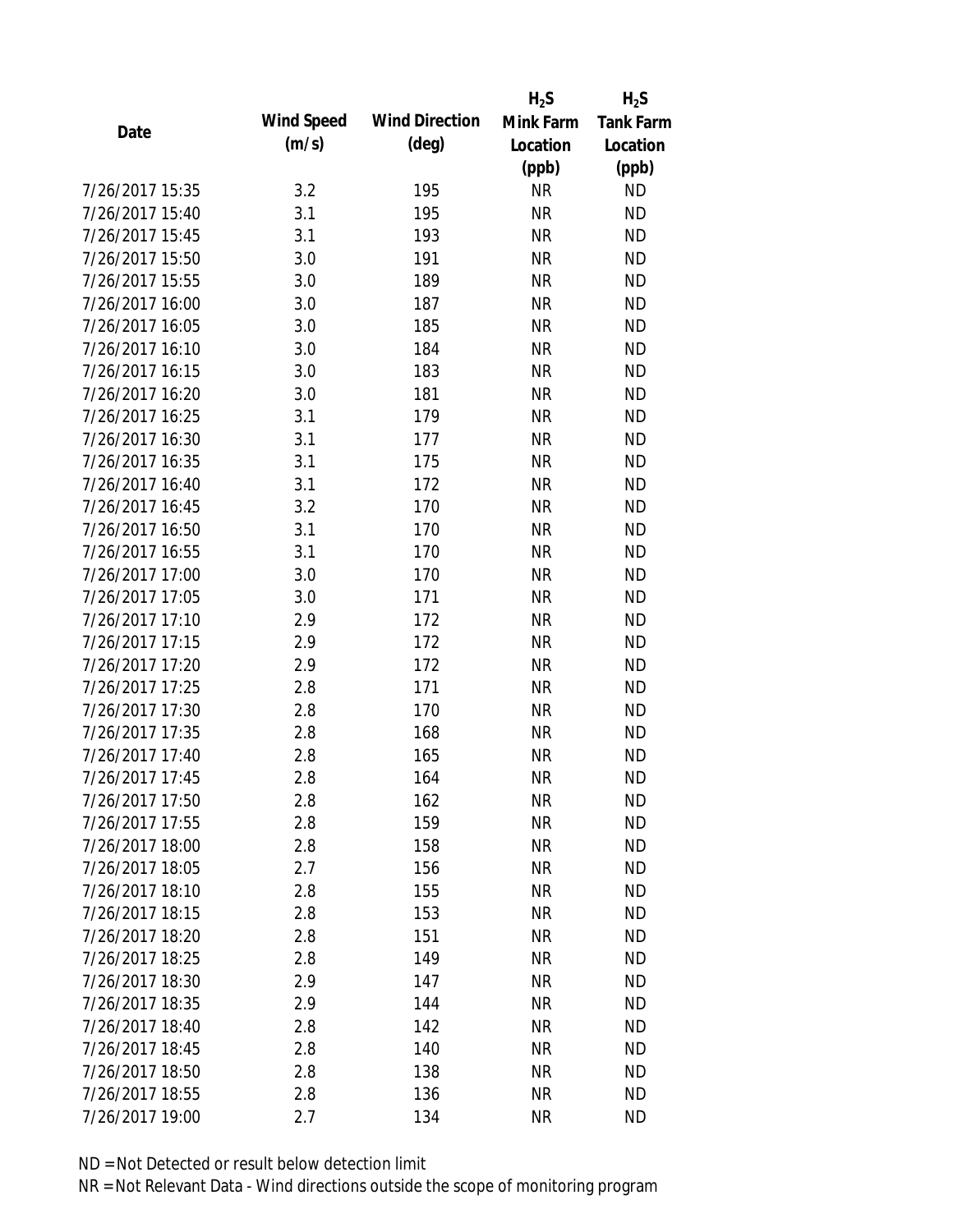|                 |            |                       | $H_2S$    | $H_2S$           |
|-----------------|------------|-----------------------|-----------|------------------|
| Date            | Wind Speed | <b>Wind Direction</b> | Mink Farm | <b>Tank Farm</b> |
|                 | (m/s)      | $(\text{deg})$        | Location  | Location         |
|                 |            |                       | (ppb)     | (ppb)            |
| 7/26/2017 15:35 | 3.2        | 195                   | <b>NR</b> | <b>ND</b>        |
| 7/26/2017 15:40 | 3.1        | 195                   | <b>NR</b> | <b>ND</b>        |
| 7/26/2017 15:45 | 3.1        | 193                   | <b>NR</b> | <b>ND</b>        |
| 7/26/2017 15:50 | 3.0        | 191                   | <b>NR</b> | <b>ND</b>        |
| 7/26/2017 15:55 | 3.0        | 189                   | <b>NR</b> | <b>ND</b>        |
| 7/26/2017 16:00 | 3.0        | 187                   | <b>NR</b> | <b>ND</b>        |
| 7/26/2017 16:05 | 3.0        | 185                   | <b>NR</b> | <b>ND</b>        |
| 7/26/2017 16:10 | 3.0        | 184                   | <b>NR</b> | <b>ND</b>        |
| 7/26/2017 16:15 | 3.0        | 183                   | <b>NR</b> | <b>ND</b>        |
| 7/26/2017 16:20 | 3.0        | 181                   | <b>NR</b> | <b>ND</b>        |
| 7/26/2017 16:25 | 3.1        | 179                   | <b>NR</b> | <b>ND</b>        |
| 7/26/2017 16:30 | 3.1        | 177                   | <b>NR</b> | <b>ND</b>        |
| 7/26/2017 16:35 | 3.1        | 175                   | <b>NR</b> | <b>ND</b>        |
| 7/26/2017 16:40 | 3.1        | 172                   | <b>NR</b> | <b>ND</b>        |
| 7/26/2017 16:45 | 3.2        | 170                   | <b>NR</b> | <b>ND</b>        |
| 7/26/2017 16:50 | 3.1        | 170                   | <b>NR</b> | <b>ND</b>        |
| 7/26/2017 16:55 | 3.1        | 170                   | <b>NR</b> | <b>ND</b>        |
| 7/26/2017 17:00 | 3.0        | 170                   | <b>NR</b> | <b>ND</b>        |
| 7/26/2017 17:05 | 3.0        | 171                   | <b>NR</b> | <b>ND</b>        |
| 7/26/2017 17:10 | 2.9        | 172                   | <b>NR</b> | <b>ND</b>        |
| 7/26/2017 17:15 | 2.9        | 172                   | <b>NR</b> | <b>ND</b>        |
| 7/26/2017 17:20 | 2.9        | 172                   | <b>NR</b> | <b>ND</b>        |
| 7/26/2017 17:25 | 2.8        | 171                   | <b>NR</b> | <b>ND</b>        |
| 7/26/2017 17:30 | 2.8        | 170                   | <b>NR</b> | <b>ND</b>        |
| 7/26/2017 17:35 | 2.8        | 168                   | <b>NR</b> | <b>ND</b>        |
| 7/26/2017 17:40 | 2.8        | 165                   | <b>NR</b> | <b>ND</b>        |
| 7/26/2017 17:45 | 2.8        | 164                   | <b>NR</b> | <b>ND</b>        |
| 7/26/2017 17:50 | 2.8        | 162                   | <b>NR</b> | <b>ND</b>        |
| 7/26/2017 17:55 | 2.8        | 159                   | <b>NR</b> | <b>ND</b>        |
| 7/26/2017 18:00 | 2.8        | 158                   | <b>NR</b> | <b>ND</b>        |
| 7/26/2017 18:05 | 2.7        | 156                   | <b>NR</b> | <b>ND</b>        |
| 7/26/2017 18:10 | 2.8        | 155                   | <b>NR</b> | <b>ND</b>        |
| 7/26/2017 18:15 | 2.8        | 153                   | <b>NR</b> | <b>ND</b>        |
| 7/26/2017 18:20 | 2.8        | 151                   | <b>NR</b> | <b>ND</b>        |
| 7/26/2017 18:25 | 2.8        | 149                   | <b>NR</b> | <b>ND</b>        |
| 7/26/2017 18:30 | 2.9        | 147                   | <b>NR</b> | <b>ND</b>        |
| 7/26/2017 18:35 | 2.9        | 144                   | <b>NR</b> | <b>ND</b>        |
| 7/26/2017 18:40 | 2.8        | 142                   | <b>NR</b> | <b>ND</b>        |
| 7/26/2017 18:45 | 2.8        | 140                   | <b>NR</b> | <b>ND</b>        |
| 7/26/2017 18:50 | 2.8        | 138                   | ΝR        | <b>ND</b>        |
| 7/26/2017 18:55 | 2.8        | 136                   | <b>NR</b> | <b>ND</b>        |
| 7/26/2017 19:00 | 2.7        | 134                   | <b>NR</b> | <b>ND</b>        |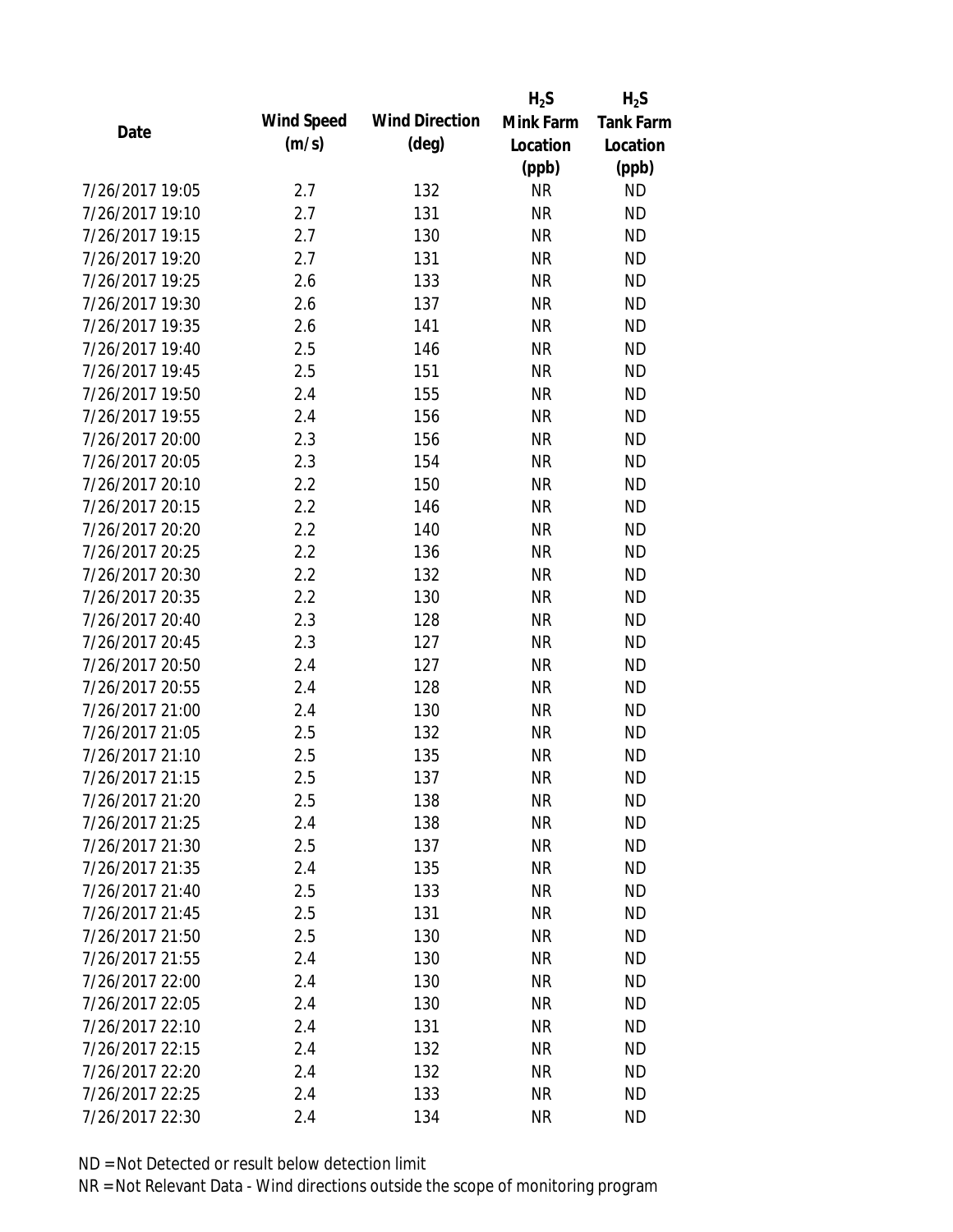|                 |                   |                       | $H_2S$    | $H_2S$           |
|-----------------|-------------------|-----------------------|-----------|------------------|
| Date            | <b>Wind Speed</b> | <b>Wind Direction</b> | Mink Farm | <b>Tank Farm</b> |
|                 | (m/s)             | $(\text{deg})$        | Location  | Location         |
|                 |                   |                       | (ppb)     | (ppb)            |
| 7/26/2017 19:05 | 2.7               | 132                   | <b>NR</b> | <b>ND</b>        |
| 7/26/2017 19:10 | 2.7               | 131                   | <b>NR</b> | <b>ND</b>        |
| 7/26/2017 19:15 | 2.7               | 130                   | <b>NR</b> | <b>ND</b>        |
| 7/26/2017 19:20 | 2.7               | 131                   | <b>NR</b> | <b>ND</b>        |
| 7/26/2017 19:25 | 2.6               | 133                   | <b>NR</b> | <b>ND</b>        |
| 7/26/2017 19:30 | 2.6               | 137                   | <b>NR</b> | <b>ND</b>        |
| 7/26/2017 19:35 | 2.6               | 141                   | <b>NR</b> | <b>ND</b>        |
| 7/26/2017 19:40 | 2.5               | 146                   | <b>NR</b> | <b>ND</b>        |
| 7/26/2017 19:45 | 2.5               | 151                   | <b>NR</b> | <b>ND</b>        |
| 7/26/2017 19:50 | 2.4               | 155                   | <b>NR</b> | <b>ND</b>        |
| 7/26/2017 19:55 | 2.4               | 156                   | <b>NR</b> | <b>ND</b>        |
| 7/26/2017 20:00 | 2.3               | 156                   | <b>NR</b> | <b>ND</b>        |
| 7/26/2017 20:05 | 2.3               | 154                   | <b>NR</b> | <b>ND</b>        |
| 7/26/2017 20:10 | 2.2               | 150                   | <b>NR</b> | <b>ND</b>        |
| 7/26/2017 20:15 | 2.2               | 146                   | <b>NR</b> | <b>ND</b>        |
| 7/26/2017 20:20 | 2.2               | 140                   | <b>NR</b> | <b>ND</b>        |
| 7/26/2017 20:25 | 2.2               | 136                   | <b>NR</b> | <b>ND</b>        |
| 7/26/2017 20:30 | 2.2               | 132                   | <b>NR</b> | <b>ND</b>        |
| 7/26/2017 20:35 | 2.2               | 130                   | <b>NR</b> | <b>ND</b>        |
| 7/26/2017 20:40 | 2.3               | 128                   | <b>NR</b> | <b>ND</b>        |
| 7/26/2017 20:45 | 2.3               | 127                   | <b>NR</b> | <b>ND</b>        |
| 7/26/2017 20:50 | 2.4               | 127                   | <b>NR</b> | <b>ND</b>        |
| 7/26/2017 20:55 | 2.4               | 128                   | <b>NR</b> | <b>ND</b>        |
| 7/26/2017 21:00 | 2.4               | 130                   | <b>NR</b> | <b>ND</b>        |
| 7/26/2017 21:05 | 2.5               | 132                   | <b>NR</b> | <b>ND</b>        |
| 7/26/2017 21:10 | 2.5               | 135                   | <b>NR</b> | <b>ND</b>        |
| 7/26/2017 21:15 | 2.5               | 137                   | <b>NR</b> | <b>ND</b>        |
| 7/26/2017 21:20 | 2.5               | 138                   | NR        | <b>ND</b>        |
| 7/26/2017 21:25 | 2.4               | 138                   | <b>NR</b> | <b>ND</b>        |
| 7/26/2017 21:30 | 2.5               | 137                   | <b>NR</b> | <b>ND</b>        |
| 7/26/2017 21:35 | 2.4               | 135                   | <b>NR</b> | <b>ND</b>        |
| 7/26/2017 21:40 | 2.5               | 133                   | <b>NR</b> | <b>ND</b>        |
| 7/26/2017 21:45 | 2.5               | 131                   | <b>NR</b> | <b>ND</b>        |
| 7/26/2017 21:50 | 2.5               | 130                   | <b>NR</b> | <b>ND</b>        |
| 7/26/2017 21:55 | 2.4               | 130                   | <b>NR</b> | <b>ND</b>        |
| 7/26/2017 22:00 | 2.4               | 130                   | <b>NR</b> | <b>ND</b>        |
| 7/26/2017 22:05 | 2.4               | 130                   | <b>NR</b> | <b>ND</b>        |
| 7/26/2017 22:10 | 2.4               | 131                   | <b>NR</b> | <b>ND</b>        |
| 7/26/2017 22:15 | 2.4               | 132                   | <b>NR</b> | <b>ND</b>        |
| 7/26/2017 22:20 | 2.4               | 132                   | NR        | <b>ND</b>        |
| 7/26/2017 22:25 | 2.4               | 133                   | <b>NR</b> | <b>ND</b>        |
| 7/26/2017 22:30 | 2.4               | 134                   | <b>NR</b> | <b>ND</b>        |
|                 |                   |                       |           |                  |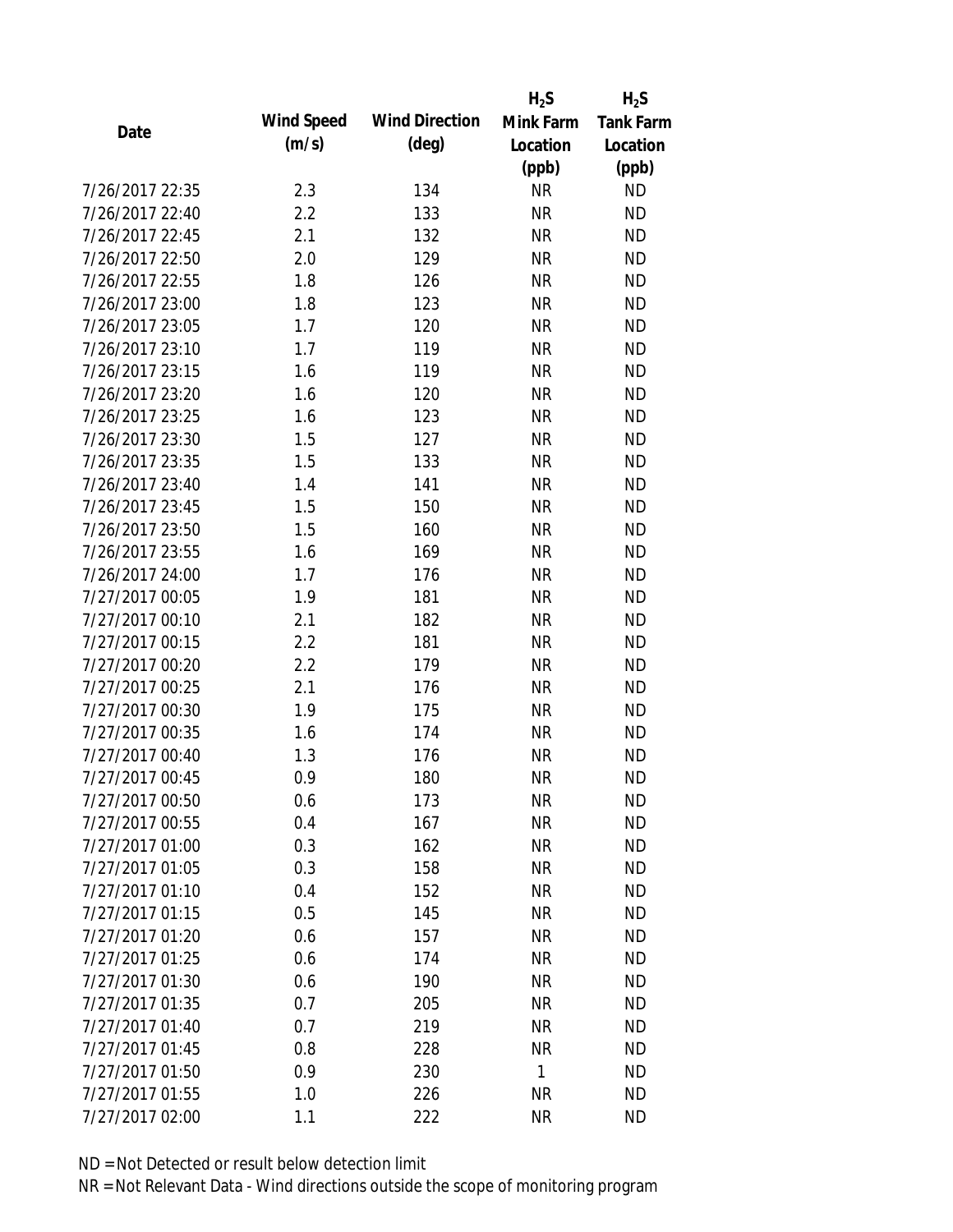|                 |            |                       | $H_2S$    | $H_2S$           |
|-----------------|------------|-----------------------|-----------|------------------|
| Date            | Wind Speed | <b>Wind Direction</b> | Mink Farm | <b>Tank Farm</b> |
|                 | (m/s)      | $(\text{deg})$        | Location  | Location         |
|                 |            |                       | (ppb)     | (ppb)            |
| 7/26/2017 22:35 | 2.3        | 134                   | <b>NR</b> | <b>ND</b>        |
| 7/26/2017 22:40 | 2.2        | 133                   | <b>NR</b> | <b>ND</b>        |
| 7/26/2017 22:45 | 2.1        | 132                   | <b>NR</b> | <b>ND</b>        |
| 7/26/2017 22:50 | 2.0        | 129                   | <b>NR</b> | <b>ND</b>        |
| 7/26/2017 22:55 | 1.8        | 126                   | <b>NR</b> | <b>ND</b>        |
| 7/26/2017 23:00 | 1.8        | 123                   | <b>NR</b> | <b>ND</b>        |
| 7/26/2017 23:05 | 1.7        | 120                   | <b>NR</b> | <b>ND</b>        |
| 7/26/2017 23:10 | 1.7        | 119                   | <b>NR</b> | <b>ND</b>        |
| 7/26/2017 23:15 | 1.6        | 119                   | <b>NR</b> | <b>ND</b>        |
| 7/26/2017 23:20 | 1.6        | 120                   | <b>NR</b> | <b>ND</b>        |
| 7/26/2017 23:25 | 1.6        | 123                   | <b>NR</b> | <b>ND</b>        |
| 7/26/2017 23:30 | 1.5        | 127                   | <b>NR</b> | <b>ND</b>        |
| 7/26/2017 23:35 | 1.5        | 133                   | <b>NR</b> | <b>ND</b>        |
| 7/26/2017 23:40 | 1.4        | 141                   | <b>NR</b> | <b>ND</b>        |
| 7/26/2017 23:45 | 1.5        | 150                   | <b>NR</b> | <b>ND</b>        |
| 7/26/2017 23:50 | 1.5        | 160                   | <b>NR</b> | <b>ND</b>        |
| 7/26/2017 23:55 | 1.6        | 169                   | <b>NR</b> | <b>ND</b>        |
| 7/26/2017 24:00 | 1.7        | 176                   | <b>NR</b> | <b>ND</b>        |
| 7/27/2017 00:05 | 1.9        | 181                   | <b>NR</b> | <b>ND</b>        |
| 7/27/2017 00:10 | 2.1        | 182                   | <b>NR</b> | <b>ND</b>        |
| 7/27/2017 00:15 | 2.2        | 181                   | <b>NR</b> | <b>ND</b>        |
| 7/27/2017 00:20 | 2.2        | 179                   | <b>NR</b> | <b>ND</b>        |
| 7/27/2017 00:25 | 2.1        | 176                   | <b>NR</b> | <b>ND</b>        |
| 7/27/2017 00:30 | 1.9        | 175                   | <b>NR</b> | <b>ND</b>        |
| 7/27/2017 00:35 | 1.6        | 174                   | <b>NR</b> | <b>ND</b>        |
| 7/27/2017 00:40 | 1.3        | 176                   | <b>NR</b> | <b>ND</b>        |
| 7/27/2017 00:45 | 0.9        | 180                   | <b>NR</b> | <b>ND</b>        |
| 7/27/2017 00:50 | 0.6        | 173                   | <b>NR</b> | <b>ND</b>        |
| 7/27/2017 00:55 | 0.4        | 167                   | <b>NR</b> | <b>ND</b>        |
| 7/27/2017 01:00 | 0.3        | 162                   | <b>NR</b> | <b>ND</b>        |
| 7/27/2017 01:05 | 0.3        | 158                   | <b>NR</b> | <b>ND</b>        |
| 7/27/2017 01:10 | 0.4        | 152                   | <b>NR</b> | <b>ND</b>        |
| 7/27/2017 01:15 | 0.5        | 145                   | <b>NR</b> | <b>ND</b>        |
| 7/27/2017 01:20 | 0.6        | 157                   | <b>NR</b> | <b>ND</b>        |
| 7/27/2017 01:25 | 0.6        | 174                   | <b>NR</b> | <b>ND</b>        |
| 7/27/2017 01:30 | 0.6        | 190                   | <b>NR</b> | <b>ND</b>        |
| 7/27/2017 01:35 | 0.7        | 205                   | <b>NR</b> | <b>ND</b>        |
| 7/27/2017 01:40 | 0.7        | 219                   | <b>NR</b> | <b>ND</b>        |
| 7/27/2017 01:45 | 0.8        | 228                   | <b>NR</b> | <b>ND</b>        |
| 7/27/2017 01:50 | 0.9        | 230                   | 1         | <b>ND</b>        |
| 7/27/2017 01:55 | 1.0        | 226                   | <b>NR</b> | <b>ND</b>        |
| 7/27/2017 02:00 | 1.1        | 222                   | <b>NR</b> | <b>ND</b>        |
|                 |            |                       |           |                  |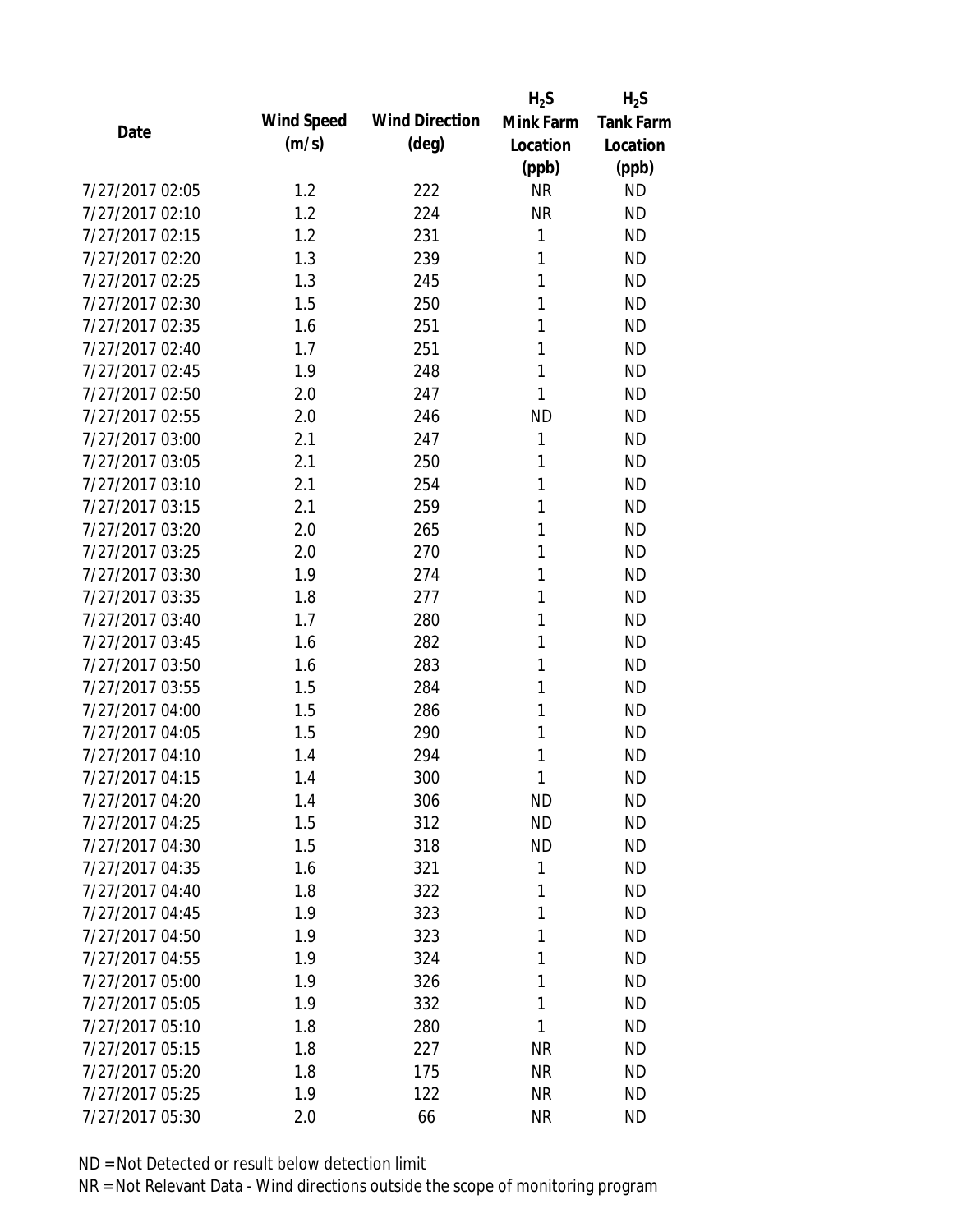|                 |            |                       | $H_2S$    | $H_2S$           |
|-----------------|------------|-----------------------|-----------|------------------|
| Date            | Wind Speed | <b>Wind Direction</b> | Mink Farm | <b>Tank Farm</b> |
|                 | (m/s)      | $(\text{deg})$        | Location  | Location         |
|                 |            |                       | (ppb)     | (ppb)            |
| 7/27/2017 02:05 | 1.2        | 222                   | <b>NR</b> | <b>ND</b>        |
| 7/27/2017 02:10 | 1.2        | 224                   | <b>NR</b> | <b>ND</b>        |
| 7/27/2017 02:15 | 1.2        | 231                   | 1         | <b>ND</b>        |
| 7/27/2017 02:20 | 1.3        | 239                   | 1         | <b>ND</b>        |
| 7/27/2017 02:25 | 1.3        | 245                   | 1         | <b>ND</b>        |
| 7/27/2017 02:30 | 1.5        | 250                   | 1         | <b>ND</b>        |
| 7/27/2017 02:35 | 1.6        | 251                   | 1         | <b>ND</b>        |
| 7/27/2017 02:40 | 1.7        | 251                   | 1         | <b>ND</b>        |
| 7/27/2017 02:45 | 1.9        | 248                   | 1         | <b>ND</b>        |
| 7/27/2017 02:50 | 2.0        | 247                   | 1         | <b>ND</b>        |
| 7/27/2017 02:55 | 2.0        | 246                   | <b>ND</b> | <b>ND</b>        |
| 7/27/2017 03:00 | 2.1        | 247                   | 1         | <b>ND</b>        |
| 7/27/2017 03:05 | 2.1        | 250                   | 1         | <b>ND</b>        |
| 7/27/2017 03:10 | 2.1        | 254                   | 1         | <b>ND</b>        |
| 7/27/2017 03:15 | 2.1        | 259                   | 1         | <b>ND</b>        |
| 7/27/2017 03:20 | 2.0        | 265                   | 1         | <b>ND</b>        |
| 7/27/2017 03:25 | 2.0        | 270                   | 1         | <b>ND</b>        |
| 7/27/2017 03:30 | 1.9        | 274                   | 1         | <b>ND</b>        |
| 7/27/2017 03:35 | 1.8        | 277                   | 1         | <b>ND</b>        |
| 7/27/2017 03:40 | 1.7        | 280                   | 1         | <b>ND</b>        |
| 7/27/2017 03:45 | 1.6        | 282                   | 1         | <b>ND</b>        |
| 7/27/2017 03:50 | 1.6        | 283                   | 1         | <b>ND</b>        |
| 7/27/2017 03:55 | 1.5        | 284                   | 1         | <b>ND</b>        |
| 7/27/2017 04:00 | 1.5        | 286                   | 1         | <b>ND</b>        |
| 7/27/2017 04:05 | 1.5        | 290                   | 1         | <b>ND</b>        |
| 7/27/2017 04:10 | 1.4        | 294                   | 1         | <b>ND</b>        |
| 7/27/2017 04:15 | 1.4        | 300                   | 1         | <b>ND</b>        |
| 7/27/2017 04:20 | 1.4        | 306                   | <b>ND</b> | <b>ND</b>        |
| 7/27/2017 04:25 | 1.5        | 312                   | <b>ND</b> | <b>ND</b>        |
| 7/27/2017 04:30 | 1.5        | 318                   | <b>ND</b> | <b>ND</b>        |
| 7/27/2017 04:35 | 1.6        | 321                   | 1         | <b>ND</b>        |
| 7/27/2017 04:40 | 1.8        | 322                   | 1         | <b>ND</b>        |
| 7/27/2017 04:45 | 1.9        | 323                   | 1         | <b>ND</b>        |
| 7/27/2017 04:50 | 1.9        | 323                   | 1         | <b>ND</b>        |
| 7/27/2017 04:55 | 1.9        | 324                   | 1         | <b>ND</b>        |
| 7/27/2017 05:00 | 1.9        | 326                   | 1         | <b>ND</b>        |
| 7/27/2017 05:05 | 1.9        | 332                   | 1         | <b>ND</b>        |
| 7/27/2017 05:10 | 1.8        | 280                   | 1         | <b>ND</b>        |
| 7/27/2017 05:15 | 1.8        | 227                   | <b>NR</b> | <b>ND</b>        |
| 7/27/2017 05:20 | 1.8        | 175                   | <b>NR</b> | <b>ND</b>        |
| 7/27/2017 05:25 | 1.9        | 122                   | <b>NR</b> | <b>ND</b>        |
| 7/27/2017 05:30 | 2.0        | 66                    | <b>NR</b> | <b>ND</b>        |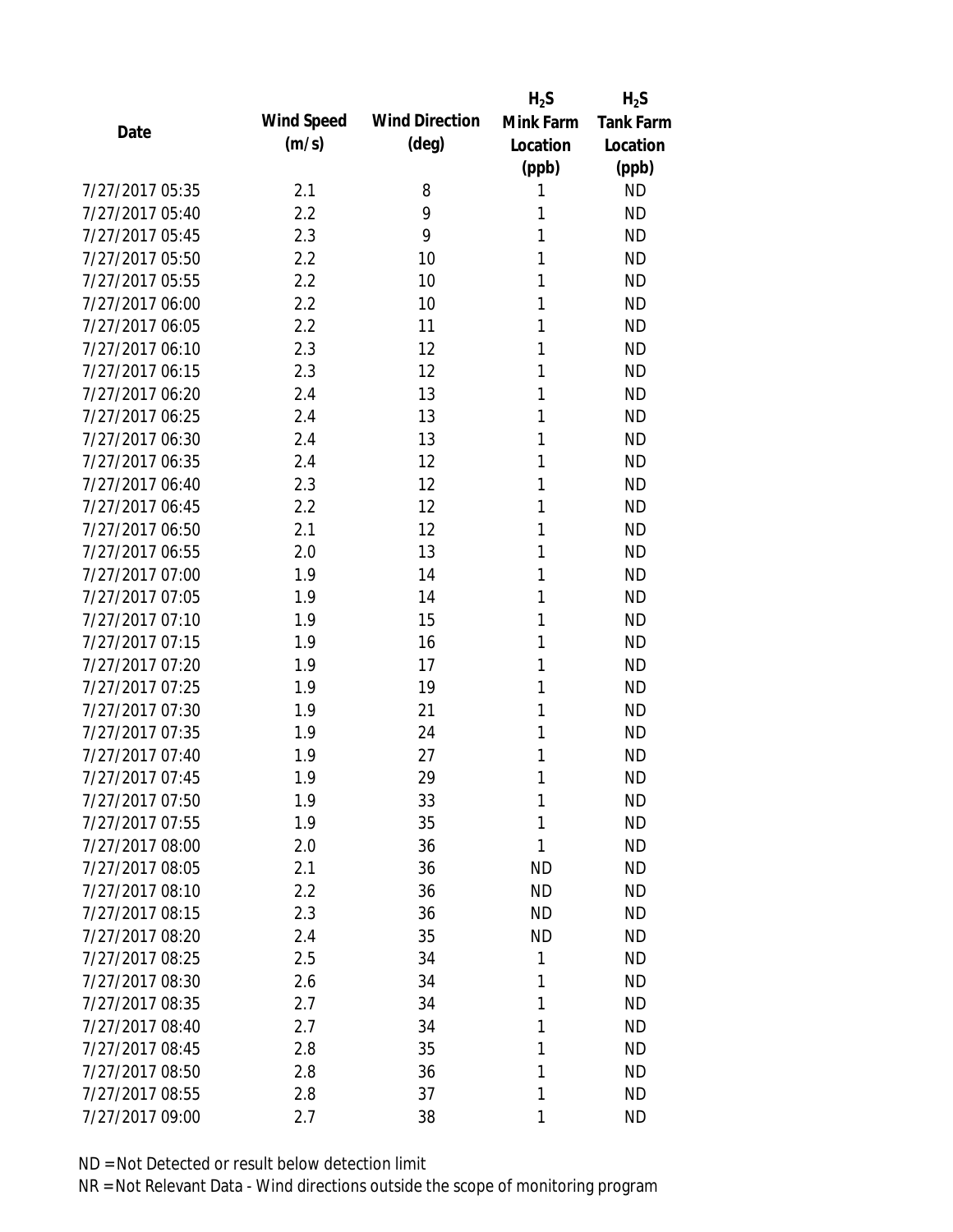|                 |            |                       | $H_2S$    | $H_2S$                 |
|-----------------|------------|-----------------------|-----------|------------------------|
| Date            | Wind Speed | <b>Wind Direction</b> | Mink Farm | <b>Tank Farm</b>       |
|                 | (m/s)      | $(\text{deg})$        | Location  | Location               |
|                 |            |                       | (ppb)     | (ppb)                  |
| 7/27/2017 05:35 | 2.1        | 8                     | 1         | <b>ND</b>              |
| 7/27/2017 05:40 | 2.2        | 9                     | 1         | <b>ND</b>              |
| 7/27/2017 05:45 | 2.3        | 9                     | 1         | <b>ND</b>              |
| 7/27/2017 05:50 | 2.2        | 10                    | 1         | <b>ND</b>              |
| 7/27/2017 05:55 | 2.2        | 10                    | 1         | <b>ND</b>              |
| 7/27/2017 06:00 | 2.2        | 10                    | 1         | <b>ND</b>              |
| 7/27/2017 06:05 | 2.2        | 11                    | 1         | <b>ND</b>              |
| 7/27/2017 06:10 | 2.3        | 12                    | 1         | <b>ND</b>              |
| 7/27/2017 06:15 | 2.3        | 12                    | 1         | <b>ND</b>              |
| 7/27/2017 06:20 | 2.4        | 13                    | 1         | <b>ND</b>              |
| 7/27/2017 06:25 | 2.4        | 13                    | 1         | <b>ND</b>              |
| 7/27/2017 06:30 | 2.4        | 13                    | 1         | <b>ND</b>              |
| 7/27/2017 06:35 | 2.4        | 12                    | 1         | <b>ND</b>              |
| 7/27/2017 06:40 | 2.3        | 12                    | 1         | <b>ND</b>              |
| 7/27/2017 06:45 | 2.2        | 12                    | 1         | <b>ND</b>              |
| 7/27/2017 06:50 | 2.1        | 12                    | 1         | <b>ND</b>              |
| 7/27/2017 06:55 | 2.0        | 13                    | 1         | <b>ND</b>              |
| 7/27/2017 07:00 | 1.9        | 14                    | 1         | <b>ND</b>              |
| 7/27/2017 07:05 | 1.9        | 14                    | 1         | <b>ND</b>              |
| 7/27/2017 07:10 | 1.9        | 15                    | 1         | <b>ND</b>              |
| 7/27/2017 07:15 | 1.9        | 16                    | 1         | <b>ND</b>              |
| 7/27/2017 07:20 | 1.9        | 17                    | 1         | <b>ND</b>              |
| 7/27/2017 07:25 | 1.9        | 19                    | 1         | <b>ND</b>              |
| 7/27/2017 07:30 | 1.9        | 21                    | 1         | <b>ND</b>              |
| 7/27/2017 07:35 | 1.9        | 24                    | 1         | <b>ND</b>              |
| 7/27/2017 07:40 | 1.9        | 27                    | 1         | <b>ND</b>              |
| 7/27/2017 07:45 | 1.9        | 29                    | 1         | <b>ND</b>              |
| 7/27/2017 07:50 | 1.9        | 33                    | 1         | <b>ND</b>              |
| 7/27/2017 07:55 | 1.9        | 35                    | 1         | <b>ND</b>              |
| 7/27/2017 08:00 | 2.0        | 36                    | 1         | <b>ND</b>              |
| 7/27/2017 08:05 | 2.1        | 36                    | <b>ND</b> | <b>ND</b>              |
| 7/27/2017 08:10 | 2.2        | 36                    | <b>ND</b> | <b>ND</b>              |
| 7/27/2017 08:15 | 2.3        | 36                    | <b>ND</b> | <b>ND</b>              |
| 7/27/2017 08:20 | 2.4        | 35                    | <b>ND</b> | <b>ND</b>              |
| 7/27/2017 08:25 | 2.5        | 34                    | 1         | <b>ND</b>              |
| 7/27/2017 08:30 | 2.6        | 34                    | 1         | <b>ND</b>              |
| 7/27/2017 08:35 | 2.7        | 34                    | 1         | <b>ND</b>              |
| 7/27/2017 08:40 |            |                       | 1         |                        |
| 7/27/2017 08:45 | 2.7<br>2.8 | 34<br>35              | 1         | <b>ND</b><br><b>ND</b> |
| 7/27/2017 08:50 |            | 36                    | 1         | <b>ND</b>              |
|                 | 2.8        |                       |           |                        |
| 7/27/2017 08:55 | 2.8        | 37                    | 1         | <b>ND</b>              |
| 7/27/2017 09:00 | 2.7        | 38                    | 1         | <b>ND</b>              |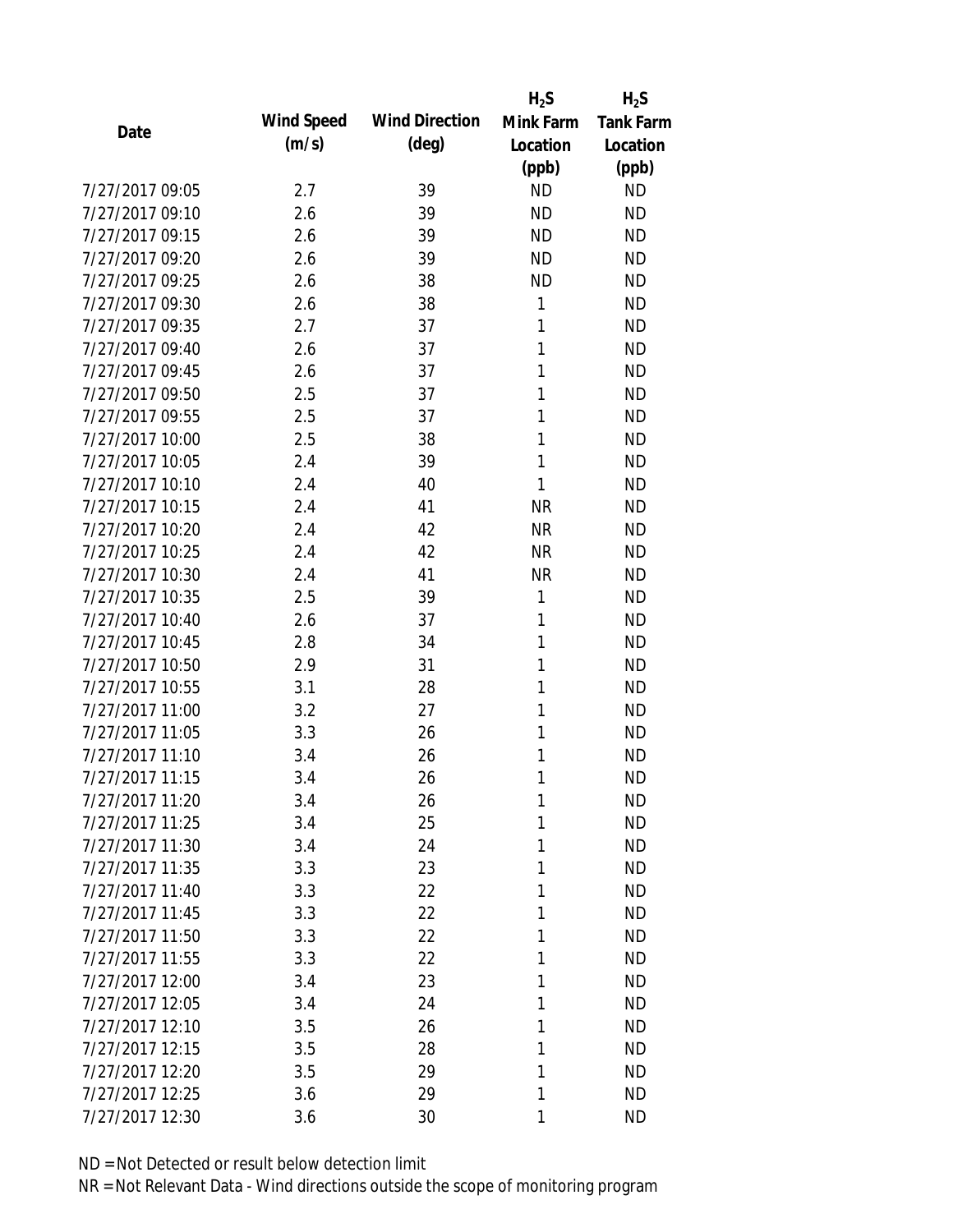|                 |            |                       | $H_2S$    | $H_2S$           |
|-----------------|------------|-----------------------|-----------|------------------|
|                 | Wind Speed | <b>Wind Direction</b> | Mink Farm | <b>Tank Farm</b> |
| Date            | (m/s)      | $(\text{deg})$        | Location  | Location         |
|                 |            |                       | (ppb)     | (ppb)            |
| 7/27/2017 09:05 | 2.7        | 39                    | <b>ND</b> | <b>ND</b>        |
| 7/27/2017 09:10 | 2.6        | 39                    | <b>ND</b> | <b>ND</b>        |
| 7/27/2017 09:15 | 2.6        | 39                    | <b>ND</b> | <b>ND</b>        |
| 7/27/2017 09:20 | 2.6        | 39                    | <b>ND</b> | <b>ND</b>        |
| 7/27/2017 09:25 | 2.6        | 38                    | <b>ND</b> | <b>ND</b>        |
| 7/27/2017 09:30 | 2.6        | 38                    | 1         | <b>ND</b>        |
| 7/27/2017 09:35 | 2.7        | 37                    | 1         | <b>ND</b>        |
| 7/27/2017 09:40 | 2.6        | 37                    | 1         | <b>ND</b>        |
| 7/27/2017 09:45 | 2.6        | 37                    | 1         | <b>ND</b>        |
| 7/27/2017 09:50 | 2.5        | 37                    | 1         | <b>ND</b>        |
| 7/27/2017 09:55 | 2.5        | 37                    | 1         | <b>ND</b>        |
| 7/27/2017 10:00 | 2.5        | 38                    | 1         | <b>ND</b>        |
| 7/27/2017 10:05 | 2.4        | 39                    | 1         | <b>ND</b>        |
| 7/27/2017 10:10 | 2.4        | 40                    | 1         | <b>ND</b>        |
| 7/27/2017 10:15 | 2.4        | 41                    | <b>NR</b> | <b>ND</b>        |
| 7/27/2017 10:20 | 2.4        | 42                    | <b>NR</b> | <b>ND</b>        |
| 7/27/2017 10:25 | 2.4        | 42                    | <b>NR</b> | <b>ND</b>        |
| 7/27/2017 10:30 | 2.4        | 41                    | <b>NR</b> | <b>ND</b>        |
| 7/27/2017 10:35 | 2.5        | 39                    | 1         | <b>ND</b>        |
| 7/27/2017 10:40 | 2.6        | 37                    | 1         | <b>ND</b>        |
| 7/27/2017 10:45 | 2.8        | 34                    | 1         | <b>ND</b>        |
| 7/27/2017 10:50 | 2.9        | 31                    | 1         | <b>ND</b>        |
| 7/27/2017 10:55 | 3.1        | 28                    | 1         | <b>ND</b>        |
| 7/27/2017 11:00 | 3.2        | 27                    | 1         | <b>ND</b>        |
| 7/27/2017 11:05 | 3.3        | 26                    | 1         | <b>ND</b>        |
| 7/27/2017 11:10 | 3.4        | 26                    | 1         | <b>ND</b>        |
| 7/27/2017 11:15 | 3.4        | 26                    | 1         | <b>ND</b>        |
| 7/27/2017 11:20 | 3.4        | 26                    | 1         | <b>ND</b>        |
| 7/27/2017 11:25 | 3.4        | 25                    | 1         | <b>ND</b>        |
| 7/27/2017 11:30 | 3.4        | 24                    | 1         | <b>ND</b>        |
| 7/27/2017 11:35 | 3.3        | 23                    | 1         | <b>ND</b>        |
| 7/27/2017 11:40 | 3.3        | 22                    | 1         | <b>ND</b>        |
| 7/27/2017 11:45 | 3.3        | 22                    | 1         | <b>ND</b>        |
| 7/27/2017 11:50 | 3.3        | 22                    | 1         | <b>ND</b>        |
| 7/27/2017 11:55 | 3.3        | 22                    | 1         | <b>ND</b>        |
| 7/27/2017 12:00 | 3.4        | 23                    | 1         | <b>ND</b>        |
| 7/27/2017 12:05 | 3.4        | 24                    | 1         | <b>ND</b>        |
| 7/27/2017 12:10 | 3.5        | 26                    | 1         | <b>ND</b>        |
| 7/27/2017 12:15 | 3.5        | 28                    | 1         | <b>ND</b>        |
| 7/27/2017 12:20 | 3.5        | 29                    | 1         | <b>ND</b>        |
| 7/27/2017 12:25 | 3.6        | 29                    | 1         | <b>ND</b>        |
| 7/27/2017 12:30 |            |                       |           |                  |
|                 | 3.6        | 30                    | 1         | <b>ND</b>        |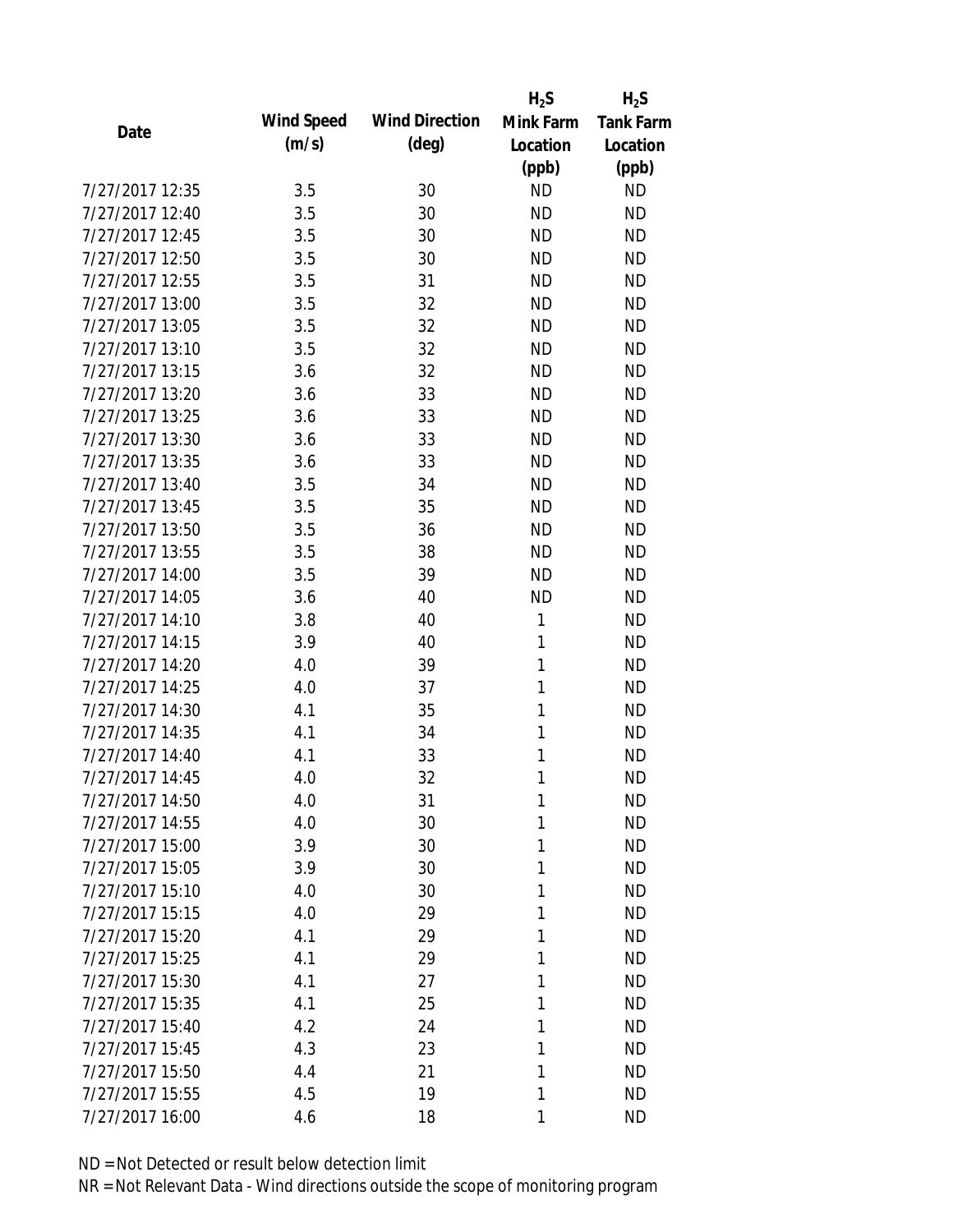|            |                                                                                                                                                 | $H_2S$                                                                                       | $H_2S$                                                                                        |
|------------|-------------------------------------------------------------------------------------------------------------------------------------------------|----------------------------------------------------------------------------------------------|-----------------------------------------------------------------------------------------------|
| Wind Speed | <b>Wind Direction</b>                                                                                                                           | Mink Farm                                                                                    | <b>Tank Farm</b>                                                                              |
| (m/s)      | $(\text{deg})$                                                                                                                                  | Location                                                                                     | Location                                                                                      |
|            |                                                                                                                                                 |                                                                                              | (ppb)                                                                                         |
| 3.5        | 30                                                                                                                                              | <b>ND</b>                                                                                    | <b>ND</b>                                                                                     |
| 3.5        | 30                                                                                                                                              | <b>ND</b>                                                                                    | <b>ND</b>                                                                                     |
| 3.5        | 30                                                                                                                                              | <b>ND</b>                                                                                    | <b>ND</b>                                                                                     |
| 3.5        | 30                                                                                                                                              | <b>ND</b>                                                                                    | <b>ND</b>                                                                                     |
| 3.5        | 31                                                                                                                                              | <b>ND</b>                                                                                    | <b>ND</b>                                                                                     |
|            | 32                                                                                                                                              | <b>ND</b>                                                                                    | <b>ND</b>                                                                                     |
| 3.5        | 32                                                                                                                                              | <b>ND</b>                                                                                    | <b>ND</b>                                                                                     |
| 3.5        | 32                                                                                                                                              | <b>ND</b>                                                                                    | <b>ND</b>                                                                                     |
| 3.6        | 32                                                                                                                                              | <b>ND</b>                                                                                    | <b>ND</b>                                                                                     |
|            | 33                                                                                                                                              | <b>ND</b>                                                                                    | <b>ND</b>                                                                                     |
| 3.6        | 33                                                                                                                                              | <b>ND</b>                                                                                    | <b>ND</b>                                                                                     |
|            | 33                                                                                                                                              | <b>ND</b>                                                                                    | <b>ND</b>                                                                                     |
|            | 33                                                                                                                                              | <b>ND</b>                                                                                    | <b>ND</b>                                                                                     |
| 3.5        | 34                                                                                                                                              | <b>ND</b>                                                                                    | <b>ND</b>                                                                                     |
|            |                                                                                                                                                 | <b>ND</b>                                                                                    | <b>ND</b>                                                                                     |
|            |                                                                                                                                                 |                                                                                              | <b>ND</b>                                                                                     |
|            |                                                                                                                                                 |                                                                                              | <b>ND</b>                                                                                     |
|            |                                                                                                                                                 |                                                                                              | <b>ND</b>                                                                                     |
|            |                                                                                                                                                 |                                                                                              | <b>ND</b>                                                                                     |
|            |                                                                                                                                                 |                                                                                              | <b>ND</b>                                                                                     |
|            |                                                                                                                                                 |                                                                                              | <b>ND</b>                                                                                     |
|            |                                                                                                                                                 |                                                                                              | <b>ND</b>                                                                                     |
|            |                                                                                                                                                 |                                                                                              | <b>ND</b>                                                                                     |
|            |                                                                                                                                                 | 1                                                                                            | <b>ND</b>                                                                                     |
|            |                                                                                                                                                 | 1                                                                                            | <b>ND</b>                                                                                     |
|            |                                                                                                                                                 | 1                                                                                            | <b>ND</b>                                                                                     |
|            |                                                                                                                                                 |                                                                                              | <b>ND</b>                                                                                     |
|            |                                                                                                                                                 | 1                                                                                            | <b>ND</b>                                                                                     |
| 4.0        | 30                                                                                                                                              | 1                                                                                            | <b>ND</b>                                                                                     |
| 3.9        | 30                                                                                                                                              | 1                                                                                            | <b>ND</b>                                                                                     |
| 3.9        | 30                                                                                                                                              | 1                                                                                            | <b>ND</b>                                                                                     |
| 4.0        | 30                                                                                                                                              | 1                                                                                            | <b>ND</b>                                                                                     |
| 4.0        | 29                                                                                                                                              | 1                                                                                            | <b>ND</b>                                                                                     |
| 4.1        | 29                                                                                                                                              | 1                                                                                            | <b>ND</b>                                                                                     |
|            | 29                                                                                                                                              | 1                                                                                            | <b>ND</b>                                                                                     |
| 4.1        | 27                                                                                                                                              | 1                                                                                            | <b>ND</b>                                                                                     |
|            |                                                                                                                                                 | 1                                                                                            | <b>ND</b>                                                                                     |
| 4.2        | 24                                                                                                                                              | 1                                                                                            | <b>ND</b>                                                                                     |
|            |                                                                                                                                                 | 1                                                                                            | <b>ND</b>                                                                                     |
| 4.4        | 21                                                                                                                                              | 1                                                                                            | <b>ND</b>                                                                                     |
| 4.5        | 19                                                                                                                                              | 1                                                                                            | <b>ND</b>                                                                                     |
| 4.6        | 18                                                                                                                                              | 1                                                                                            | <b>ND</b>                                                                                     |
|            | 3.5<br>3.6<br>3.6<br>3.6<br>3.5<br>3.5<br>3.5<br>3.5<br>3.6<br>3.8<br>3.9<br>4.0<br>4.0<br>4.1<br>4.1<br>4.1<br>4.0<br>4.0<br>4.1<br>4.1<br>4.3 | 35<br>36<br>38<br>39<br>40<br>40<br>40<br>39<br>37<br>35<br>34<br>33<br>32<br>31<br>25<br>23 | (ppb)<br><b>ND</b><br><b>ND</b><br><b>ND</b><br><b>ND</b><br>1<br>1<br>$\mathbf{1}$<br>1<br>1 |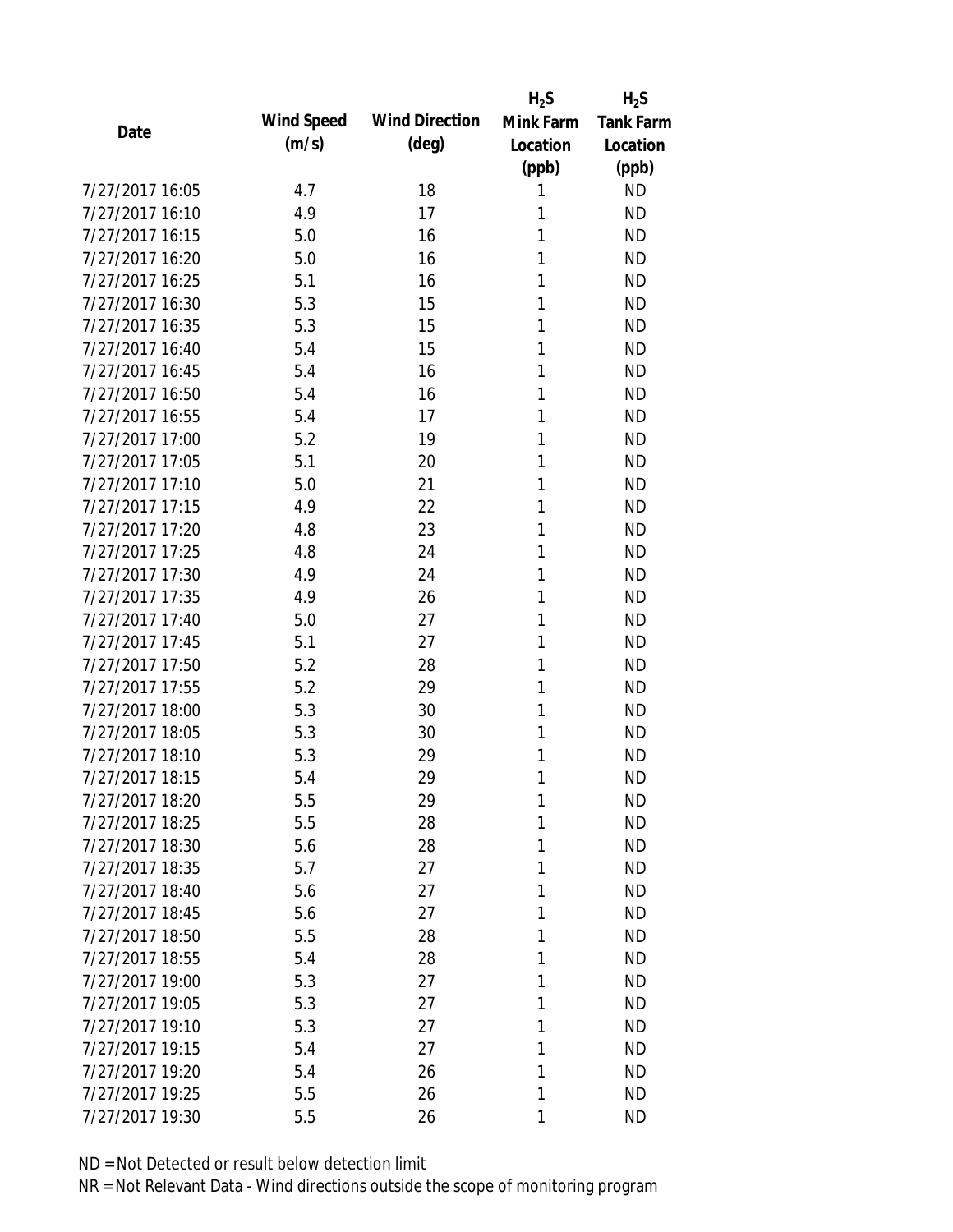|                 |            |                       | $H_2S$    | $H_2S$           |
|-----------------|------------|-----------------------|-----------|------------------|
|                 | Wind Speed | <b>Wind Direction</b> | Mink Farm | <b>Tank Farm</b> |
| Date            | (m/s)      | $(\text{deg})$        | Location  | Location         |
|                 |            |                       | (ppb)     | (ppb)            |
| 7/27/2017 16:05 | 4.7        | 18                    | 1         | <b>ND</b>        |
| 7/27/2017 16:10 | 4.9        | 17                    | 1         | <b>ND</b>        |
| 7/27/2017 16:15 | 5.0        | 16                    | 1         | <b>ND</b>        |
| 7/27/2017 16:20 | 5.0        | 16                    | 1         | <b>ND</b>        |
| 7/27/2017 16:25 | 5.1        | 16                    | 1         | <b>ND</b>        |
| 7/27/2017 16:30 | 5.3        | 15                    | 1         | <b>ND</b>        |
| 7/27/2017 16:35 | 5.3        | 15                    | 1         | <b>ND</b>        |
| 7/27/2017 16:40 | 5.4        | 15                    | 1         | <b>ND</b>        |
| 7/27/2017 16:45 | 5.4        | 16                    | 1         | <b>ND</b>        |
| 7/27/2017 16:50 | 5.4        | 16                    | 1         | <b>ND</b>        |
| 7/27/2017 16:55 | 5.4        | 17                    | 1         | <b>ND</b>        |
| 7/27/2017 17:00 | 5.2        | 19                    | 1         | <b>ND</b>        |
| 7/27/2017 17:05 | 5.1        | 20                    | 1         | <b>ND</b>        |
| 7/27/2017 17:10 | 5.0        | 21                    | 1         | <b>ND</b>        |
| 7/27/2017 17:15 | 4.9        | 22                    | 1         | <b>ND</b>        |
| 7/27/2017 17:20 | 4.8        | 23                    | 1         | <b>ND</b>        |
| 7/27/2017 17:25 | 4.8        | 24                    | 1         | <b>ND</b>        |
| 7/27/2017 17:30 | 4.9        | 24                    | 1         | <b>ND</b>        |
| 7/27/2017 17:35 | 4.9        | 26                    | 1         | <b>ND</b>        |
| 7/27/2017 17:40 | 5.0        | 27                    | 1         | <b>ND</b>        |
| 7/27/2017 17:45 | 5.1        | 27                    | 1         | <b>ND</b>        |
| 7/27/2017 17:50 | 5.2        | 28                    | 1         | <b>ND</b>        |
| 7/27/2017 17:55 | 5.2        | 29                    | 1         | <b>ND</b>        |
| 7/27/2017 18:00 | 5.3        | 30                    | 1         | <b>ND</b>        |
| 7/27/2017 18:05 | 5.3        | 30                    | 1         | <b>ND</b>        |
| 7/27/2017 18:10 | 5.3        | 29                    | 1         | <b>ND</b>        |
| 7/27/2017 18:15 | 5.4        | 29                    | 1         | <b>ND</b>        |
| 7/27/2017 18:20 | 5.5        | 29                    | 1         | <b>ND</b>        |
| 7/27/2017 18:25 | 5.5        | 28                    | 1         | <b>ND</b>        |
| 7/27/2017 18:30 | 5.6        | 28                    | 1         | <b>ND</b>        |
| 7/27/2017 18:35 | 5.7        | 27                    | 1         | <b>ND</b>        |
| 7/27/2017 18:40 | 5.6        | 27                    | 1         | <b>ND</b>        |
| 7/27/2017 18:45 | 5.6        | 27                    | 1         | <b>ND</b>        |
| 7/27/2017 18:50 | 5.5        | 28                    | 1         | <b>ND</b>        |
| 7/27/2017 18:55 | 5.4        | 28                    | 1         | <b>ND</b>        |
| 7/27/2017 19:00 | 5.3        | 27                    | 1         | <b>ND</b>        |
| 7/27/2017 19:05 | 5.3        | 27                    | 1         | <b>ND</b>        |
| 7/27/2017 19:10 | 5.3        | 27                    | 1         | <b>ND</b>        |
| 7/27/2017 19:15 | 5.4        | 27                    | 1         | <b>ND</b>        |
| 7/27/2017 19:20 | 5.4        | 26                    | 1         | <b>ND</b>        |
| 7/27/2017 19:25 | 5.5        | 26                    | 1         | <b>ND</b>        |
|                 |            |                       |           |                  |
| 7/27/2017 19:30 | 5.5        | 26                    | 1         | <b>ND</b>        |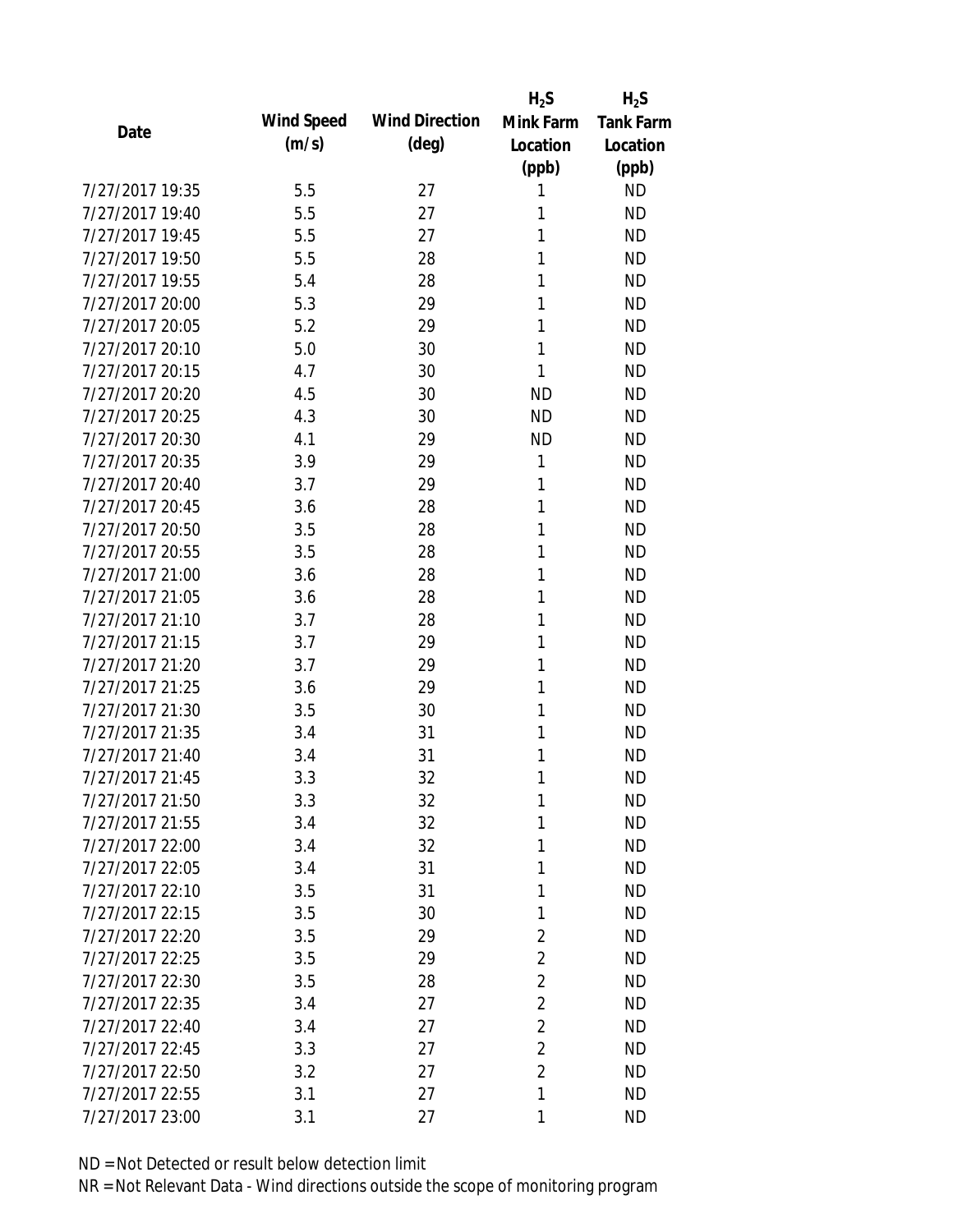|                 |            |                       | $H_2S$         | $H_2S$           |
|-----------------|------------|-----------------------|----------------|------------------|
| Date            | Wind Speed | <b>Wind Direction</b> | Mink Farm      | <b>Tank Farm</b> |
|                 | (m/s)      | $(\text{deg})$        | Location       | Location         |
|                 |            |                       | (ppb)          | (ppb)            |
| 7/27/2017 19:35 | 5.5        | 27                    | 1              | <b>ND</b>        |
| 7/27/2017 19:40 | 5.5        | 27                    | 1              | <b>ND</b>        |
| 7/27/2017 19:45 | 5.5        | 27                    | 1              | <b>ND</b>        |
| 7/27/2017 19:50 | 5.5        | 28                    | 1              | <b>ND</b>        |
| 7/27/2017 19:55 | 5.4        | 28                    | 1              | <b>ND</b>        |
| 7/27/2017 20:00 | 5.3        | 29                    | 1              | <b>ND</b>        |
| 7/27/2017 20:05 | 5.2        | 29                    | 1              | <b>ND</b>        |
| 7/27/2017 20:10 | 5.0        | 30                    | 1              | <b>ND</b>        |
| 7/27/2017 20:15 | 4.7        | 30                    | 1              | <b>ND</b>        |
| 7/27/2017 20:20 | 4.5        | 30                    | <b>ND</b>      | <b>ND</b>        |
| 7/27/2017 20:25 | 4.3        | 30                    | <b>ND</b>      | <b>ND</b>        |
| 7/27/2017 20:30 | 4.1        | 29                    | <b>ND</b>      | <b>ND</b>        |
| 7/27/2017 20:35 | 3.9        | 29                    | 1              | <b>ND</b>        |
| 7/27/2017 20:40 | 3.7        | 29                    | 1              | <b>ND</b>        |
| 7/27/2017 20:45 | 3.6        | 28                    | 1              | <b>ND</b>        |
| 7/27/2017 20:50 | 3.5        | 28                    | 1              | <b>ND</b>        |
| 7/27/2017 20:55 | 3.5        | 28                    | 1              | <b>ND</b>        |
| 7/27/2017 21:00 | 3.6        | 28                    | 1              | <b>ND</b>        |
| 7/27/2017 21:05 | 3.6        | 28                    | 1              | <b>ND</b>        |
| 7/27/2017 21:10 | 3.7        | 28                    | 1              | <b>ND</b>        |
| 7/27/2017 21:15 | 3.7        | 29                    | 1              | <b>ND</b>        |
| 7/27/2017 21:20 | 3.7        | 29                    | 1              | <b>ND</b>        |
| 7/27/2017 21:25 | 3.6        | 29                    | 1              | <b>ND</b>        |
| 7/27/2017 21:30 | 3.5        | 30                    | 1              | <b>ND</b>        |
| 7/27/2017 21:35 | 3.4        | 31                    | 1              | <b>ND</b>        |
| 7/27/2017 21:40 | 3.4        | 31                    | 1              | <b>ND</b>        |
| 7/27/2017 21:45 | 3.3        | 32                    | 1              | <b>ND</b>        |
| 7/27/2017 21:50 | 3.3        | 32                    | 1              | <b>ND</b>        |
| 7/27/2017 21:55 | 3.4        | 32                    | 1              | <b>ND</b>        |
| 7/27/2017 22:00 | 3.4        | 32                    | 1              | <b>ND</b>        |
| 7/27/2017 22:05 | 3.4        | 31                    | 1              | <b>ND</b>        |
| 7/27/2017 22:10 | 3.5        | 31                    | 1              | <b>ND</b>        |
| 7/27/2017 22:15 | 3.5        | 30                    | 1              | <b>ND</b>        |
| 7/27/2017 22:20 | 3.5        | 29                    | $\overline{2}$ | <b>ND</b>        |
| 7/27/2017 22:25 | 3.5        | 29                    | $\overline{2}$ | <b>ND</b>        |
| 7/27/2017 22:30 | 3.5        | 28                    | $\overline{2}$ | <b>ND</b>        |
| 7/27/2017 22:35 | 3.4        | 27                    | $\overline{2}$ | <b>ND</b>        |
| 7/27/2017 22:40 | 3.4        | 27                    | $\overline{2}$ | <b>ND</b>        |
| 7/27/2017 22:45 | 3.3        | 27                    | $\overline{2}$ | <b>ND</b>        |
| 7/27/2017 22:50 | 3.2        | 27                    | $\overline{2}$ | <b>ND</b>        |
| 7/27/2017 22:55 | 3.1        | 27                    | 1              | <b>ND</b>        |
| 7/27/2017 23:00 | 3.1        | 27                    | 1              | <b>ND</b>        |
|                 |            |                       |                |                  |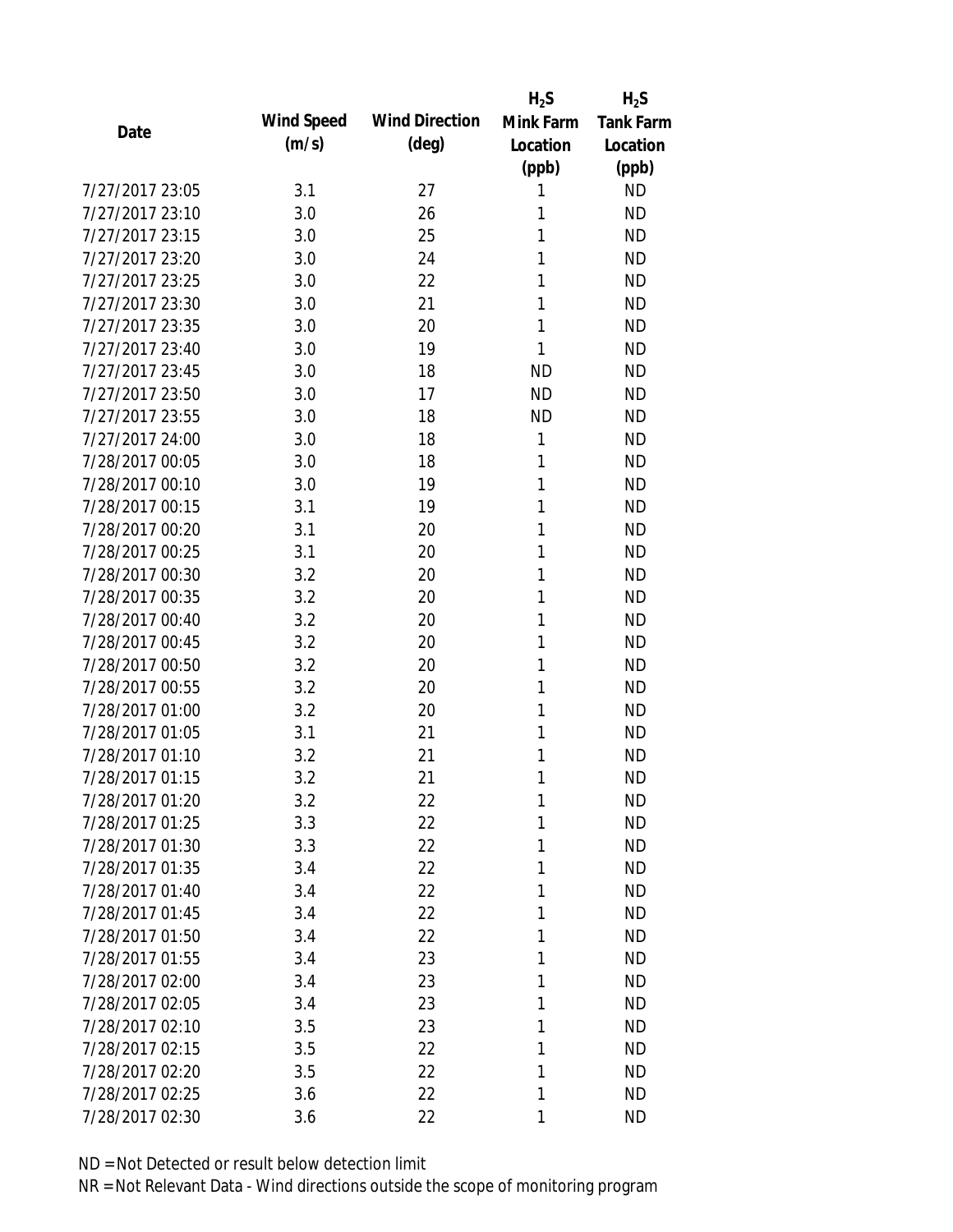|                 |            |                       | $H_2S$    | $H_2S$           |
|-----------------|------------|-----------------------|-----------|------------------|
|                 | Wind Speed | <b>Wind Direction</b> | Mink Farm | <b>Tank Farm</b> |
| Date            | (m/s)      | $(\text{deg})$        | Location  | Location         |
|                 |            |                       | (ppb)     | (ppb)            |
| 7/27/2017 23:05 | 3.1        | 27                    | 1         | <b>ND</b>        |
| 7/27/2017 23:10 | 3.0        | 26                    | 1         | <b>ND</b>        |
| 7/27/2017 23:15 | 3.0        | 25                    | 1         | <b>ND</b>        |
| 7/27/2017 23:20 | 3.0        | 24                    | 1         | <b>ND</b>        |
| 7/27/2017 23:25 | 3.0        | 22                    | 1         | <b>ND</b>        |
| 7/27/2017 23:30 | 3.0        | 21                    | 1         | <b>ND</b>        |
| 7/27/2017 23:35 | 3.0        | 20                    | 1         | <b>ND</b>        |
| 7/27/2017 23:40 | 3.0        | 19                    | 1         | <b>ND</b>        |
| 7/27/2017 23:45 | 3.0        | 18                    | <b>ND</b> | <b>ND</b>        |
| 7/27/2017 23:50 | 3.0        | 17                    | <b>ND</b> | <b>ND</b>        |
| 7/27/2017 23:55 | 3.0        | 18                    | <b>ND</b> | <b>ND</b>        |
| 7/27/2017 24:00 | 3.0        | 18                    | 1         | <b>ND</b>        |
| 7/28/2017 00:05 | 3.0        | 18                    | 1         | <b>ND</b>        |
| 7/28/2017 00:10 | 3.0        | 19                    | 1         | <b>ND</b>        |
| 7/28/2017 00:15 | 3.1        | 19                    | 1         | <b>ND</b>        |
| 7/28/2017 00:20 | 3.1        | 20                    | 1         | <b>ND</b>        |
| 7/28/2017 00:25 | 3.1        | 20                    | 1         | <b>ND</b>        |
| 7/28/2017 00:30 | 3.2        | 20                    | 1         | <b>ND</b>        |
| 7/28/2017 00:35 | 3.2        | 20                    | 1         | <b>ND</b>        |
| 7/28/2017 00:40 | 3.2        | 20                    | 1         | <b>ND</b>        |
| 7/28/2017 00:45 | 3.2        | 20                    | 1         | <b>ND</b>        |
| 7/28/2017 00:50 | 3.2        | 20                    | 1         | <b>ND</b>        |
| 7/28/2017 00:55 | 3.2        | 20                    | 1         | <b>ND</b>        |
| 7/28/2017 01:00 | 3.2        | 20                    | 1         | <b>ND</b>        |
| 7/28/2017 01:05 | 3.1        | 21                    | 1         | <b>ND</b>        |
| 7/28/2017 01:10 | 3.2        | 21                    | 1         | <b>ND</b>        |
| 7/28/2017 01:15 | 3.2        | 21                    | 1         | <b>ND</b>        |
| 7/28/2017 01:20 | 3.2        | 22                    | 1         | <b>ND</b>        |
| 7/28/2017 01:25 | 3.3        | 22                    | 1         | <b>ND</b>        |
| 7/28/2017 01:30 | 3.3        | 22                    | 1         | <b>ND</b>        |
| 7/28/2017 01:35 | 3.4        | 22                    | 1         | <b>ND</b>        |
| 7/28/2017 01:40 | 3.4        | 22                    | 1         | <b>ND</b>        |
| 7/28/2017 01:45 | 3.4        | 22                    | 1         | <b>ND</b>        |
| 7/28/2017 01:50 | 3.4        | 22                    | 1         | <b>ND</b>        |
| 7/28/2017 01:55 | 3.4        | 23                    | 1         | <b>ND</b>        |
| 7/28/2017 02:00 | 3.4        | 23                    | 1         | <b>ND</b>        |
| 7/28/2017 02:05 | 3.4        | 23                    | 1         | <b>ND</b>        |
| 7/28/2017 02:10 | 3.5        | 23                    | 1         | <b>ND</b>        |
| 7/28/2017 02:15 | 3.5        | 22                    | 1         | <b>ND</b>        |
| 7/28/2017 02:20 | 3.5        | 22                    | 1         | <b>ND</b>        |
| 7/28/2017 02:25 | 3.6        | 22                    | 1         | <b>ND</b>        |
| 7/28/2017 02:30 | 3.6        | 22                    | 1         | <b>ND</b>        |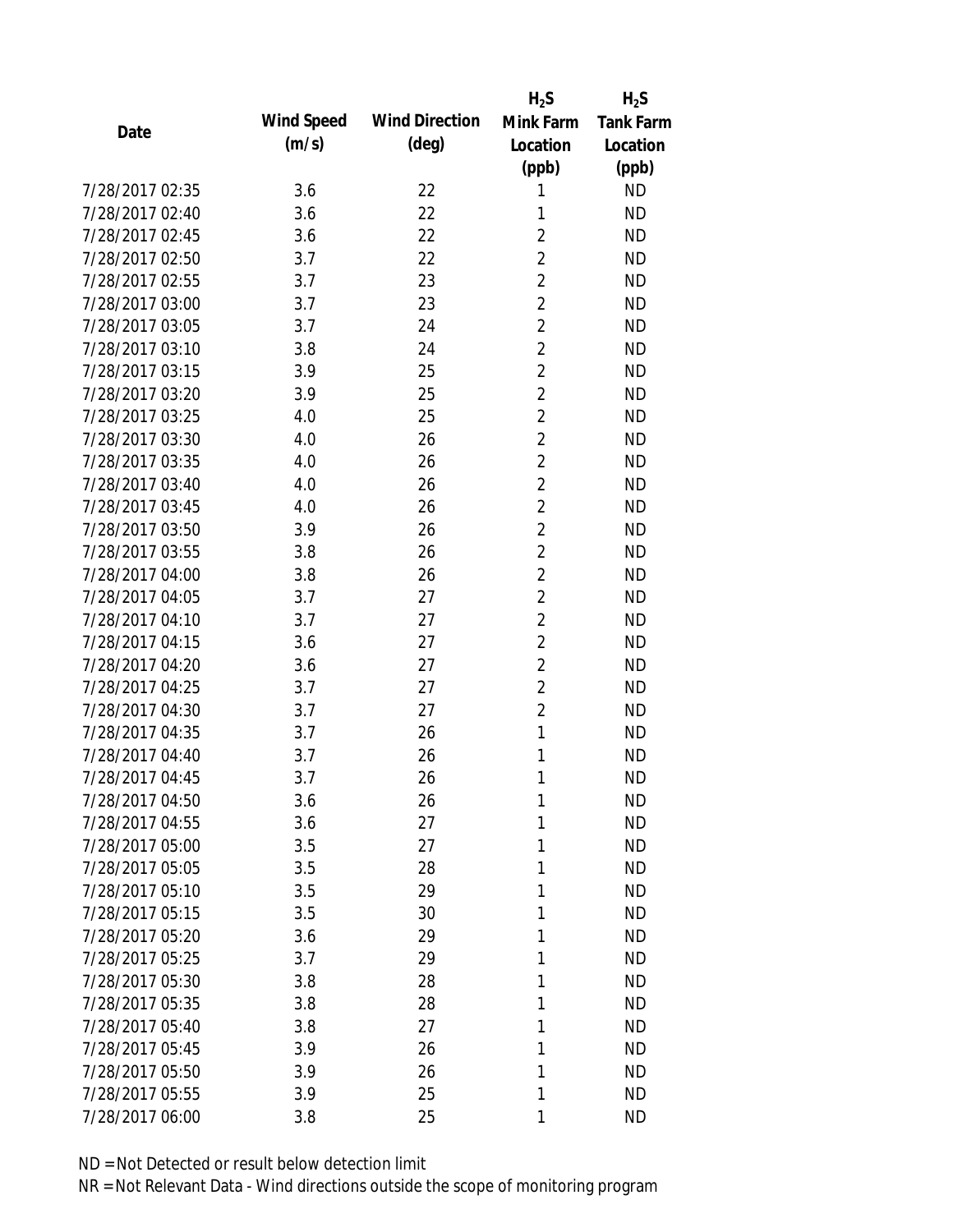|                 |            |                       | $H_2S$         | $H_2S$           |
|-----------------|------------|-----------------------|----------------|------------------|
| Date            | Wind Speed | <b>Wind Direction</b> | Mink Farm      | <b>Tank Farm</b> |
|                 | (m/s)      | $(\text{deg})$        | Location       | Location         |
|                 |            |                       | (ppb)          | (ppb)            |
| 7/28/2017 02:35 | 3.6        | 22                    | 1              | <b>ND</b>        |
| 7/28/2017 02:40 | 3.6        | 22                    | 1              | <b>ND</b>        |
| 7/28/2017 02:45 | 3.6        | 22                    | $\overline{2}$ | <b>ND</b>        |
| 7/28/2017 02:50 | 3.7        | 22                    | $\overline{2}$ | <b>ND</b>        |
| 7/28/2017 02:55 | 3.7        | 23                    | $\overline{2}$ | <b>ND</b>        |
| 7/28/2017 03:00 | 3.7        | 23                    | $\overline{2}$ | <b>ND</b>        |
| 7/28/2017 03:05 | 3.7        | 24                    | $\overline{2}$ | <b>ND</b>        |
| 7/28/2017 03:10 | 3.8        | 24                    | $\overline{2}$ | <b>ND</b>        |
| 7/28/2017 03:15 | 3.9        | 25                    | $\overline{2}$ | <b>ND</b>        |
| 7/28/2017 03:20 | 3.9        | 25                    | $\overline{2}$ | <b>ND</b>        |
| 7/28/2017 03:25 | 4.0        | 25                    | $\overline{2}$ | <b>ND</b>        |
| 7/28/2017 03:30 | 4.0        | 26                    | $\overline{2}$ | <b>ND</b>        |
| 7/28/2017 03:35 | 4.0        | 26                    | $\overline{2}$ | <b>ND</b>        |
| 7/28/2017 03:40 | 4.0        | 26                    | $\overline{2}$ | <b>ND</b>        |
| 7/28/2017 03:45 | 4.0        | 26                    | $\overline{2}$ | <b>ND</b>        |
| 7/28/2017 03:50 | 3.9        | 26                    | $\overline{2}$ | <b>ND</b>        |
| 7/28/2017 03:55 | 3.8        | 26                    | $\overline{2}$ | <b>ND</b>        |
| 7/28/2017 04:00 | 3.8        | 26                    | $\overline{2}$ | <b>ND</b>        |
| 7/28/2017 04:05 | 3.7        | 27                    | $\overline{2}$ | <b>ND</b>        |
| 7/28/2017 04:10 | 3.7        | 27                    | $\overline{2}$ | <b>ND</b>        |
| 7/28/2017 04:15 | 3.6        | 27                    | $\overline{2}$ | <b>ND</b>        |
| 7/28/2017 04:20 | 3.6        | 27                    | $\overline{2}$ | <b>ND</b>        |
| 7/28/2017 04:25 | 3.7        | 27                    | $\overline{2}$ | <b>ND</b>        |
| 7/28/2017 04:30 | 3.7        | 27                    | $\overline{2}$ | <b>ND</b>        |
| 7/28/2017 04:35 | 3.7        | 26                    | 1              | <b>ND</b>        |
| 7/28/2017 04:40 | 3.7        | 26                    | 1              | <b>ND</b>        |
| 7/28/2017 04:45 | 3.7        | 26                    | 1              | <b>ND</b>        |
| 7/28/2017 04:50 | 3.6        | 26                    | 1              | <b>ND</b>        |
| 7/28/2017 04:55 | 3.6        | 27                    | 1              | <b>ND</b>        |
| 7/28/2017 05:00 | 3.5        | 27                    | 1              | <b>ND</b>        |
| 7/28/2017 05:05 | 3.5        | 28                    | 1              | <b>ND</b>        |
| 7/28/2017 05:10 | 3.5        | 29                    | 1              | <b>ND</b>        |
| 7/28/2017 05:15 | 3.5        | 30                    | 1              | <b>ND</b>        |
| 7/28/2017 05:20 | 3.6        | 29                    | 1              | <b>ND</b>        |
| 7/28/2017 05:25 | 3.7        | 29                    | 1              | <b>ND</b>        |
| 7/28/2017 05:30 | 3.8        | 28                    | 1              | <b>ND</b>        |
| 7/28/2017 05:35 | 3.8        | 28                    | 1              | <b>ND</b>        |
| 7/28/2017 05:40 | 3.8        | 27                    | 1              | <b>ND</b>        |
| 7/28/2017 05:45 | 3.9        | 26                    | 1              | <b>ND</b>        |
| 7/28/2017 05:50 | 3.9        | 26                    | 1              | <b>ND</b>        |
| 7/28/2017 05:55 | 3.9        | 25                    | 1              | <b>ND</b>        |
| 7/28/2017 06:00 | 3.8        | 25                    | 1              | <b>ND</b>        |
|                 |            |                       |                |                  |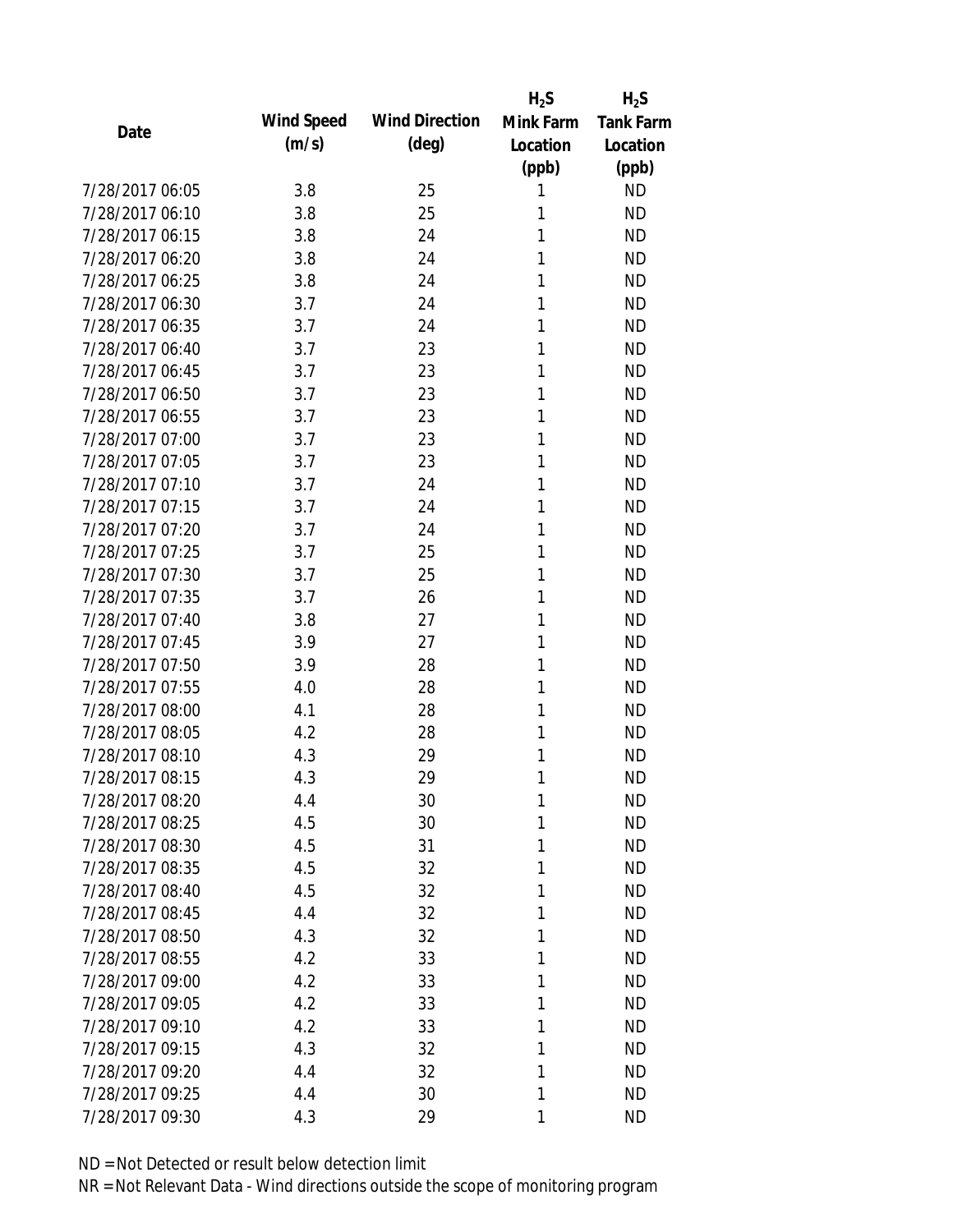|                 |            |                       | $H_2S$    | $H_2S$           |
|-----------------|------------|-----------------------|-----------|------------------|
| Date            | Wind Speed | <b>Wind Direction</b> | Mink Farm | <b>Tank Farm</b> |
|                 | (m/s)      | $(\text{deg})$        | Location  | Location         |
|                 |            |                       | (ppb)     | (ppb)            |
| 7/28/2017 06:05 | 3.8        | 25                    | 1         | <b>ND</b>        |
| 7/28/2017 06:10 | 3.8        | 25                    | 1         | <b>ND</b>        |
| 7/28/2017 06:15 | 3.8        | 24                    | 1         | <b>ND</b>        |
| 7/28/2017 06:20 | 3.8        | 24                    | 1         | <b>ND</b>        |
| 7/28/2017 06:25 | 3.8        | 24                    | 1         | <b>ND</b>        |
| 7/28/2017 06:30 | 3.7        | 24                    | 1         | <b>ND</b>        |
| 7/28/2017 06:35 | 3.7        | 24                    | 1         | <b>ND</b>        |
| 7/28/2017 06:40 | 3.7        | 23                    | 1         | <b>ND</b>        |
| 7/28/2017 06:45 | 3.7        | 23                    | 1         | <b>ND</b>        |
| 7/28/2017 06:50 | 3.7        | 23                    | 1         | <b>ND</b>        |
| 7/28/2017 06:55 | 3.7        | 23                    | 1         | <b>ND</b>        |
| 7/28/2017 07:00 | 3.7        | 23                    | 1         | <b>ND</b>        |
| 7/28/2017 07:05 | 3.7        | 23                    | 1         | <b>ND</b>        |
| 7/28/2017 07:10 | 3.7        | 24                    | 1         | <b>ND</b>        |
| 7/28/2017 07:15 | 3.7        | 24                    | 1         | <b>ND</b>        |
| 7/28/2017 07:20 | 3.7        | 24                    | 1         | <b>ND</b>        |
| 7/28/2017 07:25 | 3.7        | 25                    | 1         | <b>ND</b>        |
| 7/28/2017 07:30 | 3.7        | 25                    | 1         | <b>ND</b>        |
| 7/28/2017 07:35 | 3.7        | 26                    | 1         | <b>ND</b>        |
| 7/28/2017 07:40 | 3.8        | 27                    | 1         | <b>ND</b>        |
| 7/28/2017 07:45 | 3.9        | 27                    | 1         | <b>ND</b>        |
| 7/28/2017 07:50 | 3.9        | 28                    | 1         | <b>ND</b>        |
| 7/28/2017 07:55 | 4.0        | 28                    | 1         | <b>ND</b>        |
| 7/28/2017 08:00 | 4.1        | 28                    | 1         | <b>ND</b>        |
| 7/28/2017 08:05 | 4.2        | 28                    | 1         | <b>ND</b>        |
| 7/28/2017 08:10 | 4.3        | 29                    | 1         | <b>ND</b>        |
| 7/28/2017 08:15 | 4.3        | 29                    | 1         | <b>ND</b>        |
| 7/28/2017 08:20 | 4.4        | 30                    | 1         | <b>ND</b>        |
| 7/28/2017 08:25 | 4.5        | 30                    | 1         | <b>ND</b>        |
| 7/28/2017 08:30 | 4.5        | 31                    | 1         | <b>ND</b>        |
| 7/28/2017 08:35 | 4.5        | 32                    | 1         | <b>ND</b>        |
| 7/28/2017 08:40 | 4.5        | 32                    | 1         | <b>ND</b>        |
| 7/28/2017 08:45 | 4.4        | 32                    | 1         | <b>ND</b>        |
| 7/28/2017 08:50 | 4.3        | 32                    | 1         | <b>ND</b>        |
| 7/28/2017 08:55 | 4.2        | 33                    | 1         | <b>ND</b>        |
| 7/28/2017 09:00 | 4.2        | 33                    | 1         | <b>ND</b>        |
| 7/28/2017 09:05 | 4.2        | 33                    | 1         | <b>ND</b>        |
| 7/28/2017 09:10 | 4.2        | 33                    | 1         | <b>ND</b>        |
| 7/28/2017 09:15 | 4.3        | 32                    | 1         | <b>ND</b>        |
| 7/28/2017 09:20 | 4.4        | 32                    | 1         | <b>ND</b>        |
| 7/28/2017 09:25 | 4.4        | 30                    | 1         | <b>ND</b>        |
| 7/28/2017 09:30 | 4.3        | 29                    | 1         | <b>ND</b>        |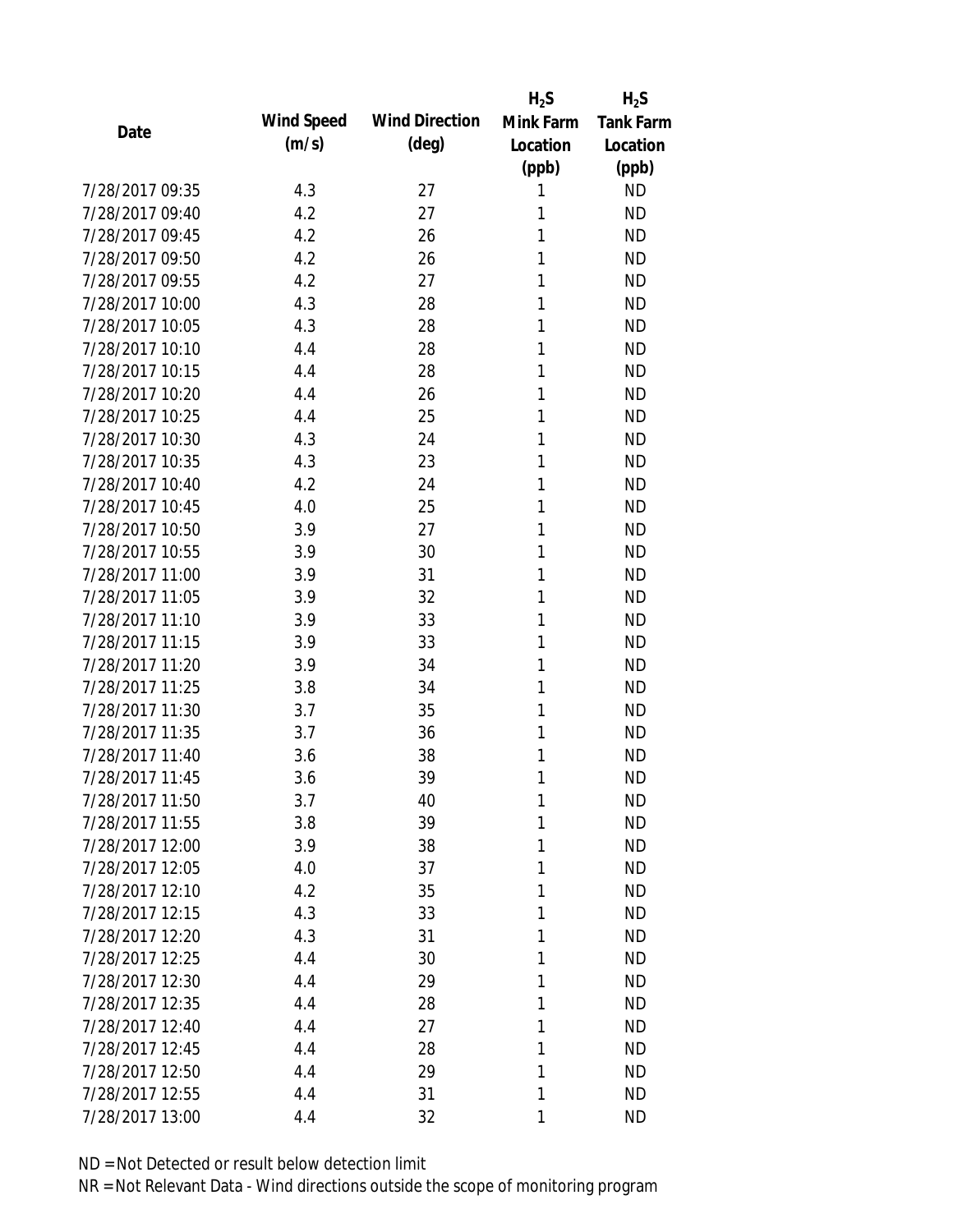|                 |            |                       | $H_2S$    | $H_2S$           |
|-----------------|------------|-----------------------|-----------|------------------|
| Date            | Wind Speed | <b>Wind Direction</b> | Mink Farm | <b>Tank Farm</b> |
|                 | (m/s)      | $(\text{deg})$        | Location  | Location         |
|                 |            |                       | (ppb)     | (ppb)            |
| 7/28/2017 09:35 | 4.3        | 27                    | 1         | <b>ND</b>        |
| 7/28/2017 09:40 | 4.2        | 27                    | 1         | <b>ND</b>        |
| 7/28/2017 09:45 | 4.2        | 26                    | 1         | <b>ND</b>        |
| 7/28/2017 09:50 | 4.2        | 26                    | 1         | <b>ND</b>        |
| 7/28/2017 09:55 | 4.2        | 27                    | 1         | <b>ND</b>        |
| 7/28/2017 10:00 | 4.3        | 28                    | 1         | <b>ND</b>        |
| 7/28/2017 10:05 | 4.3        | 28                    | 1         | <b>ND</b>        |
| 7/28/2017 10:10 | 4.4        | 28                    | 1         | <b>ND</b>        |
| 7/28/2017 10:15 | 4.4        | 28                    | 1         | <b>ND</b>        |
| 7/28/2017 10:20 | 4.4        | 26                    | 1         | <b>ND</b>        |
| 7/28/2017 10:25 | 4.4        | 25                    | 1         | <b>ND</b>        |
| 7/28/2017 10:30 | 4.3        | 24                    | 1         | <b>ND</b>        |
| 7/28/2017 10:35 | 4.3        | 23                    | 1         | <b>ND</b>        |
| 7/28/2017 10:40 | 4.2        | 24                    | 1         | <b>ND</b>        |
| 7/28/2017 10:45 | 4.0        | 25                    | 1         | <b>ND</b>        |
| 7/28/2017 10:50 | 3.9        | 27                    | 1         | <b>ND</b>        |
| 7/28/2017 10:55 | 3.9        | 30                    | 1         | <b>ND</b>        |
| 7/28/2017 11:00 | 3.9        | 31                    | 1         | <b>ND</b>        |
| 7/28/2017 11:05 | 3.9        | 32                    | 1         | <b>ND</b>        |
| 7/28/2017 11:10 | 3.9        | 33                    | 1         | <b>ND</b>        |
| 7/28/2017 11:15 | 3.9        | 33                    | 1         | <b>ND</b>        |
| 7/28/2017 11:20 | 3.9        | 34                    | 1         | <b>ND</b>        |
| 7/28/2017 11:25 | 3.8        | 34                    | 1         | <b>ND</b>        |
| 7/28/2017 11:30 | 3.7        | 35                    | 1         | <b>ND</b>        |
| 7/28/2017 11:35 | 3.7        | 36                    | 1         | <b>ND</b>        |
| 7/28/2017 11:40 | 3.6        | 38                    | 1         | <b>ND</b>        |
| 7/28/2017 11:45 | 3.6        | 39                    | 1         | <b>ND</b>        |
| 7/28/2017 11:50 | 3.7        | 40                    | 1         | <b>ND</b>        |
| 7/28/2017 11:55 | 3.8        | 39                    | 1         | <b>ND</b>        |
| 7/28/2017 12:00 | 3.9        | 38                    | 1         | <b>ND</b>        |
| 7/28/2017 12:05 | 4.0        | 37                    | 1         | <b>ND</b>        |
| 7/28/2017 12:10 | 4.2        | 35                    | 1         | <b>ND</b>        |
| 7/28/2017 12:15 | 4.3        | 33                    | 1         | <b>ND</b>        |
| 7/28/2017 12:20 | 4.3        | 31                    | 1         | <b>ND</b>        |
| 7/28/2017 12:25 | 4.4        | 30                    | 1         | <b>ND</b>        |
| 7/28/2017 12:30 | 4.4        | 29                    | 1         | <b>ND</b>        |
| 7/28/2017 12:35 | 4.4        | 28                    | 1         | <b>ND</b>        |
| 7/28/2017 12:40 | 4.4        | 27                    | 1         | <b>ND</b>        |
| 7/28/2017 12:45 | 4.4        | 28                    | 1         | <b>ND</b>        |
| 7/28/2017 12:50 | 4.4        | 29                    | 1         | <b>ND</b>        |
| 7/28/2017 12:55 | 4.4        | 31                    | 1         | <b>ND</b>        |
| 7/28/2017 13:00 | 4.4        | 32                    | 1         | <b>ND</b>        |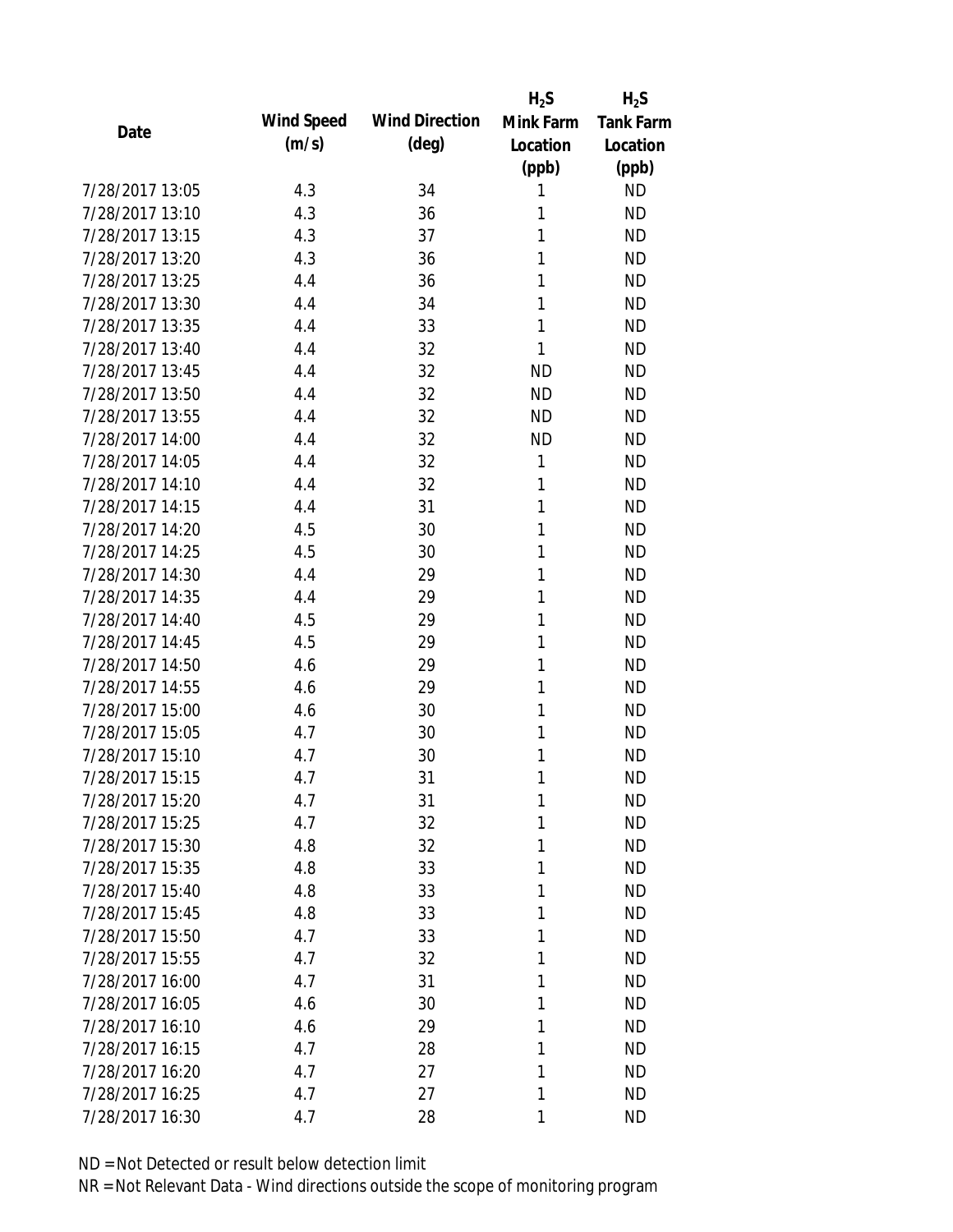|                 |            |                       | $H_2S$    | $H_2S$           |
|-----------------|------------|-----------------------|-----------|------------------|
| Date            | Wind Speed | <b>Wind Direction</b> | Mink Farm | <b>Tank Farm</b> |
|                 | (m/s)      | $(\text{deg})$        | Location  | Location         |
|                 |            |                       | (ppb)     | (ppb)            |
| 7/28/2017 13:05 | 4.3        | 34                    | 1         | <b>ND</b>        |
| 7/28/2017 13:10 | 4.3        | 36                    | 1         | <b>ND</b>        |
| 7/28/2017 13:15 | 4.3        | 37                    | 1         | <b>ND</b>        |
| 7/28/2017 13:20 | 4.3        | 36                    | 1         | <b>ND</b>        |
| 7/28/2017 13:25 | 4.4        | 36                    | 1         | <b>ND</b>        |
| 7/28/2017 13:30 | 4.4        | 34                    | 1         | <b>ND</b>        |
| 7/28/2017 13:35 | 4.4        | 33                    | 1         | <b>ND</b>        |
| 7/28/2017 13:40 | 4.4        | 32                    | 1         | <b>ND</b>        |
| 7/28/2017 13:45 | 4.4        | 32                    | <b>ND</b> | <b>ND</b>        |
| 7/28/2017 13:50 | 4.4        | 32                    | <b>ND</b> | <b>ND</b>        |
| 7/28/2017 13:55 | 4.4        | 32                    | <b>ND</b> | <b>ND</b>        |
| 7/28/2017 14:00 | 4.4        | 32                    | <b>ND</b> | <b>ND</b>        |
| 7/28/2017 14:05 | 4.4        | 32                    | 1         | <b>ND</b>        |
| 7/28/2017 14:10 | 4.4        | 32                    | 1         | <b>ND</b>        |
| 7/28/2017 14:15 | 4.4        | 31                    | 1         | <b>ND</b>        |
| 7/28/2017 14:20 | 4.5        | 30                    | 1         | <b>ND</b>        |
| 7/28/2017 14:25 | 4.5        | 30                    | 1         | <b>ND</b>        |
| 7/28/2017 14:30 | 4.4        | 29                    | 1         | <b>ND</b>        |
| 7/28/2017 14:35 | 4.4        | 29                    | 1         | <b>ND</b>        |
| 7/28/2017 14:40 | 4.5        | 29                    | 1         | <b>ND</b>        |
| 7/28/2017 14:45 | 4.5        | 29                    | 1         | <b>ND</b>        |
| 7/28/2017 14:50 | 4.6        | 29                    | 1         | <b>ND</b>        |
| 7/28/2017 14:55 | 4.6        | 29                    | 1         | <b>ND</b>        |
| 7/28/2017 15:00 | 4.6        | 30                    | 1         | <b>ND</b>        |
| 7/28/2017 15:05 | 4.7        | 30                    | 1         | <b>ND</b>        |
| 7/28/2017 15:10 | 4.7        | 30                    | 1         | <b>ND</b>        |
| 7/28/2017 15:15 | 4.7        | 31                    | 1         | <b>ND</b>        |
| 7/28/2017 15:20 | 4.7        | 31                    | 1         | <b>ND</b>        |
| 7/28/2017 15:25 | 4.7        | 32                    | 1         | <b>ND</b>        |
| 7/28/2017 15:30 | 4.8        | 32                    | 1         | <b>ND</b>        |
| 7/28/2017 15:35 | 4.8        | 33                    | 1         | <b>ND</b>        |
| 7/28/2017 15:40 | 4.8        | 33                    | 1         | <b>ND</b>        |
| 7/28/2017 15:45 | 4.8        | 33                    | 1         | <b>ND</b>        |
| 7/28/2017 15:50 | 4.7        | 33                    | 1         | <b>ND</b>        |
| 7/28/2017 15:55 | 4.7        | 32                    | 1         | <b>ND</b>        |
| 7/28/2017 16:00 | 4.7        | 31                    | 1         | <b>ND</b>        |
| 7/28/2017 16:05 | 4.6        | 30                    | 1         | <b>ND</b>        |
| 7/28/2017 16:10 | 4.6        | 29                    | 1         | <b>ND</b>        |
| 7/28/2017 16:15 | 4.7        | 28                    | 1         | <b>ND</b>        |
| 7/28/2017 16:20 | 4.7        | 27                    | 1         | <b>ND</b>        |
| 7/28/2017 16:25 | 4.7        | 27                    | 1         | <b>ND</b>        |
| 7/28/2017 16:30 | 4.7        | 28                    | 1         | <b>ND</b>        |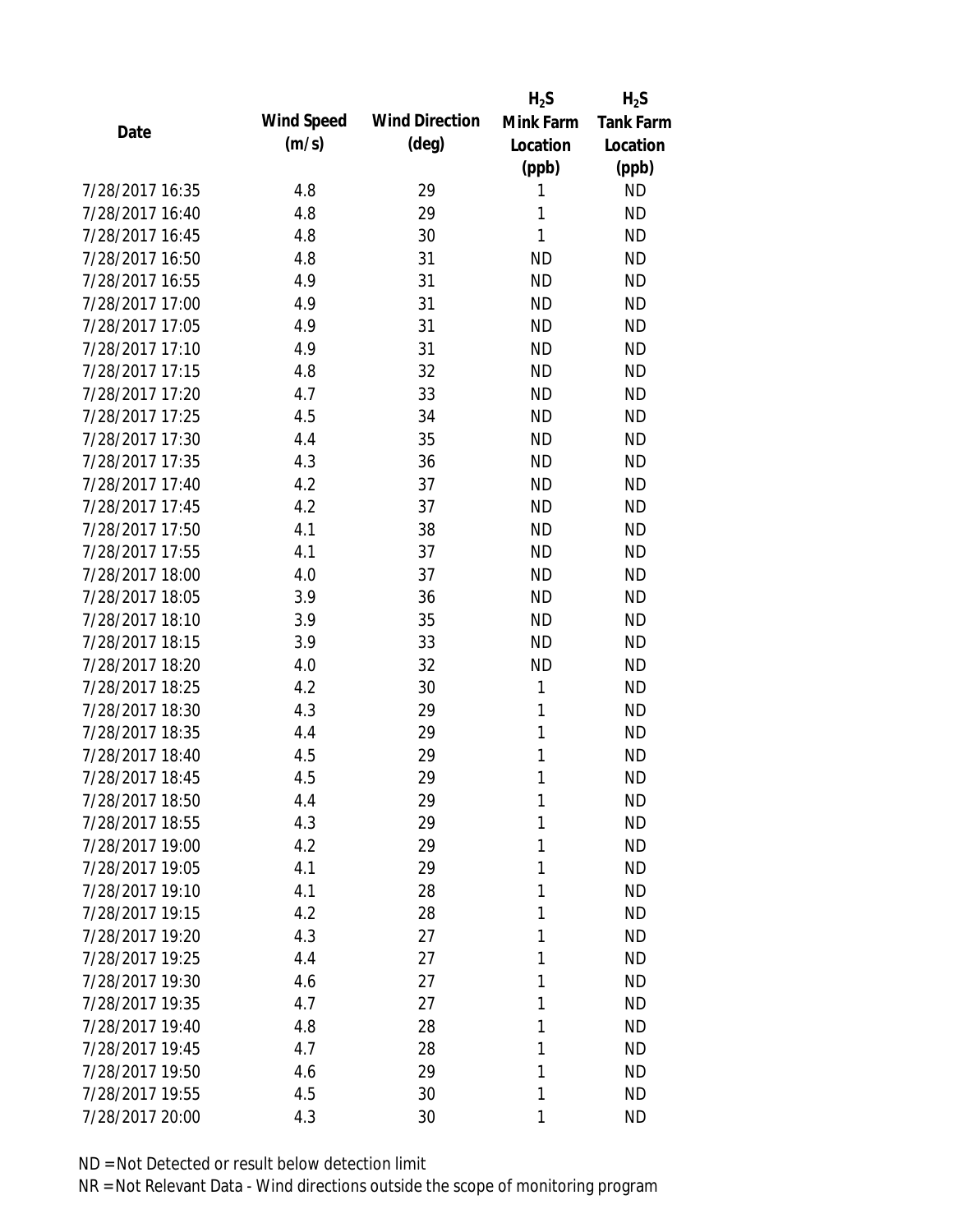|            |                       |           | $H_2S$           |
|------------|-----------------------|-----------|------------------|
| Wind Speed | <b>Wind Direction</b> | Mink Farm | <b>Tank Farm</b> |
| (m/s)      | $(\text{deg})$        | Location  | Location         |
|            |                       |           | (ppb)            |
| 4.8        | 29                    | 1         | <b>ND</b>        |
| 4.8        | 29                    | 1         | <b>ND</b>        |
| 4.8        | 30                    | 1         | <b>ND</b>        |
| 4.8        | 31                    | <b>ND</b> | <b>ND</b>        |
| 4.9        | 31                    | <b>ND</b> | <b>ND</b>        |
| 4.9        | 31                    | <b>ND</b> | <b>ND</b>        |
| 4.9        | 31                    | <b>ND</b> | <b>ND</b>        |
| 4.9        | 31                    | <b>ND</b> | <b>ND</b>        |
| 4.8        | 32                    | <b>ND</b> | <b>ND</b>        |
| 4.7        | 33                    | <b>ND</b> | <b>ND</b>        |
| 4.5        | 34                    | <b>ND</b> | <b>ND</b>        |
| 4.4        | 35                    | <b>ND</b> | <b>ND</b>        |
| 4.3        | 36                    | <b>ND</b> | <b>ND</b>        |
| 4.2        | 37                    | <b>ND</b> | <b>ND</b>        |
| 4.2        | 37                    | <b>ND</b> | <b>ND</b>        |
| 4.1        | 38                    | <b>ND</b> | <b>ND</b>        |
| 4.1        | 37                    | <b>ND</b> | <b>ND</b>        |
| 4.0        | 37                    | <b>ND</b> | <b>ND</b>        |
| 3.9        | 36                    | <b>ND</b> | <b>ND</b>        |
| 3.9        | 35                    | <b>ND</b> | <b>ND</b>        |
| 3.9        | 33                    | <b>ND</b> | <b>ND</b>        |
| 4.0        | 32                    | <b>ND</b> | <b>ND</b>        |
| 4.2        | 30                    | 1         | <b>ND</b>        |
| 4.3        | 29                    | 1         | <b>ND</b>        |
| 4.4        | 29                    | 1         | <b>ND</b>        |
| 4.5        | 29                    | 1         | <b>ND</b>        |
| 4.5        | 29                    | 1         | <b>ND</b>        |
|            | 29                    | 1         | <b>ND</b>        |
| 4.3        | 29                    | 1         | <b>ND</b>        |
| 4.2        | 29                    | 1         | <b>ND</b>        |
| 4.1        | 29                    | 1         | <b>ND</b>        |
| 4.1        | 28                    | 1         | <b>ND</b>        |
| 4.2        | 28                    | 1         | <b>ND</b>        |
| 4.3        | 27                    | 1         | <b>ND</b>        |
| 4.4        | 27                    | 1         | <b>ND</b>        |
| 4.6        | 27                    | 1         | <b>ND</b>        |
| 4.7        | 27                    | 1         | <b>ND</b>        |
| 4.8        | 28                    | 1         | <b>ND</b>        |
| 4.7        | 28                    | 1         | <b>ND</b>        |
| 4.6        | 29                    | 1         | <b>ND</b>        |
| 4.5        | 30                    | 1         | <b>ND</b>        |
| 4.3        | 30                    | 1         | <b>ND</b>        |
|            | 4.4                   |           | $H_2S$<br>(ppb)  |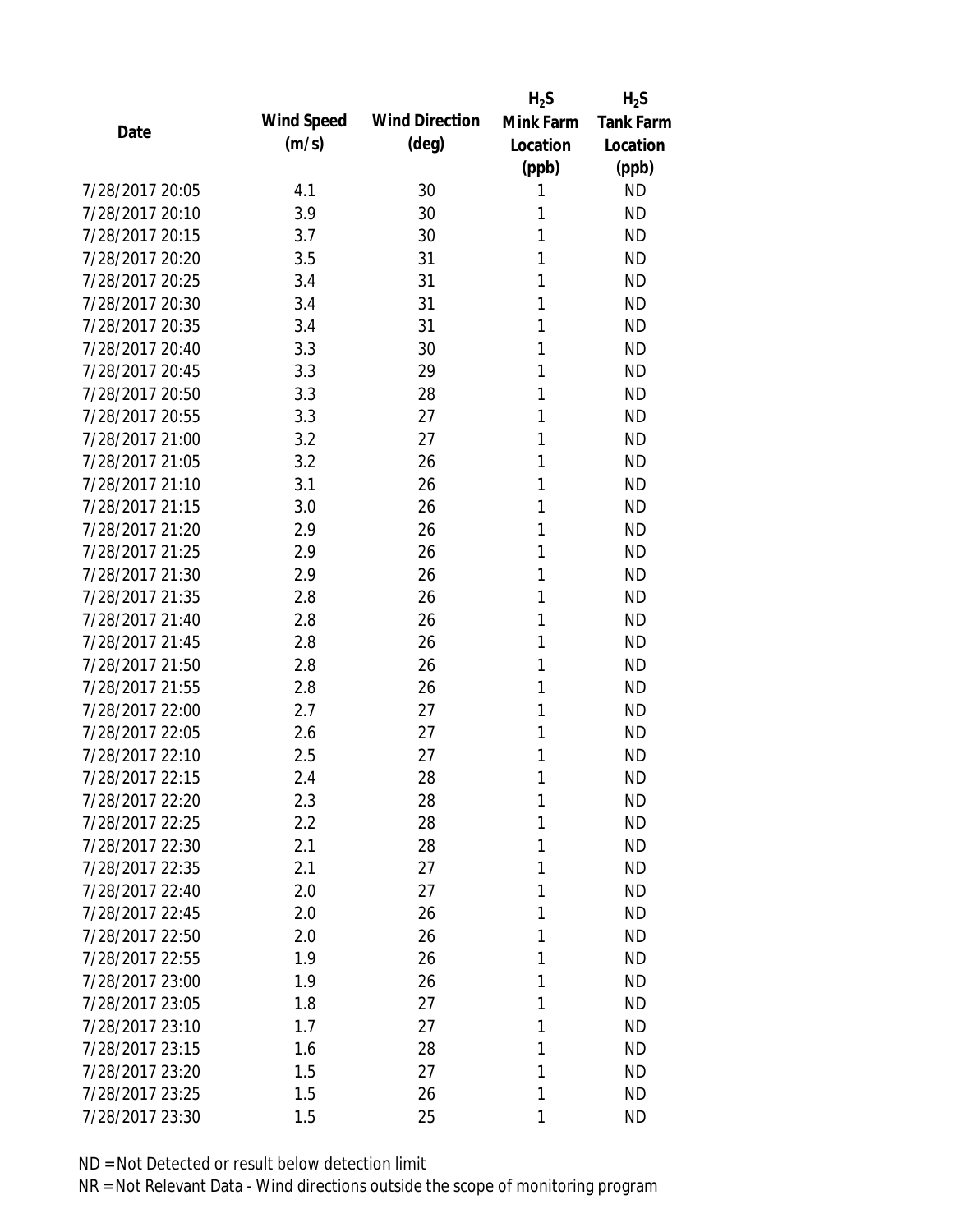|                 |            |                       | $H_2S$    | $H_2S$           |
|-----------------|------------|-----------------------|-----------|------------------|
|                 | Wind Speed | <b>Wind Direction</b> | Mink Farm | <b>Tank Farm</b> |
| Date            | (m/s)      | $(\text{deg})$        | Location  | Location         |
|                 |            |                       | (ppb)     | (ppb)            |
| 7/28/2017 20:05 | 4.1        | 30                    | 1         | <b>ND</b>        |
| 7/28/2017 20:10 | 3.9        | 30                    | 1         | <b>ND</b>        |
| 7/28/2017 20:15 | 3.7        | 30                    | 1         | <b>ND</b>        |
| 7/28/2017 20:20 | 3.5        | 31                    | 1         | <b>ND</b>        |
| 7/28/2017 20:25 | 3.4        | 31                    | 1         | <b>ND</b>        |
| 7/28/2017 20:30 | 3.4        | 31                    | 1         | <b>ND</b>        |
| 7/28/2017 20:35 | 3.4        | 31                    | 1         | <b>ND</b>        |
| 7/28/2017 20:40 | 3.3        | 30                    | 1         | <b>ND</b>        |
| 7/28/2017 20:45 | 3.3        | 29                    | 1         | <b>ND</b>        |
| 7/28/2017 20:50 | 3.3        | 28                    | 1         | <b>ND</b>        |
| 7/28/2017 20:55 | 3.3        | 27                    | 1         | <b>ND</b>        |
| 7/28/2017 21:00 | 3.2        | 27                    | 1         | <b>ND</b>        |
| 7/28/2017 21:05 | 3.2        | 26                    | 1         | <b>ND</b>        |
| 7/28/2017 21:10 | 3.1        | 26                    | 1         | <b>ND</b>        |
| 7/28/2017 21:15 | 3.0        | 26                    | 1         | <b>ND</b>        |
| 7/28/2017 21:20 | 2.9        | 26                    | 1         | <b>ND</b>        |
| 7/28/2017 21:25 | 2.9        | 26                    | 1         | <b>ND</b>        |
| 7/28/2017 21:30 | 2.9        | 26                    | 1         | <b>ND</b>        |
| 7/28/2017 21:35 | 2.8        | 26                    | 1         | <b>ND</b>        |
| 7/28/2017 21:40 | 2.8        | 26                    | 1         | <b>ND</b>        |
| 7/28/2017 21:45 | 2.8        | 26                    | 1         | <b>ND</b>        |
| 7/28/2017 21:50 | 2.8        | 26                    | 1         | <b>ND</b>        |
| 7/28/2017 21:55 | 2.8        | 26                    | 1         | <b>ND</b>        |
| 7/28/2017 22:00 | 2.7        | 27                    | 1         | <b>ND</b>        |
| 7/28/2017 22:05 | 2.6        | 27                    | 1         | <b>ND</b>        |
| 7/28/2017 22:10 | 2.5        | 27                    | 1         | <b>ND</b>        |
| 7/28/2017 22:15 | 2.4        | 28                    | 1         | <b>ND</b>        |
| 7/28/2017 22:20 | 2.3        | 28                    | 1         | <b>ND</b>        |
| 7/28/2017 22:25 | 2.2        | 28                    | 1         | <b>ND</b>        |
| 7/28/2017 22:30 | 2.1        | 28                    | 1         | <b>ND</b>        |
| 7/28/2017 22:35 | 2.1        | 27                    | 1         | <b>ND</b>        |
| 7/28/2017 22:40 | 2.0        | 27                    | 1         | <b>ND</b>        |
| 7/28/2017 22:45 | 2.0        | 26                    | 1         | <b>ND</b>        |
| 7/28/2017 22:50 | 2.0        | 26                    | 1         | <b>ND</b>        |
| 7/28/2017 22:55 | 1.9        | 26                    | 1         | <b>ND</b>        |
| 7/28/2017 23:00 | 1.9        | 26                    | 1         | <b>ND</b>        |
| 7/28/2017 23:05 | 1.8        | 27                    | 1         | <b>ND</b>        |
| 7/28/2017 23:10 | 1.7        | 27                    | 1         | <b>ND</b>        |
| 7/28/2017 23:15 | 1.6        | 28                    | 1         | <b>ND</b>        |
| 7/28/2017 23:20 | 1.5        | 27                    | 1         | <b>ND</b>        |
| 7/28/2017 23:25 | 1.5        | 26                    | 1         | <b>ND</b>        |
| 7/28/2017 23:30 | 1.5        | 25                    | 1         | <b>ND</b>        |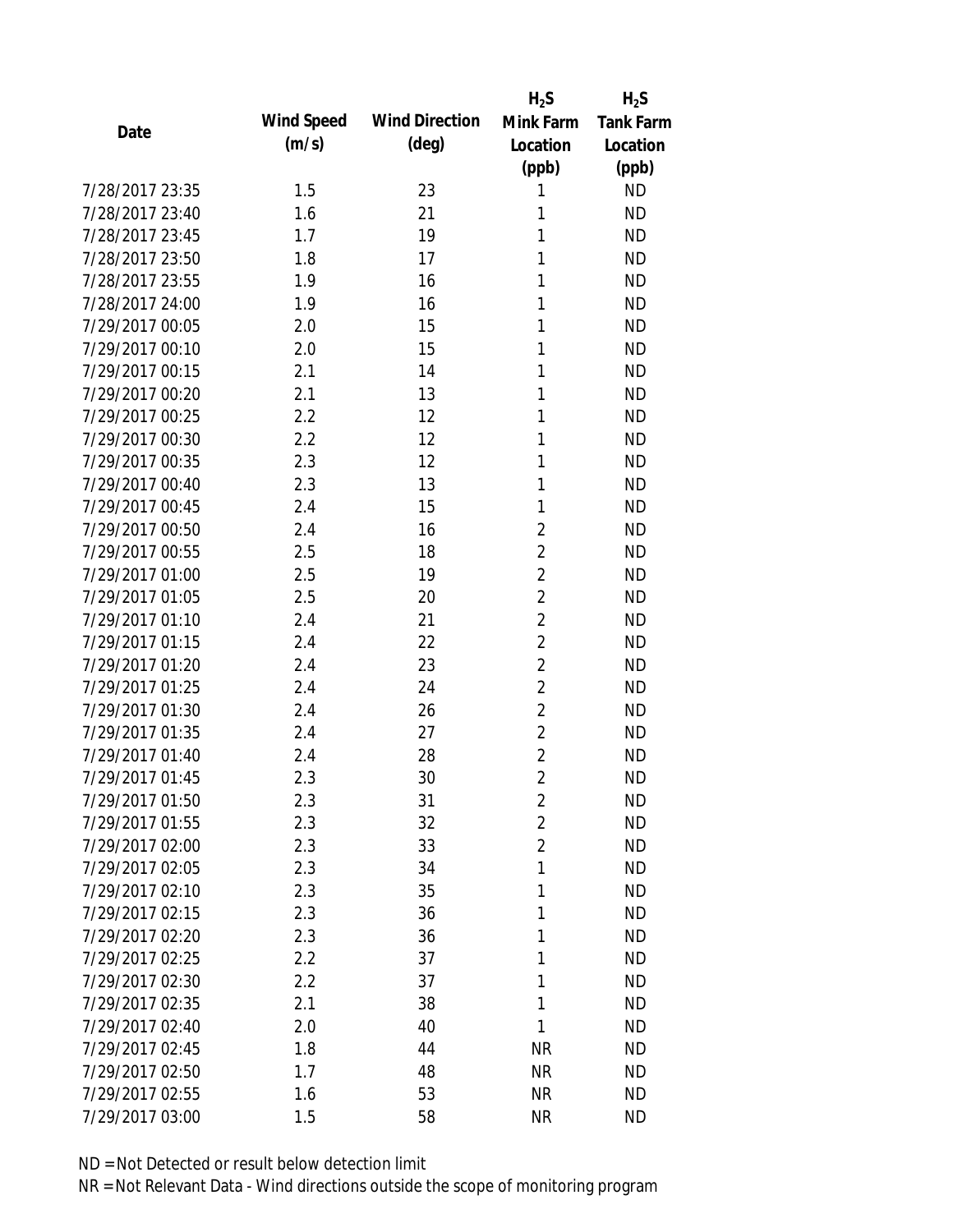|                 |            |                       | $H_2S$         | $H_2S$           |
|-----------------|------------|-----------------------|----------------|------------------|
| Date            | Wind Speed | <b>Wind Direction</b> | Mink Farm      | <b>Tank Farm</b> |
|                 | (m/s)      | $(\text{deg})$        | Location       | Location         |
|                 |            |                       | (ppb)          | (ppb)            |
| 7/28/2017 23:35 | 1.5        | 23                    | 1              | <b>ND</b>        |
| 7/28/2017 23:40 | 1.6        | 21                    | 1              | <b>ND</b>        |
| 7/28/2017 23:45 | 1.7        | 19                    | 1              | <b>ND</b>        |
| 7/28/2017 23:50 | 1.8        | 17                    | 1              | <b>ND</b>        |
| 7/28/2017 23:55 | 1.9        | 16                    | 1              | <b>ND</b>        |
| 7/28/2017 24:00 | 1.9        | 16                    | 1              | <b>ND</b>        |
| 7/29/2017 00:05 | 2.0        | 15                    | 1              | <b>ND</b>        |
| 7/29/2017 00:10 | 2.0        | 15                    | 1              | <b>ND</b>        |
| 7/29/2017 00:15 | 2.1        | 14                    | 1              | <b>ND</b>        |
| 7/29/2017 00:20 | 2.1        | 13                    | 1              | <b>ND</b>        |
| 7/29/2017 00:25 | 2.2        | 12                    | 1              | <b>ND</b>        |
| 7/29/2017 00:30 | 2.2        | 12                    | 1              | <b>ND</b>        |
| 7/29/2017 00:35 | 2.3        | 12                    | 1              | <b>ND</b>        |
| 7/29/2017 00:40 | 2.3        | 13                    | 1              | <b>ND</b>        |
| 7/29/2017 00:45 | 2.4        | 15                    | 1              | <b>ND</b>        |
| 7/29/2017 00:50 | 2.4        | 16                    | $\overline{c}$ | <b>ND</b>        |
| 7/29/2017 00:55 | 2.5        | 18                    | $\overline{2}$ | <b>ND</b>        |
| 7/29/2017 01:00 | 2.5        | 19                    | $\overline{2}$ | <b>ND</b>        |
| 7/29/2017 01:05 | 2.5        | 20                    | $\overline{2}$ | <b>ND</b>        |
| 7/29/2017 01:10 | 2.4        | 21                    | $\overline{2}$ | <b>ND</b>        |
| 7/29/2017 01:15 | 2.4        | 22                    | $\overline{2}$ | <b>ND</b>        |
| 7/29/2017 01:20 | 2.4        | 23                    | $\overline{2}$ | <b>ND</b>        |
| 7/29/2017 01:25 | 2.4        | 24                    | $\overline{2}$ | <b>ND</b>        |
| 7/29/2017 01:30 | 2.4        | 26                    | $\overline{2}$ | <b>ND</b>        |
| 7/29/2017 01:35 | 2.4        | 27                    | $\overline{2}$ | <b>ND</b>        |
| 7/29/2017 01:40 | 2.4        | 28                    | $\overline{2}$ | <b>ND</b>        |
| 7/29/2017 01:45 | 2.3        | 30                    | $\overline{2}$ | <b>ND</b>        |
| 7/29/2017 01:50 | 2.3        | 31                    | $\overline{2}$ | <b>ND</b>        |
| 7/29/2017 01:55 | 2.3        | 32                    | $\overline{2}$ | <b>ND</b>        |
| 7/29/2017 02:00 | 2.3        | 33                    | $\overline{2}$ | <b>ND</b>        |
| 7/29/2017 02:05 | 2.3        | 34                    | 1              | <b>ND</b>        |
| 7/29/2017 02:10 | 2.3        | 35                    | 1              | <b>ND</b>        |
| 7/29/2017 02:15 | 2.3        | 36                    | 1              | <b>ND</b>        |
| 7/29/2017 02:20 | 2.3        | 36                    | 1              | <b>ND</b>        |
| 7/29/2017 02:25 | 2.2        | 37                    | 1              | <b>ND</b>        |
| 7/29/2017 02:30 | 2.2        | 37                    | 1              | <b>ND</b>        |
| 7/29/2017 02:35 | 2.1        | 38                    | 1              | <b>ND</b>        |
| 7/29/2017 02:40 | 2.0        | 40                    | 1              | <b>ND</b>        |
| 7/29/2017 02:45 | 1.8        | 44                    | <b>NR</b>      | <b>ND</b>        |
| 7/29/2017 02:50 | 1.7        | 48                    | <b>NR</b>      | <b>ND</b>        |
| 7/29/2017 02:55 | 1.6        | 53                    | <b>NR</b>      | <b>ND</b>        |
| 7/29/2017 03:00 | 1.5        | 58                    | <b>NR</b>      | <b>ND</b>        |
|                 |            |                       |                |                  |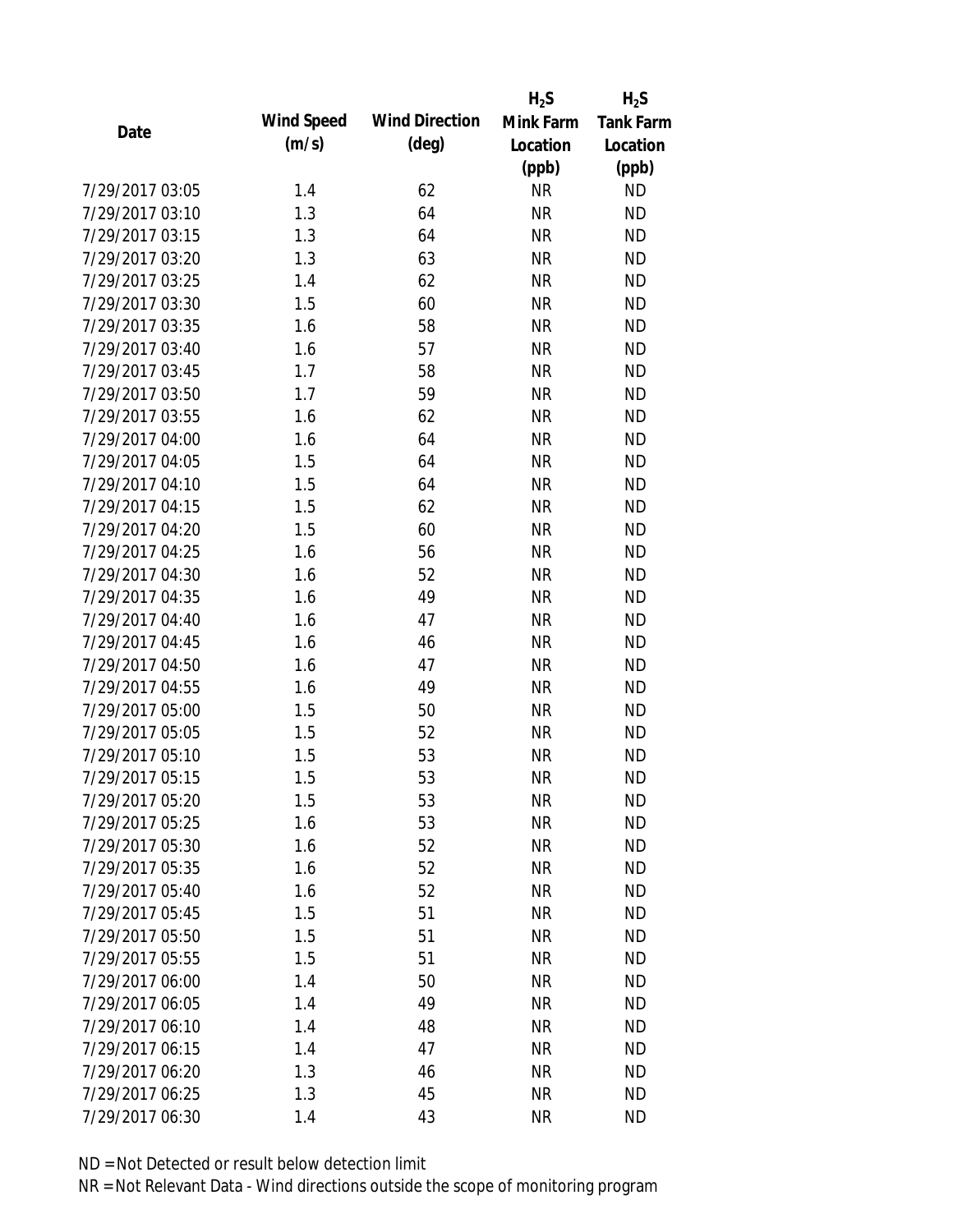|                 |            |                       | $H_2S$    | $H_2S$           |
|-----------------|------------|-----------------------|-----------|------------------|
| Date            | Wind Speed | <b>Wind Direction</b> | Mink Farm | <b>Tank Farm</b> |
|                 | (m/s)      | $(\text{deg})$        | Location  | Location         |
|                 |            |                       | (ppb)     | (ppb)            |
| 7/29/2017 03:05 | 1.4        | 62                    | <b>NR</b> | <b>ND</b>        |
| 7/29/2017 03:10 | 1.3        | 64                    | <b>NR</b> | <b>ND</b>        |
| 7/29/2017 03:15 | 1.3        | 64                    | <b>NR</b> | <b>ND</b>        |
| 7/29/2017 03:20 | 1.3        | 63                    | <b>NR</b> | <b>ND</b>        |
| 7/29/2017 03:25 | 1.4        | 62                    | <b>NR</b> | <b>ND</b>        |
| 7/29/2017 03:30 | 1.5        | 60                    | <b>NR</b> | <b>ND</b>        |
| 7/29/2017 03:35 | 1.6        | 58                    | <b>NR</b> | <b>ND</b>        |
| 7/29/2017 03:40 | 1.6        | 57                    | <b>NR</b> | <b>ND</b>        |
| 7/29/2017 03:45 | 1.7        | 58                    | <b>NR</b> | <b>ND</b>        |
| 7/29/2017 03:50 | 1.7        | 59                    | <b>NR</b> | <b>ND</b>        |
| 7/29/2017 03:55 | 1.6        | 62                    | <b>NR</b> | <b>ND</b>        |
| 7/29/2017 04:00 | 1.6        | 64                    | <b>NR</b> | <b>ND</b>        |
| 7/29/2017 04:05 | 1.5        | 64                    | <b>NR</b> | <b>ND</b>        |
| 7/29/2017 04:10 | 1.5        | 64                    | <b>NR</b> | <b>ND</b>        |
| 7/29/2017 04:15 | 1.5        | 62                    | <b>NR</b> | <b>ND</b>        |
| 7/29/2017 04:20 | 1.5        | 60                    | <b>NR</b> | <b>ND</b>        |
| 7/29/2017 04:25 | 1.6        | 56                    | <b>NR</b> | <b>ND</b>        |
| 7/29/2017 04:30 | 1.6        | 52                    | <b>NR</b> | <b>ND</b>        |
| 7/29/2017 04:35 | 1.6        | 49                    | <b>NR</b> | <b>ND</b>        |
| 7/29/2017 04:40 | 1.6        | 47                    | <b>NR</b> | <b>ND</b>        |
| 7/29/2017 04:45 | 1.6        | 46                    | <b>NR</b> | <b>ND</b>        |
| 7/29/2017 04:50 | 1.6        | 47                    | <b>NR</b> | <b>ND</b>        |
| 7/29/2017 04:55 | 1.6        | 49                    | <b>NR</b> | <b>ND</b>        |
| 7/29/2017 05:00 | 1.5        | 50                    | <b>NR</b> | <b>ND</b>        |
| 7/29/2017 05:05 | 1.5        | 52                    | <b>NR</b> | <b>ND</b>        |
| 7/29/2017 05:10 | 1.5        | 53                    | <b>NR</b> | <b>ND</b>        |
| 7/29/2017 05:15 | 1.5        | 53                    | <b>NR</b> | <b>ND</b>        |
| 7/29/2017 05:20 | 1.5        | 53                    | <b>NR</b> | <b>ND</b>        |
| 7/29/2017 05:25 | 1.6        | 53                    | <b>NR</b> | <b>ND</b>        |
| 7/29/2017 05:30 | 1.6        | 52                    | <b>NR</b> | <b>ND</b>        |
| 7/29/2017 05:35 | 1.6        | 52                    | <b>NR</b> | <b>ND</b>        |
| 7/29/2017 05:40 | 1.6        | 52                    | <b>NR</b> | <b>ND</b>        |
| 7/29/2017 05:45 | 1.5        | 51                    | <b>NR</b> | <b>ND</b>        |
| 7/29/2017 05:50 | 1.5        | 51                    | <b>NR</b> | <b>ND</b>        |
| 7/29/2017 05:55 | 1.5        | 51                    | <b>NR</b> | <b>ND</b>        |
| 7/29/2017 06:00 | 1.4        | 50                    | <b>NR</b> | <b>ND</b>        |
| 7/29/2017 06:05 | 1.4        | 49                    | <b>NR</b> | <b>ND</b>        |
| 7/29/2017 06:10 | 1.4        | 48                    | <b>NR</b> | <b>ND</b>        |
| 7/29/2017 06:15 | 1.4        | 47                    | <b>NR</b> | <b>ND</b>        |
| 7/29/2017 06:20 | 1.3        | 46                    | <b>NR</b> | <b>ND</b>        |
| 7/29/2017 06:25 | 1.3        | 45                    | <b>NR</b> | <b>ND</b>        |
| 7/29/2017 06:30 | 1.4        | 43                    | <b>NR</b> | <b>ND</b>        |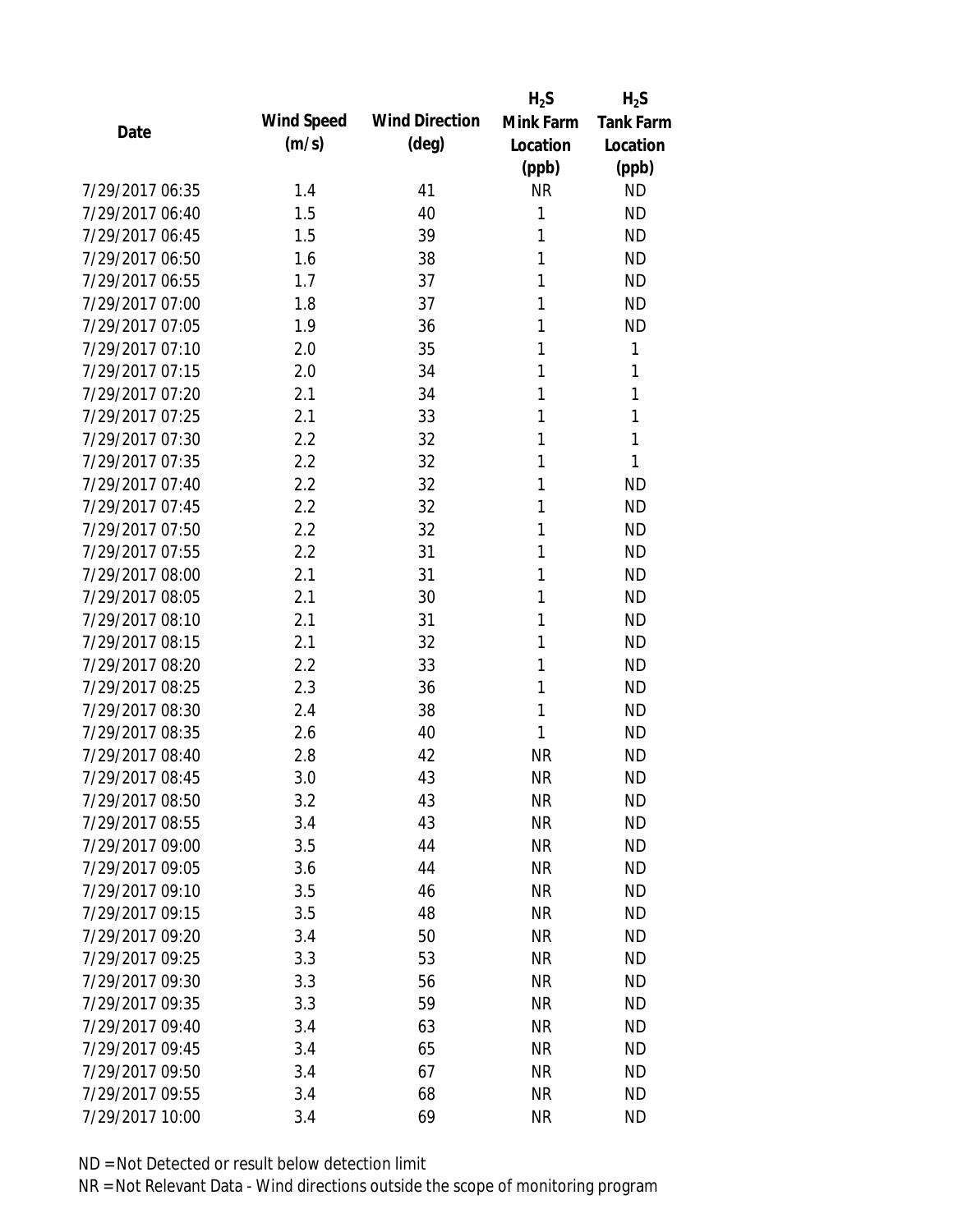|                 |            |                       | $H_2S$    | $H_2S$           |
|-----------------|------------|-----------------------|-----------|------------------|
| Date            | Wind Speed | <b>Wind Direction</b> | Mink Farm | <b>Tank Farm</b> |
|                 | (m/s)      | $(\text{deg})$        | Location  | Location         |
|                 |            |                       | (ppb)     | (ppb)            |
| 7/29/2017 06:35 | 1.4        | 41                    | <b>NR</b> | <b>ND</b>        |
| 7/29/2017 06:40 | 1.5        | 40                    | 1         | <b>ND</b>        |
| 7/29/2017 06:45 | 1.5        | 39                    | 1         | <b>ND</b>        |
| 7/29/2017 06:50 | 1.6        | 38                    | 1         | <b>ND</b>        |
| 7/29/2017 06:55 | 1.7        | 37                    | 1         | <b>ND</b>        |
| 7/29/2017 07:00 | 1.8        | 37                    | 1         | <b>ND</b>        |
| 7/29/2017 07:05 | 1.9        | 36                    | 1         | <b>ND</b>        |
| 7/29/2017 07:10 | 2.0        | 35                    | 1         | 1                |
| 7/29/2017 07:15 | 2.0        | 34                    | 1         | 1                |
| 7/29/2017 07:20 | 2.1        | 34                    | 1         | 1                |
| 7/29/2017 07:25 | 2.1        | 33                    | 1         | 1                |
| 7/29/2017 07:30 | 2.2        | 32                    | 1         | 1                |
| 7/29/2017 07:35 | 2.2        | 32                    | 1         | 1                |
| 7/29/2017 07:40 | 2.2        | 32                    | 1         | <b>ND</b>        |
| 7/29/2017 07:45 | 2.2        | 32                    | 1         | <b>ND</b>        |
| 7/29/2017 07:50 | 2.2        | 32                    | 1         | <b>ND</b>        |
| 7/29/2017 07:55 | 2.2        | 31                    | 1         | <b>ND</b>        |
| 7/29/2017 08:00 | 2.1        | 31                    | 1         | <b>ND</b>        |
| 7/29/2017 08:05 | 2.1        | 30                    | 1         | <b>ND</b>        |
| 7/29/2017 08:10 | 2.1        | 31                    | 1         | <b>ND</b>        |
| 7/29/2017 08:15 | 2.1        | 32                    | 1         | <b>ND</b>        |
| 7/29/2017 08:20 | 2.2        | 33                    | 1         | <b>ND</b>        |
| 7/29/2017 08:25 | 2.3        | 36                    | 1         | <b>ND</b>        |
| 7/29/2017 08:30 | 2.4        | 38                    | 1         | <b>ND</b>        |
| 7/29/2017 08:35 | 2.6        | 40                    | 1         | <b>ND</b>        |
| 7/29/2017 08:40 | 2.8        | 42                    | <b>NR</b> | <b>ND</b>        |
| 7/29/2017 08:45 | 3.0        | 43                    | <b>NR</b> | <b>ND</b>        |
| 7/29/2017 08:50 | 3.2        | 43                    | <b>NR</b> | <b>ND</b>        |
| 7/29/2017 08:55 | 3.4        | 43                    | <b>NR</b> | <b>ND</b>        |
| 7/29/2017 09:00 | 3.5        | 44                    | <b>NR</b> | <b>ND</b>        |
| 7/29/2017 09:05 | 3.6        | 44                    | <b>NR</b> | <b>ND</b>        |
| 7/29/2017 09:10 | 3.5        | 46                    | <b>NR</b> | <b>ND</b>        |
| 7/29/2017 09:15 | 3.5        | 48                    | <b>NR</b> | <b>ND</b>        |
| 7/29/2017 09:20 | 3.4        | 50                    | <b>NR</b> | <b>ND</b>        |
| 7/29/2017 09:25 | 3.3        | 53                    | <b>NR</b> | <b>ND</b>        |
| 7/29/2017 09:30 | 3.3        | 56                    | <b>NR</b> | <b>ND</b>        |
| 7/29/2017 09:35 | 3.3        | 59                    | <b>NR</b> | <b>ND</b>        |
| 7/29/2017 09:40 | 3.4        | 63                    | <b>NR</b> | <b>ND</b>        |
| 7/29/2017 09:45 | 3.4        | 65                    | <b>NR</b> | <b>ND</b>        |
| 7/29/2017 09:50 | 3.4        | 67                    | <b>NR</b> | <b>ND</b>        |
| 7/29/2017 09:55 | 3.4        | 68                    | <b>NR</b> | <b>ND</b>        |
| 7/29/2017 10:00 | 3.4        | 69                    | <b>NR</b> | <b>ND</b>        |
|                 |            |                       |           |                  |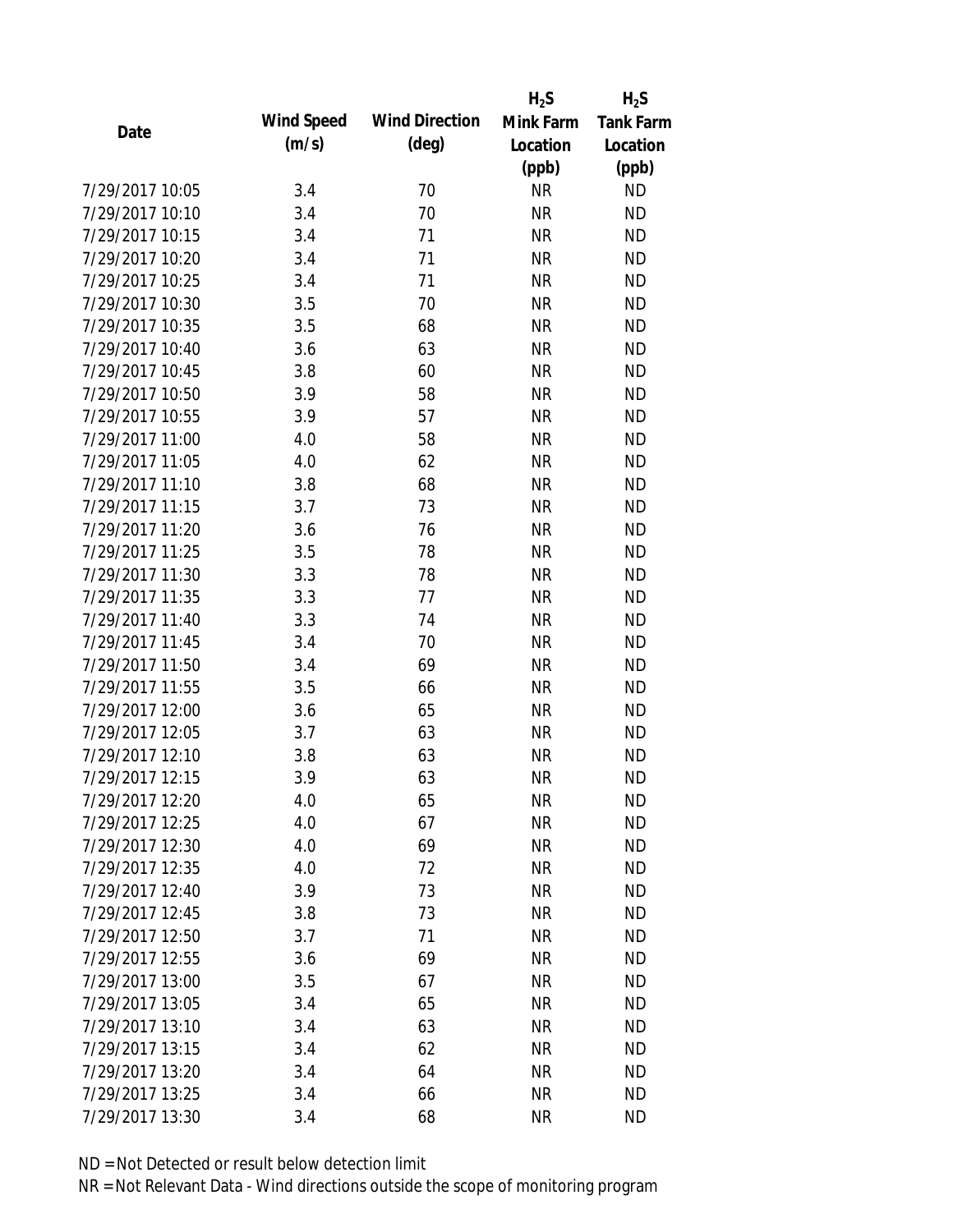|                 |            |                       | $H_2S$    | $H_2S$           |
|-----------------|------------|-----------------------|-----------|------------------|
| Date            | Wind Speed | <b>Wind Direction</b> | Mink Farm | <b>Tank Farm</b> |
|                 | (m/s)      | $(\text{deg})$        | Location  | Location         |
|                 |            |                       | (ppb)     | (ppb)            |
| 7/29/2017 10:05 | 3.4        | 70                    | <b>NR</b> | <b>ND</b>        |
| 7/29/2017 10:10 | 3.4        | 70                    | <b>NR</b> | <b>ND</b>        |
| 7/29/2017 10:15 | 3.4        | 71                    | <b>NR</b> | <b>ND</b>        |
| 7/29/2017 10:20 | 3.4        | 71                    | <b>NR</b> | <b>ND</b>        |
| 7/29/2017 10:25 | 3.4        | 71                    | <b>NR</b> | <b>ND</b>        |
| 7/29/2017 10:30 | 3.5        | 70                    | <b>NR</b> | <b>ND</b>        |
| 7/29/2017 10:35 | 3.5        | 68                    | <b>NR</b> | <b>ND</b>        |
| 7/29/2017 10:40 | 3.6        | 63                    | <b>NR</b> | <b>ND</b>        |
| 7/29/2017 10:45 | 3.8        | 60                    | <b>NR</b> | <b>ND</b>        |
| 7/29/2017 10:50 | 3.9        | 58                    | <b>NR</b> | <b>ND</b>        |
| 7/29/2017 10:55 | 3.9        | 57                    | <b>NR</b> | <b>ND</b>        |
| 7/29/2017 11:00 | 4.0        | 58                    | <b>NR</b> | <b>ND</b>        |
| 7/29/2017 11:05 | 4.0        | 62                    | <b>NR</b> | <b>ND</b>        |
| 7/29/2017 11:10 | 3.8        | 68                    | <b>NR</b> | <b>ND</b>        |
| 7/29/2017 11:15 | 3.7        | 73                    | <b>NR</b> | <b>ND</b>        |
| 7/29/2017 11:20 | 3.6        | 76                    | <b>NR</b> | <b>ND</b>        |
| 7/29/2017 11:25 | 3.5        | 78                    | <b>NR</b> | <b>ND</b>        |
| 7/29/2017 11:30 | 3.3        | 78                    | <b>NR</b> | <b>ND</b>        |
| 7/29/2017 11:35 | 3.3        | 77                    | <b>NR</b> | <b>ND</b>        |
| 7/29/2017 11:40 | 3.3        | 74                    | <b>NR</b> | <b>ND</b>        |
| 7/29/2017 11:45 | 3.4        | 70                    | <b>NR</b> | <b>ND</b>        |
| 7/29/2017 11:50 | 3.4        | 69                    | <b>NR</b> | <b>ND</b>        |
| 7/29/2017 11:55 | 3.5        | 66                    | <b>NR</b> | <b>ND</b>        |
| 7/29/2017 12:00 | 3.6        | 65                    | <b>NR</b> | <b>ND</b>        |
| 7/29/2017 12:05 | 3.7        | 63                    | <b>NR</b> | <b>ND</b>        |
| 7/29/2017 12:10 | 3.8        | 63                    | <b>NR</b> | <b>ND</b>        |
| 7/29/2017 12:15 | 3.9        | 63                    | <b>NR</b> | <b>ND</b>        |
| 7/29/2017 12:20 | 4.0        | 65                    | NR        | <b>ND</b>        |
| 7/29/2017 12:25 | 4.0        | 67                    | <b>NR</b> | <b>ND</b>        |
| 7/29/2017 12:30 | 4.0        | 69                    | <b>NR</b> | <b>ND</b>        |
| 7/29/2017 12:35 | 4.0        | 72                    | <b>NR</b> | <b>ND</b>        |
| 7/29/2017 12:40 | 3.9        | 73                    | <b>NR</b> | <b>ND</b>        |
| 7/29/2017 12:45 | 3.8        | 73                    | <b>NR</b> | <b>ND</b>        |
| 7/29/2017 12:50 | 3.7        | 71                    | <b>NR</b> | <b>ND</b>        |
| 7/29/2017 12:55 | 3.6        | 69                    | <b>NR</b> | <b>ND</b>        |
| 7/29/2017 13:00 | 3.5        | 67                    | <b>NR</b> | <b>ND</b>        |
| 7/29/2017 13:05 | 3.4        | 65                    | <b>NR</b> | <b>ND</b>        |
| 7/29/2017 13:10 | 3.4        | 63                    | <b>NR</b> | <b>ND</b>        |
| 7/29/2017 13:15 | 3.4        | 62                    | <b>NR</b> | <b>ND</b>        |
| 7/29/2017 13:20 | 3.4        | 64                    | <b>NR</b> | <b>ND</b>        |
| 7/29/2017 13:25 |            |                       | <b>NR</b> | <b>ND</b>        |
|                 | 3.4        | 66                    |           |                  |
| 7/29/2017 13:30 | 3.4        | 68                    | <b>NR</b> | <b>ND</b>        |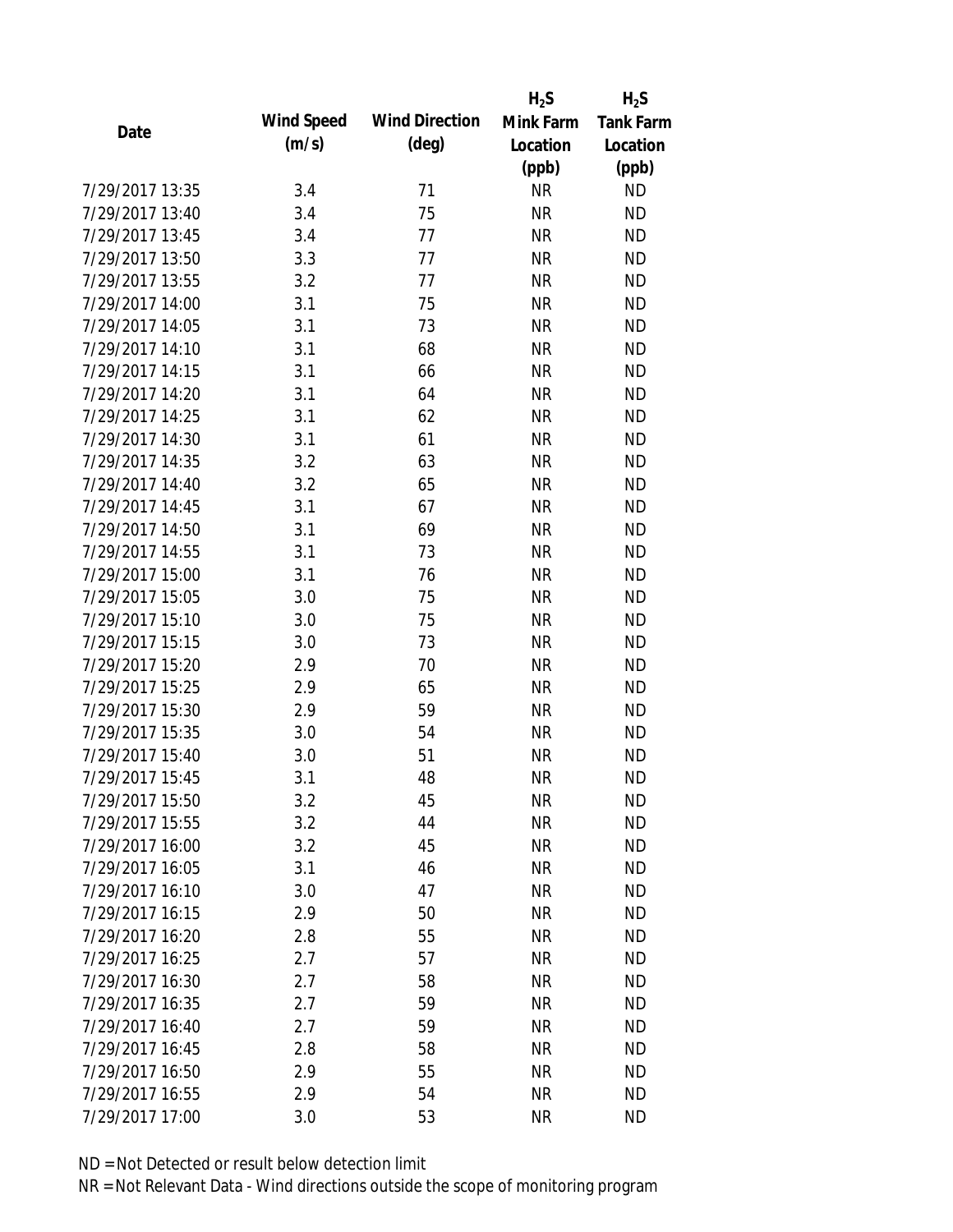|                 |            |                       | $H_2S$    | $H_2S$           |
|-----------------|------------|-----------------------|-----------|------------------|
| Date            | Wind Speed | <b>Wind Direction</b> | Mink Farm | <b>Tank Farm</b> |
|                 | (m/s)      | $(\text{deg})$        | Location  | Location         |
|                 |            |                       | (ppb)     | (ppb)            |
| 7/29/2017 13:35 | 3.4        | 71                    | <b>NR</b> | <b>ND</b>        |
| 7/29/2017 13:40 | 3.4        | 75                    | <b>NR</b> | <b>ND</b>        |
| 7/29/2017 13:45 | 3.4        | 77                    | <b>NR</b> | <b>ND</b>        |
| 7/29/2017 13:50 | 3.3        | 77                    | <b>NR</b> | <b>ND</b>        |
| 7/29/2017 13:55 | 3.2        | 77                    | <b>NR</b> | <b>ND</b>        |
| 7/29/2017 14:00 | 3.1        | 75                    | <b>NR</b> | <b>ND</b>        |
| 7/29/2017 14:05 | 3.1        | 73                    | <b>NR</b> | <b>ND</b>        |
| 7/29/2017 14:10 | 3.1        | 68                    | <b>NR</b> | <b>ND</b>        |
| 7/29/2017 14:15 | 3.1        | 66                    | <b>NR</b> | <b>ND</b>        |
| 7/29/2017 14:20 | 3.1        | 64                    | <b>NR</b> | <b>ND</b>        |
| 7/29/2017 14:25 | 3.1        | 62                    | <b>NR</b> | <b>ND</b>        |
| 7/29/2017 14:30 | 3.1        | 61                    | <b>NR</b> | <b>ND</b>        |
| 7/29/2017 14:35 | 3.2        | 63                    | <b>NR</b> | <b>ND</b>        |
| 7/29/2017 14:40 | 3.2        | 65                    | <b>NR</b> | <b>ND</b>        |
| 7/29/2017 14:45 | 3.1        | 67                    | <b>NR</b> | <b>ND</b>        |
| 7/29/2017 14:50 | 3.1        | 69                    | <b>NR</b> | <b>ND</b>        |
| 7/29/2017 14:55 | 3.1        | 73                    | <b>NR</b> | <b>ND</b>        |
| 7/29/2017 15:00 | 3.1        | 76                    | <b>NR</b> | <b>ND</b>        |
| 7/29/2017 15:05 | 3.0        | 75                    | <b>NR</b> | <b>ND</b>        |
| 7/29/2017 15:10 | 3.0        | 75                    | <b>NR</b> | <b>ND</b>        |
| 7/29/2017 15:15 | 3.0        | 73                    | <b>NR</b> | <b>ND</b>        |
| 7/29/2017 15:20 | 2.9        | 70                    | <b>NR</b> | <b>ND</b>        |
| 7/29/2017 15:25 | 2.9        | 65                    | <b>NR</b> | <b>ND</b>        |
| 7/29/2017 15:30 | 2.9        | 59                    | <b>NR</b> | <b>ND</b>        |
| 7/29/2017 15:35 | 3.0        | 54                    | <b>NR</b> | <b>ND</b>        |
| 7/29/2017 15:40 | 3.0        | 51                    | <b>NR</b> | <b>ND</b>        |
| 7/29/2017 15:45 | 3.1        | 48                    | <b>NR</b> | <b>ND</b>        |
| 7/29/2017 15:50 | 3.2        | 45                    | ΝR        | <b>ND</b>        |
| 7/29/2017 15:55 | 3.2        | 44                    | <b>NR</b> | <b>ND</b>        |
| 7/29/2017 16:00 | 3.2        | 45                    | <b>NR</b> | <b>ND</b>        |
| 7/29/2017 16:05 | 3.1        | 46                    | <b>NR</b> | <b>ND</b>        |
| 7/29/2017 16:10 | 3.0        | 47                    | <b>NR</b> | <b>ND</b>        |
| 7/29/2017 16:15 | 2.9        | 50                    | <b>NR</b> | <b>ND</b>        |
| 7/29/2017 16:20 | 2.8        | 55                    | <b>NR</b> | <b>ND</b>        |
| 7/29/2017 16:25 | 2.7        | 57                    | <b>NR</b> | <b>ND</b>        |
| 7/29/2017 16:30 | 2.7        | 58                    | <b>NR</b> | <b>ND</b>        |
| 7/29/2017 16:35 | 2.7        | 59                    | <b>NR</b> | <b>ND</b>        |
| 7/29/2017 16:40 | 2.7        | 59                    | <b>NR</b> | <b>ND</b>        |
| 7/29/2017 16:45 |            | 58                    | <b>NR</b> | <b>ND</b>        |
| 7/29/2017 16:50 | 2.8<br>2.9 | 55                    |           |                  |
|                 |            |                       | <b>NR</b> | ND               |
| 7/29/2017 16:55 | 2.9        | 54                    | <b>NR</b> | <b>ND</b>        |
| 7/29/2017 17:00 | 3.0        | 53                    | <b>NR</b> | <b>ND</b>        |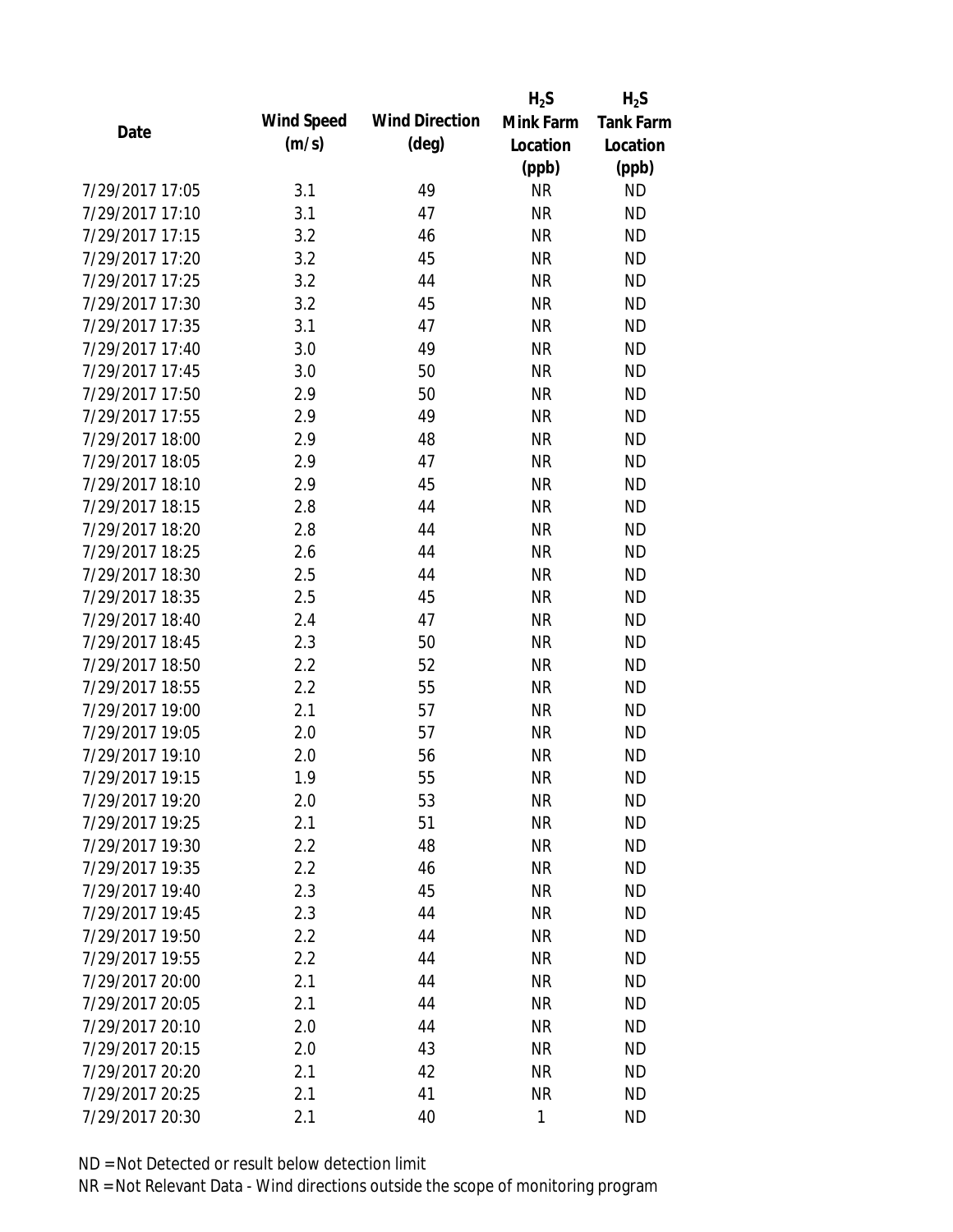|                 |                   |                       | $H_2S$    | $H_2S$           |
|-----------------|-------------------|-----------------------|-----------|------------------|
| Date            | <b>Wind Speed</b> | <b>Wind Direction</b> | Mink Farm | <b>Tank Farm</b> |
|                 | (m/s)             | $(\text{deg})$        | Location  | Location         |
|                 |                   |                       | (ppb)     | (ppb)            |
| 7/29/2017 17:05 | 3.1               | 49                    | <b>NR</b> | <b>ND</b>        |
| 7/29/2017 17:10 | 3.1               | 47                    | <b>NR</b> | <b>ND</b>        |
| 7/29/2017 17:15 | 3.2               | 46                    | <b>NR</b> | <b>ND</b>        |
| 7/29/2017 17:20 | 3.2               | 45                    | <b>NR</b> | <b>ND</b>        |
| 7/29/2017 17:25 | 3.2               | 44                    | <b>NR</b> | <b>ND</b>        |
| 7/29/2017 17:30 | 3.2               | 45                    | <b>NR</b> | <b>ND</b>        |
| 7/29/2017 17:35 | 3.1               | 47                    | <b>NR</b> | <b>ND</b>        |
| 7/29/2017 17:40 | 3.0               | 49                    | <b>NR</b> | <b>ND</b>        |
| 7/29/2017 17:45 | 3.0               | 50                    | <b>NR</b> | <b>ND</b>        |
| 7/29/2017 17:50 | 2.9               | 50                    | <b>NR</b> | <b>ND</b>        |
| 7/29/2017 17:55 | 2.9               | 49                    | <b>NR</b> | <b>ND</b>        |
| 7/29/2017 18:00 | 2.9               | 48                    | <b>NR</b> | <b>ND</b>        |
| 7/29/2017 18:05 | 2.9               | 47                    | <b>NR</b> | <b>ND</b>        |
| 7/29/2017 18:10 | 2.9               | 45                    | <b>NR</b> | <b>ND</b>        |
| 7/29/2017 18:15 | 2.8               | 44                    | <b>NR</b> | <b>ND</b>        |
| 7/29/2017 18:20 | 2.8               | 44                    | <b>NR</b> | <b>ND</b>        |
| 7/29/2017 18:25 | 2.6               | 44                    | <b>NR</b> | <b>ND</b>        |
| 7/29/2017 18:30 | 2.5               | 44                    | <b>NR</b> | <b>ND</b>        |
| 7/29/2017 18:35 | 2.5               | 45                    | <b>NR</b> | <b>ND</b>        |
| 7/29/2017 18:40 | 2.4               | 47                    | <b>NR</b> | <b>ND</b>        |
| 7/29/2017 18:45 | 2.3               | 50                    | <b>NR</b> | <b>ND</b>        |
| 7/29/2017 18:50 | 2.2               | 52                    | <b>NR</b> | <b>ND</b>        |
| 7/29/2017 18:55 | 2.2               | 55                    | <b>NR</b> | <b>ND</b>        |
| 7/29/2017 19:00 | 2.1               | 57                    | <b>NR</b> | <b>ND</b>        |
| 7/29/2017 19:05 | 2.0               | 57                    | <b>NR</b> | <b>ND</b>        |
| 7/29/2017 19:10 | 2.0               | 56                    | <b>NR</b> | <b>ND</b>        |
| 7/29/2017 19:15 | 1.9               | 55                    | <b>NR</b> | <b>ND</b>        |
| 7/29/2017 19:20 | 2.0               | 53                    | <b>NR</b> | <b>ND</b>        |
| 7/29/2017 19:25 | 2.1               | 51                    | <b>NR</b> | <b>ND</b>        |
| 7/29/2017 19:30 | 2.2               | 48                    | <b>NR</b> | <b>ND</b>        |
| 7/29/2017 19:35 | 2.2               | 46                    | <b>NR</b> | <b>ND</b>        |
| 7/29/2017 19:40 | 2.3               | 45                    | <b>NR</b> | <b>ND</b>        |
| 7/29/2017 19:45 | 2.3               | 44                    | <b>NR</b> | <b>ND</b>        |
| 7/29/2017 19:50 | 2.2               | 44                    | <b>NR</b> | <b>ND</b>        |
| 7/29/2017 19:55 | 2.2               | 44                    | <b>NR</b> | <b>ND</b>        |
| 7/29/2017 20:00 | 2.1               | 44                    | <b>NR</b> | <b>ND</b>        |
| 7/29/2017 20:05 | 2.1               | 44                    | <b>NR</b> | <b>ND</b>        |
| 7/29/2017 20:10 | 2.0               | 44                    | <b>NR</b> | <b>ND</b>        |
| 7/29/2017 20:15 | 2.0               | 43                    | <b>NR</b> | <b>ND</b>        |
| 7/29/2017 20:20 | 2.1               | 42                    | <b>NR</b> | <b>ND</b>        |
| 7/29/2017 20:25 | 2.1               | 41                    | <b>NR</b> | <b>ND</b>        |
| 7/29/2017 20:30 | 2.1               | 40                    | 1         | <b>ND</b>        |
|                 |                   |                       |           |                  |